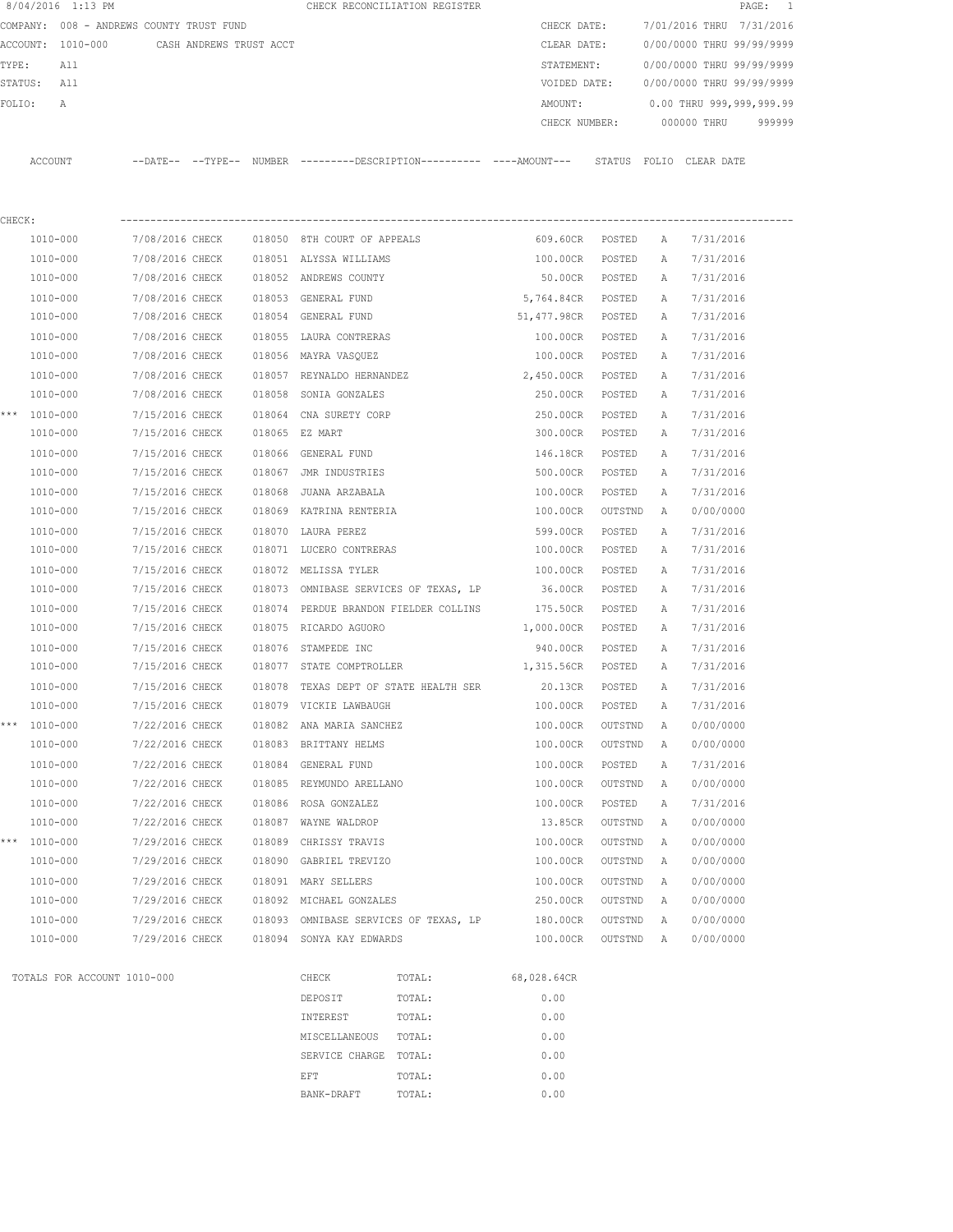|        | 8/04/2016 1:13 PM           |                                          |                         |        |                                       | CHECK RECONCILIATION REGISTER                                                                 |                    |         |              |                           | 1<br>PAGE: |
|--------|-----------------------------|------------------------------------------|-------------------------|--------|---------------------------------------|-----------------------------------------------------------------------------------------------|--------------------|---------|--------------|---------------------------|------------|
|        |                             | COMPANY: 008 - ANDREWS COUNTY TRUST FUND |                         |        |                                       |                                                                                               | CHECK DATE:        |         |              | 7/01/2016 THRU 7/31/2016  |            |
|        | ACCOUNT: 1010-000           |                                          | CASH ANDREWS TRUST ACCT |        |                                       |                                                                                               | CLEAR DATE:        |         |              | 0/00/0000 THRU 99/99/9999 |            |
| TYPE:  | All                         |                                          |                         |        |                                       |                                                                                               | STATEMENT:         |         |              | 0/00/0000 THRU 99/99/9999 |            |
|        | STATUS: All                 |                                          |                         |        |                                       |                                                                                               | VOIDED DATE:       |         |              | 0/00/0000 THRU 99/99/9999 |            |
| FOLIO: | Α                           |                                          |                         |        |                                       |                                                                                               | AMOUNT:            |         |              | 0.00 THRU 999,999,999.99  |            |
|        |                             |                                          |                         |        |                                       |                                                                                               | CHECK NUMBER:      |         |              | 000000 THRU               | 999999     |
|        | ACCOUNT                     |                                          |                         |        |                                       | --DATE-- --TYPE-- NUMBER ---------DESCRIPTION---------- ----AMOUNT--- STATUS FOLIO CLEAR DATE |                    |         |              |                           |            |
| CHECK: |                             |                                          |                         |        |                                       |                                                                                               |                    |         |              |                           |            |
|        | 1010-000                    | 7/08/2016 CHECK                          |                         |        | 018050 8TH COURT OF APPEALS           |                                                                                               | 609.60CR POSTED    |         | A            | 7/31/2016                 |            |
|        | 1010-000                    | 7/08/2016 CHECK                          |                         |        | 018051 ALYSSA WILLIAMS                |                                                                                               | 100.00CR           | POSTED  | А            | 7/31/2016                 |            |
|        | 1010-000                    | 7/08/2016 CHECK                          |                         |        | 018052 ANDREWS COUNTY                 |                                                                                               | 50.00CR            | POSTED  | А            | 7/31/2016                 |            |
|        | 1010-000                    | 7/08/2016 CHECK                          |                         |        | 018053 GENERAL FUND                   |                                                                                               | 5,764.84CR POSTED  |         | Α            | 7/31/2016                 |            |
|        | 1010-000                    | 7/08/2016 CHECK                          |                         |        | 018054 GENERAL FUND                   |                                                                                               | 51,477.98CR POSTED |         | Α            | 7/31/2016                 |            |
|        | 1010-000                    | 7/08/2016 CHECK                          |                         |        | 018055 LAURA CONTRERAS                |                                                                                               | 100.00CR POSTED    |         | $\mathbb{A}$ | 7/31/2016                 |            |
|        | 1010-000                    | 7/08/2016 CHECK                          |                         |        | 018056 MAYRA VASQUEZ                  |                                                                                               | 100.00CR POSTED    |         | Α            | 7/31/2016                 |            |
|        | 1010-000                    | 7/08/2016 CHECK                          |                         |        | 018057 REYNALDO HERNANDEZ             |                                                                                               | 2,450.00CR         | POSTED  | A            | 7/31/2016                 |            |
|        | 1010-000                    | 7/08/2016 CHECK                          |                         | 018058 | SONIA GONZALES                        |                                                                                               | 250.00CR           | POSTED  | А            | 7/31/2016                 |            |
|        | *** 1010-000                | 7/15/2016 CHECK                          |                         |        | 018064 CNA SURETY CORP                |                                                                                               | 250.00CR           | POSTED  | A            | 7/31/2016                 |            |
|        | 1010-000                    | 7/15/2016 CHECK                          |                         |        | 018065 EZ MART                        |                                                                                               | 300.00CR           | POSTED  | Α            | 7/31/2016                 |            |
|        | 1010-000                    | 7/15/2016 CHECK                          |                         |        | 018066 GENERAL FUND                   |                                                                                               | 146.18CR           | POSTED  | Α            | 7/31/2016                 |            |
|        | 1010-000                    | 7/15/2016 CHECK                          |                         |        | 018067 JMR INDUSTRIES                 |                                                                                               | 500.00CR           | POSTED  | Α            | 7/31/2016                 |            |
|        | 1010-000                    | 7/15/2016 CHECK                          |                         | 018068 | JUANA ARZABALA                        |                                                                                               | 100.00CR           | POSTED  | Α            | 7/31/2016                 |            |
|        | 1010-000                    | 7/15/2016 CHECK                          |                         |        | 018069 KATRINA RENTERIA               |                                                                                               | 100.00CR           | OUTSTND | A            | 0/00/0000                 |            |
|        | 1010-000                    | 7/15/2016 CHECK                          |                         |        | 018070 LAURA PEREZ                    |                                                                                               | 599.00CR           | POSTED  | Α            | 7/31/2016                 |            |
|        | 1010-000                    | 7/15/2016 CHECK                          |                         |        | 018071 LUCERO CONTRERAS               |                                                                                               | 100.00CR           | POSTED  | Α            | 7/31/2016                 |            |
|        | 1010-000                    | 7/15/2016 CHECK                          |                         |        | 018072 MELISSA TYLER                  |                                                                                               | 100.00CR           | POSTED  | Α            | 7/31/2016                 |            |
|        | 1010-000                    | 7/15/2016 CHECK                          |                         |        |                                       | 018073 OMNIBASE SERVICES OF TEXAS, LP                                                         | 36.00CR            | POSTED  | Α            | 7/31/2016                 |            |
|        | 1010-000                    | 7/15/2016 CHECK                          |                         |        |                                       | 018074 PERDUE BRANDON FIELDER COLLINS                                                         | 175.50CR           | POSTED  | Α            | 7/31/2016                 |            |
|        | 1010-000                    | 7/15/2016 CHECK                          |                         |        | 018075 RICARDO AGUORO                 |                                                                                               | 1,000.00CR         | POSTED  | А            | 7/31/2016                 |            |
|        | 1010-000                    | 7/15/2016 CHECK                          |                         |        | 018076 STAMPEDE INC                   |                                                                                               | 940.00CR           | POSTED  | Α            | 7/31/2016                 |            |
|        | 1010-000                    | 7/15/2016 CHECK                          |                         |        | 018077 STATE COMPTROLLER              |                                                                                               | 1,315.56CR         | POSTED  | Α            | 7/31/2016                 |            |
|        | 1010-000                    | 7/15/2016 CHECK                          |                         |        |                                       | 018078 TEXAS DEPT OF STATE HEALTH SER 20.13CR                                                 |                    | POSTED  | A            | 7/31/2016                 |            |
|        | 1010-000                    | 7/15/2016 CHECK                          |                         |        | 018079 VICKIE LAWBAUGH                |                                                                                               | 100.00CR           | POSTED  | Α            | 7/31/2016                 |            |
| ***    | 1010-000                    | 7/22/2016 CHECK                          |                         |        | 018082 ANA MARIA SANCHEZ              |                                                                                               | 100.00CR           | OUTSTND | Α            | 0/00/0000                 |            |
|        | 1010-000                    | 7/22/2016 CHECK                          |                         |        | 018083 BRITTANY HELMS                 |                                                                                               | 100.00CR           | OUTSTND | Α            | 0/00/0000                 |            |
|        | 1010-000                    | 7/22/2016 CHECK                          |                         |        | 018084 GENERAL FUND                   |                                                                                               | 100.00CR           | POSTED  | Α            | 7/31/2016                 |            |
|        | 1010-000                    | 7/22/2016 CHECK                          |                         |        | 018085 REYMUNDO ARELLANO              |                                                                                               | 100.00CR           | OUTSTND | Α            | 0/00/0000                 |            |
|        | 1010-000                    | 7/22/2016 CHECK                          |                         |        | 018086 ROSA GONZALEZ                  |                                                                                               | 100.00CR           | POSTED  | Α            | 7/31/2016                 |            |
|        | 1010-000                    | 7/22/2016 CHECK                          |                         |        | 018087 WAYNE WALDROP                  |                                                                                               | 13.85CR            | OUTSTND | Α            | 0/00/0000                 |            |
|        | *** 1010-000                | 7/29/2016 CHECK                          |                         |        | 018089 CHRISSY TRAVIS                 |                                                                                               | 100.00CR           | OUTSTND | Α            | 0/00/0000                 |            |
|        | 1010-000                    | 7/29/2016 CHECK                          |                         |        | 018090 GABRIEL TREVIZO                |                                                                                               | 100.00CR           | OUTSTND | Α            | 0/00/0000                 |            |
|        | 1010-000                    | 7/29/2016 CHECK                          |                         |        | 018091 MARY SELLERS                   |                                                                                               | 100.00CR           | OUTSTND | Α            | 0/00/0000                 |            |
|        | 1010-000                    | 7/29/2016 CHECK                          |                         |        | 018092 MICHAEL GONZALES               |                                                                                               | 250.00CR           | OUTSTND | Α            | 0/00/0000                 |            |
|        | 1010-000                    | 7/29/2016 CHECK                          |                         |        | 018093 OMNIBASE SERVICES OF TEXAS, LP |                                                                                               | 180.00CR           | OUTSTND | Α            | 0/00/0000                 |            |
|        | 1010-000                    | 7/29/2016 CHECK                          |                         |        | 018094 SONYA KAY EDWARDS              |                                                                                               | 100.00CR           | OUTSTND | Α            | 0/00/0000                 |            |
|        | TOTALS FOR ACCOUNT 1010-000 |                                          |                         |        | CHECK                                 | TOTAL:                                                                                        | 68,028.64CR        |         |              |                           |            |
|        |                             |                                          |                         |        |                                       |                                                                                               |                    |         |              |                           |            |
|        |                             |                                          |                         |        | DEPOSIT                               | TOTAL:                                                                                        | 0.00<br>0.00       |         |              |                           |            |
|        |                             |                                          |                         |        | INTEREST                              | TOTAL:                                                                                        |                    |         |              |                           |            |
|        |                             |                                          |                         |        | MISCELLANEOUS                         | TOTAL:                                                                                        | 0.00               |         |              |                           |            |
|        |                             |                                          |                         |        | SERVICE CHARGE TOTAL:                 |                                                                                               | 0.00               |         |              |                           |            |
|        |                             |                                          |                         |        | EFT                                   | TOTAL:                                                                                        | 0.00               |         |              |                           |            |
|        |                             |                                          |                         |        | BANK-DRAFT                            | TOTAL:                                                                                        | 0.00               |         |              |                           |            |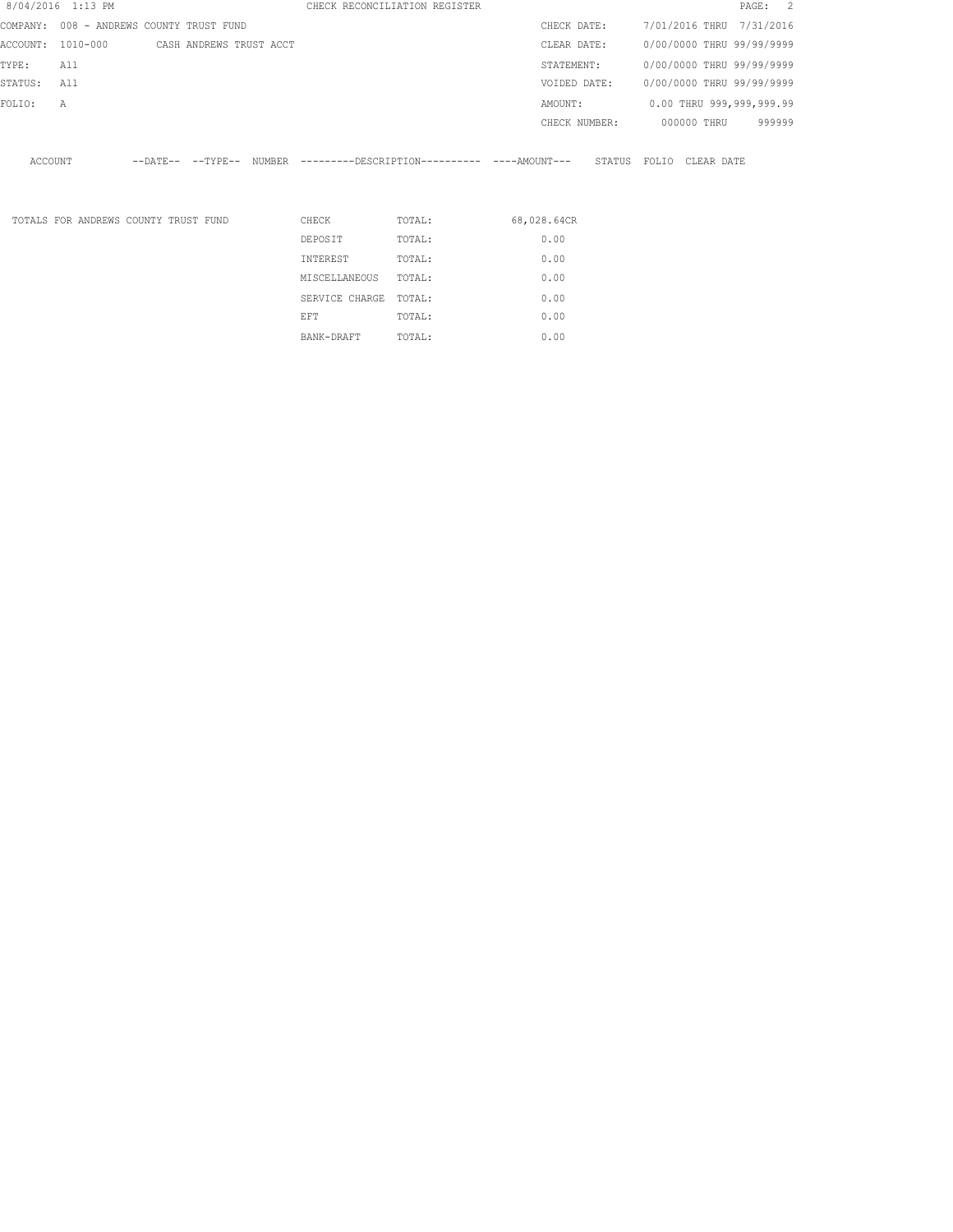|          | 8/04/2016 1:13 PM |                                      |                            |        |               | CHECK RECONCILIATION REGISTER                |               |        |       |             | PAGE: 2                   |  |
|----------|-------------------|--------------------------------------|----------------------------|--------|---------------|----------------------------------------------|---------------|--------|-------|-------------|---------------------------|--|
| COMPANY: |                   | 008 - ANDREWS COUNTY TRUST FUND      |                            |        |               |                                              | CHECK DATE:   |        |       |             | 7/01/2016 THRU 7/31/2016  |  |
| ACCOUNT: | 1010-000          |                                      | CASH ANDREWS TRUST ACCT    |        |               |                                              | CLEAR DATE:   |        |       |             | 0/00/0000 THRU 99/99/9999 |  |
| TYPE:    | All               |                                      |                            |        |               |                                              | STATEMENT:    |        |       |             | 0/00/0000 THRU 99/99/9999 |  |
| STATUS:  | All               |                                      |                            |        |               |                                              | VOIDED DATE:  |        |       |             | 0/00/0000 THRU 99/99/9999 |  |
| FOLIO:   | Α                 |                                      |                            |        |               |                                              | AMOUNT:       |        |       |             | 0.00 THRU 999,999,999.99  |  |
|          |                   |                                      |                            |        |               |                                              | CHECK NUMBER: |        |       | 000000 THRU | 999999                    |  |
| ACCOUNT  |                   |                                      | $--$ DATE $- --$ TYPE $--$ | NUMBER |               | ---------DESCRIPTION---------- ----AMOUNT--- |               | STATUS | FOLIO | CLEAR DATE  |                           |  |
|          |                   | TOTALS FOR ANDREWS COUNTY TRUST FUND |                            |        | CHECK         | TOTAL:                                       | 68,028.64CR   |        |       |             |                           |  |
|          |                   |                                      |                            |        | DEPOSIT       | TOTAL:                                       | 0.00          |        |       |             |                           |  |
|          |                   |                                      |                            |        | INTEREST      | TOTAL:                                       | 0.00          |        |       |             |                           |  |
|          |                   |                                      |                            |        | MISCELLANEOUS | TOTAL:                                       | 0.00          |        |       |             |                           |  |

SERVICE CHARGE TOTAL: 0.00 EFT TOTAL:  $0.00$ BANK-DRAFT TOTAL:  $0.00$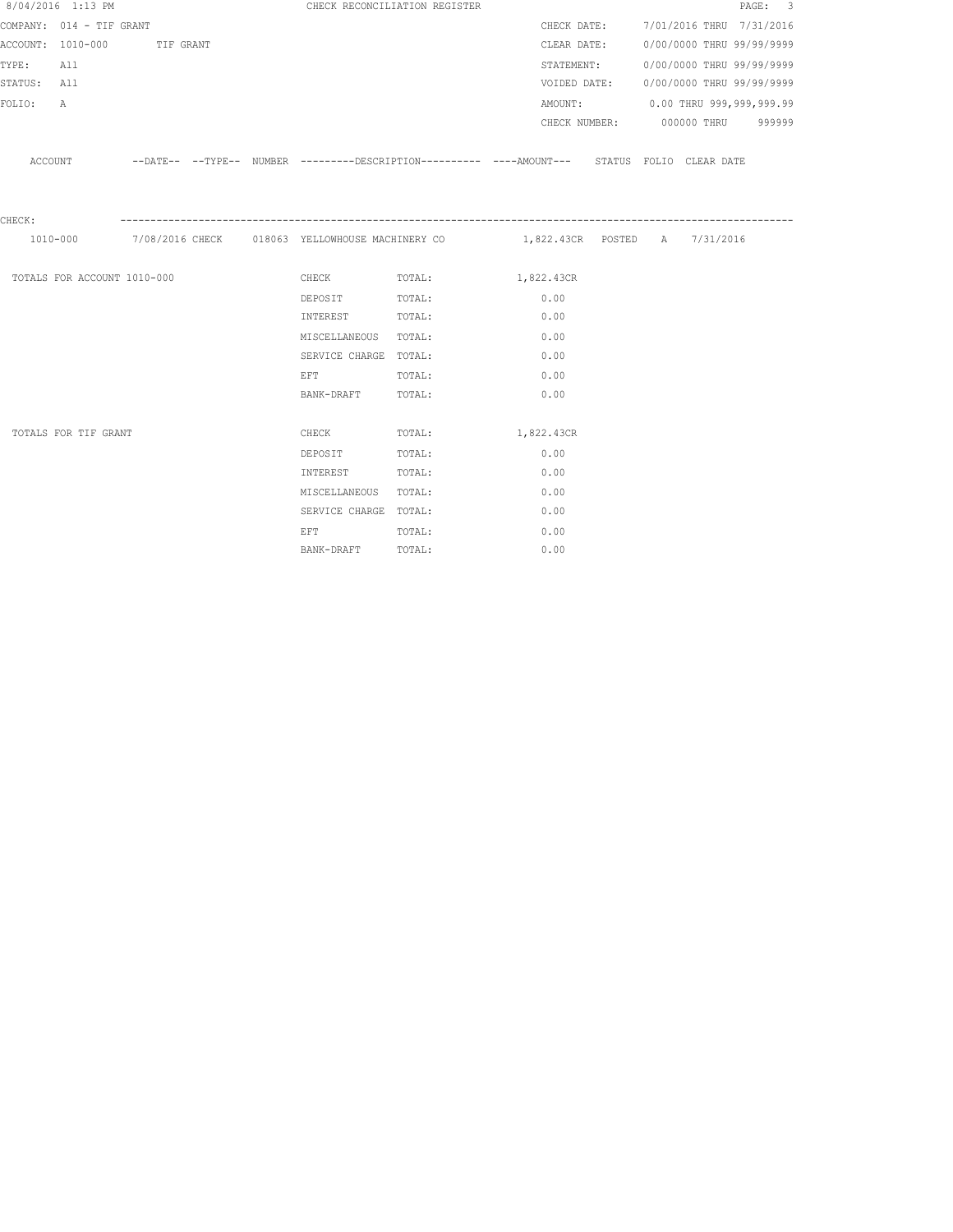|             | 8/04/2016 1:13 PM           |  |                                                                                                                | CHECK RECONCILIATION REGISTER                                                                      |      |             |  |                                        | PAGE: 3 |
|-------------|-----------------------------|--|----------------------------------------------------------------------------------------------------------------|----------------------------------------------------------------------------------------------------|------|-------------|--|----------------------------------------|---------|
|             | COMPANY: 014 - TIF GRANT    |  |                                                                                                                |                                                                                                    |      |             |  | CHECK DATE: 7/01/2016 THRU 7/31/2016   |         |
|             | ACCOUNT: 1010-000 TIF GRANT |  |                                                                                                                |                                                                                                    |      | CLEAR DATE: |  | 0/00/0000 THRU 99/99/9999              |         |
| TYPE: All   |                             |  |                                                                                                                |                                                                                                    |      | STATEMENT:  |  | 0/00/0000 THRU 99/99/9999              |         |
| STATUS: All |                             |  |                                                                                                                |                                                                                                    |      |             |  | VOIDED DATE: 0/00/0000 THRU 99/99/9999 |         |
| FOLIO:      | $\mathbb{A}$                |  |                                                                                                                |                                                                                                    |      |             |  | AMOUNT: 0.00 THRU 999,999,999.99       |         |
|             |                             |  |                                                                                                                |                                                                                                    |      |             |  | CHECK NUMBER: 000000 THRU 999999       |         |
|             |                             |  |                                                                                                                | ACCOUNT -DATE-- --TYPE-- NUMBER --------DESCRIPTION--------- ----AMOUNT--- STATUS FOLIO CLEAR DATE |      |             |  |                                        |         |
|             |                             |  |                                                                                                                |                                                                                                    |      |             |  |                                        |         |
| CHECK:      |                             |  |                                                                                                                |                                                                                                    |      |             |  |                                        |         |
|             |                             |  |                                                                                                                | 1010-000 7/08/2016 CHECK 018063 YELLOWHOUSE MACHINERY CO 1,822.43CR POSTED A 7/31/2016             |      |             |  |                                        |         |
|             | TOTALS FOR ACCOUNT 1010-000 |  |                                                                                                                | CHECK TOTAL: 1,822.43CR                                                                            |      |             |  |                                        |         |
|             |                             |  | DEPOSIT TOTAL:                                                                                                 |                                                                                                    |      | 0.00        |  |                                        |         |
|             |                             |  | INTEREST TOTAL:                                                                                                |                                                                                                    |      | 0.00        |  |                                        |         |
|             |                             |  | MISCELLANEOUS TOTAL:                                                                                           |                                                                                                    |      | 0.00        |  |                                        |         |
|             |                             |  | SERVICE CHARGE TOTAL:                                                                                          |                                                                                                    |      | 0.00        |  |                                        |         |
|             |                             |  | EFT FOR THE STATE OF THE STATE OF THE STATE OF THE STATE OF THE STATE OF THE STATE OF THE STATE OF THE STATE O | TOTAL:                                                                                             | 0.00 |             |  |                                        |         |
|             |                             |  | BANK-DRAFT TOTAL:                                                                                              |                                                                                                    |      | 0.00        |  |                                        |         |
|             |                             |  |                                                                                                                |                                                                                                    |      |             |  |                                        |         |
|             | TOTALS FOR TIF GRANT        |  | <b>CHECK</b>                                                                                                   | TOTAL: 1,822.43CR                                                                                  |      |             |  |                                        |         |
|             |                             |  | DEPOSIT                                                                                                        | TOTAL:                                                                                             |      | 0.00        |  |                                        |         |
|             |                             |  | INTEREST                                                                                                       | TOTAL:                                                                                             |      | 0.00        |  |                                        |         |
|             |                             |  | MISCELLANEOUS TOTAL:                                                                                           |                                                                                                    |      | 0.00        |  |                                        |         |
|             |                             |  | SERVICE CHARGE TOTAL:                                                                                          |                                                                                                    |      | 0.00        |  |                                        |         |
|             |                             |  | EFT FOR THE STATE OF THE STATE OF THE STATE OF THE STATE OF THE STATE OF THE STATE OF THE STATE OF THE STATE O | TOTAL:                                                                                             |      | 0.00        |  |                                        |         |
|             |                             |  | BANK-DRAFT                                                                                                     | TOTAL:                                                                                             |      | 0.00        |  |                                        |         |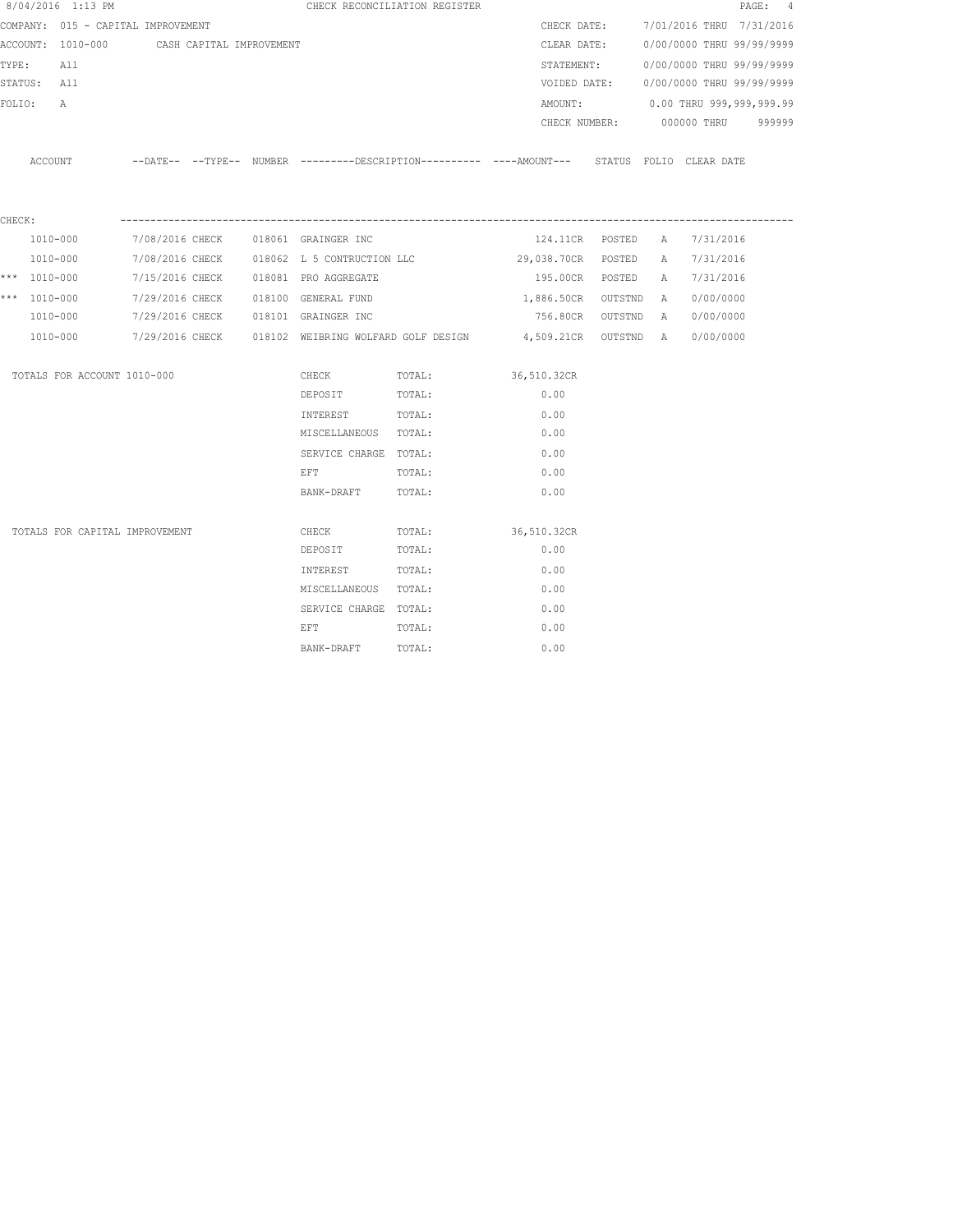|        | 8/04/2016 1:13 PM                  |                          |  |                                            | CHECK RECONCILIATION REGISTER                                                              |                      |               |   |                                        | PAGE: 4 |
|--------|------------------------------------|--------------------------|--|--------------------------------------------|--------------------------------------------------------------------------------------------|----------------------|---------------|---|----------------------------------------|---------|
|        | COMPANY: 015 - CAPITAL IMPROVEMENT |                          |  |                                            |                                                                                            | CHECK DATE:          |               |   | 7/01/2016 THRU 7/31/2016               |         |
|        | ACCOUNT: 1010-000                  | CASH CAPITAL IMPROVEMENT |  |                                            |                                                                                            | CLEAR DATE:          |               |   | 0/00/0000 THRU 99/99/9999              |         |
| TYPE:  | All                                |                          |  |                                            |                                                                                            |                      |               |   | STATEMENT: 0/00/0000 THRU 99/99/9999   |         |
|        | STATUS: All                        |                          |  |                                            |                                                                                            |                      |               |   | VOIDED DATE: 0/00/0000 THRU 99/99/9999 |         |
| FOLIO: | A                                  |                          |  |                                            |                                                                                            | AMOUNT:              |               |   | 0.00 THRU 999,999,999.99               |         |
|        |                                    |                          |  |                                            |                                                                                            |                      | CHECK NUMBER: |   | 000000 THRU                            | 999999  |
|        | ACCOUNT                            |                          |  |                                            | --DATE-- --TYPE-- NUMBER --------DESCRIPTION--------- ----AMOUNT--- STATUS FOLIO CLEARDATE |                      |               |   |                                        |         |
| CHECK: |                                    |                          |  |                                            |                                                                                            |                      |               |   |                                        |         |
|        | 1010-000                           |                          |  | 7/08/2016 CHECK 018061 GRAINGER INC        |                                                                                            | 124.11CR POSTED      |               | A | 7/31/2016                              |         |
|        | 1010-000                           |                          |  | 7/08/2016 CHECK 018062 L 5 CONTRUCTION LLC |                                                                                            | 29,038.70CR POSTED   |               | A | 7/31/2016                              |         |
|        | *** $1010 - 000$                   | 7/15/2016 CHECK          |  | 018081 PRO AGGREGATE                       |                                                                                            | 195.00CR POSTED      |               | A | 7/31/2016                              |         |
|        | *** $1010 - 000$                   | 7/29/2016 CHECK          |  | 018100 GENERAL FUND                        |                                                                                            | 1,886.50CR OUTSTND A |               |   | 0/00/0000                              |         |
|        | 1010-000                           |                          |  | 7/29/2016 CHECK 018101 GRAINGER INC        |                                                                                            | 756.80CR OUTSTND     |               | A | 0/00/0000                              |         |
|        | 1010-000                           |                          |  |                                            | 7/29/2016 CHECK 618102 WEIBRING WOLFARD GOLF DESIGN 64,509.21CR OUTSTND A                  |                      |               |   | 0/00/0000                              |         |
|        | TOTALS FOR ACCOUNT 1010-000        |                          |  | CHECK                                      | TOTAL:                                                                                     | 36,510.32CR          |               |   |                                        |         |
|        |                                    |                          |  | DEPOSIT                                    | TOTAL:                                                                                     | 0.00                 |               |   |                                        |         |
|        |                                    |                          |  | INTEREST                                   | TOTAL:                                                                                     | 0.00                 |               |   |                                        |         |
|        |                                    |                          |  | MISCELLANEOUS TOTAL:                       |                                                                                            | 0.00                 |               |   |                                        |         |
|        |                                    |                          |  | SERVICE CHARGE TOTAL:                      |                                                                                            | 0.00                 |               |   |                                        |         |
|        |                                    |                          |  | <b>EFT</b>                                 | TOTAL:                                                                                     | 0.00                 |               |   |                                        |         |
|        |                                    |                          |  | BANK-DRAFT                                 | TOTAL:                                                                                     | 0.00                 |               |   |                                        |         |
|        | TOTALS FOR CAPITAL IMPROVEMENT     |                          |  | CHECK                                      | TOTAL:                                                                                     | 36,510.32CR          |               |   |                                        |         |
|        |                                    |                          |  | DEPOSIT                                    | TOTAL:                                                                                     | 0.00                 |               |   |                                        |         |
|        |                                    |                          |  | INTEREST                                   | TOTAL:                                                                                     | 0.00                 |               |   |                                        |         |
|        |                                    |                          |  | MISCELLANEOUS TOTAL:                       |                                                                                            | 0.00                 |               |   |                                        |         |
|        |                                    |                          |  | SERVICE CHARGE TOTAL:                      |                                                                                            | 0.00                 |               |   |                                        |         |
|        |                                    |                          |  | EFT                                        | TOTAL:                                                                                     | 0.00                 |               |   |                                        |         |
|        |                                    |                          |  | BANK-DRAFT                                 | TOTAL:                                                                                     | 0.00                 |               |   |                                        |         |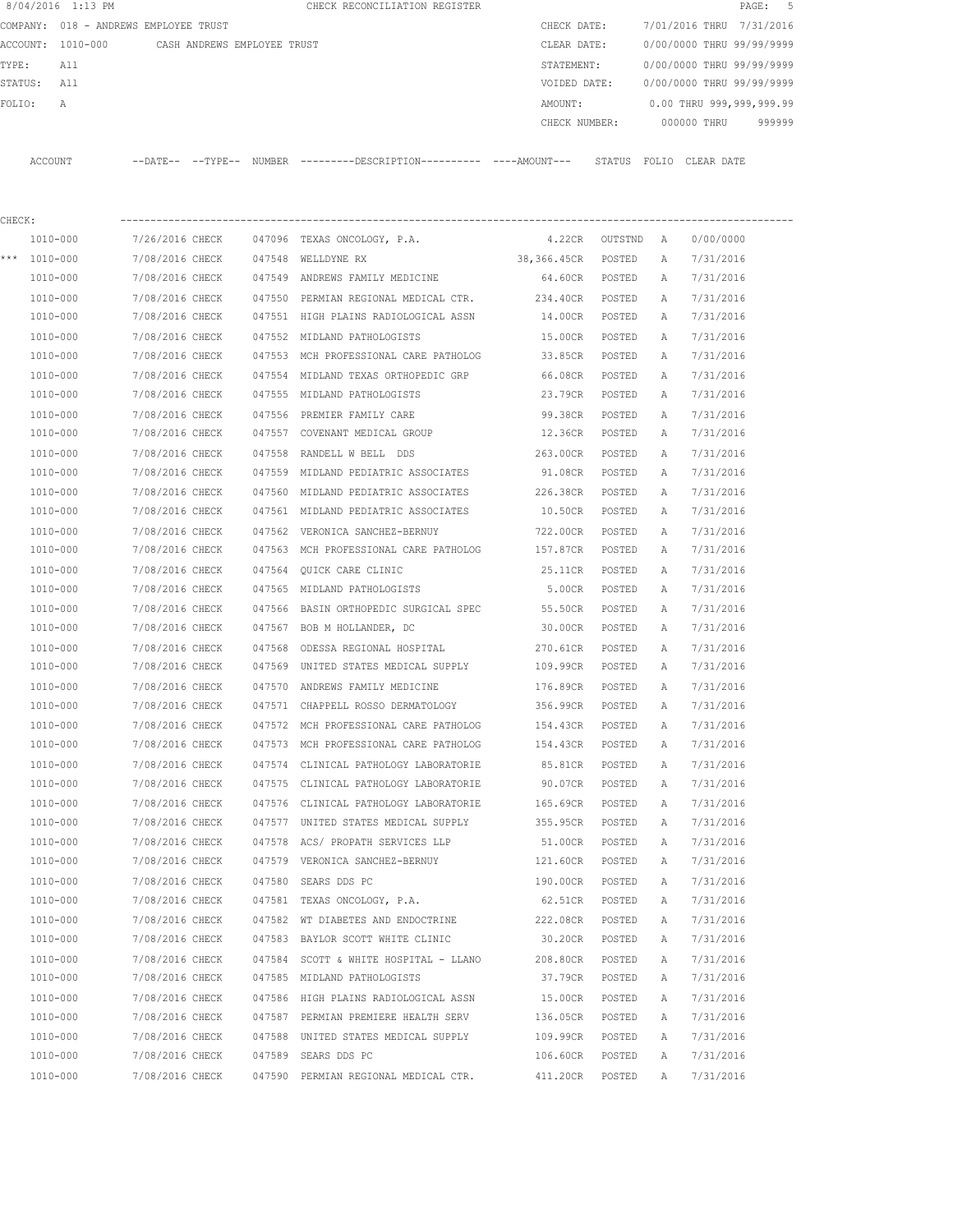|          | 8/04/2016 1:13 PM |                                       |        | CHECK RECONCILIATION REGISTER |               |                           |            | PAGE: 5 |
|----------|-------------------|---------------------------------------|--------|-------------------------------|---------------|---------------------------|------------|---------|
|          |                   | COMPANY: 018 - ANDREWS EMPLOYEE TRUST |        |                               | CHECK DATE:   | 7/01/2016 THRU 7/31/2016  |            |         |
| ACCOUNT: | 1010-000          | CASH ANDREWS EMPLOYEE TRUST           |        |                               | CLEAR DATE:   | 0/00/0000 THRU 99/99/9999 |            |         |
| TYPE:    | All               |                                       |        |                               | STATEMENT:    | 0/00/0000 THRU 99/99/9999 |            |         |
| STATUS:  | All               |                                       |        |                               | VOIDED DATE:  | 0/00/0000 THRU 99/99/9999 |            |         |
| FOLTO:   | A                 |                                       |        |                               | AMOUNT:       | 0.00 THRU 999,999,999.99  |            |         |
|          |                   |                                       |        |                               | CHECK NUMBER: | 000000 THRU               |            | 999999  |
|          |                   |                                       |        |                               |               |                           |            |         |
| ACCOUNT  |                   | $---$ DATE $-- ---$ TYPE $---$        | NUMBER |                               |               | STATUS<br>FOLIO           | CLEAR DATE |         |

| CHECK: |              |                 |        |                                       |                 |           |   |           |
|--------|--------------|-----------------|--------|---------------------------------------|-----------------|-----------|---|-----------|
|        | 1010-000     | 7/26/2016 CHECK |        | 047096 TEXAS ONCOLOGY, P.A.           | 4.22CR          | OUTSTND A |   | 0/00/0000 |
|        | *** 1010-000 | 7/08/2016 CHECK |        | 047548 WELLDYNE RX                    | 38,366.45CR     | POSTED    | А | 7/31/2016 |
|        | 1010-000     | 7/08/2016 CHECK |        | 047549 ANDREWS FAMILY MEDICINE        | 64.60CR POSTED  |           | Α | 7/31/2016 |
|        | 1010-000     | 7/08/2016 CHECK |        | 047550 PERMIAN REGIONAL MEDICAL CTR.  | 234.40CR POSTED |           | Α | 7/31/2016 |
|        | 1010-000     | 7/08/2016 CHECK |        | 047551 HIGH PLAINS RADIOLOGICAL ASSN  | 14.00CR POSTED  |           | Α | 7/31/2016 |
|        | 1010-000     | 7/08/2016 CHECK |        | 047552 MIDLAND PATHOLOGISTS           | 15.00CR POSTED  |           | A | 7/31/2016 |
|        | 1010-000     | 7/08/2016 CHECK |        | 047553 MCH PROFESSIONAL CARE PATHOLOG | 33.85CR POSTED  |           | A | 7/31/2016 |
|        | 1010-000     | 7/08/2016 CHECK |        | 047554 MIDLAND TEXAS ORTHOPEDIC GRP   | 66.08CR POSTED  |           | Α | 7/31/2016 |
|        | 1010-000     | 7/08/2016 CHECK |        | 047555 MIDLAND PATHOLOGISTS           | 23.79CR POSTED  |           | Α | 7/31/2016 |
|        | 1010-000     | 7/08/2016 CHECK |        | 047556 PREMIER FAMILY CARE            | 99.38CR POSTED  |           | Α | 7/31/2016 |
|        | 1010-000     | 7/08/2016 CHECK |        | 047557 COVENANT MEDICAL GROUP         | 12.36CR POSTED  |           | Α | 7/31/2016 |
|        | 1010-000     | 7/08/2016 CHECK |        | 047558 RANDELL W BELL DDS             | 263.00CR POSTED |           | Α | 7/31/2016 |
|        | 1010-000     | 7/08/2016 CHECK |        | 047559 MIDLAND PEDIATRIC ASSOCIATES   | 91.08CR POSTED  |           | Α | 7/31/2016 |
|        | 1010-000     | 7/08/2016 CHECK |        | 047560 MIDLAND PEDIATRIC ASSOCIATES   | 226.38CR POSTED |           | Α | 7/31/2016 |
|        | 1010-000     | 7/08/2016 CHECK |        | 047561 MIDLAND PEDIATRIC ASSOCIATES   | 10.50CR POSTED  |           | Α | 7/31/2016 |
|        | 1010-000     | 7/08/2016 CHECK |        | 047562 VERONICA SANCHEZ-BERNUY        | 722.00CR POSTED |           | Α | 7/31/2016 |
|        | 1010-000     | 7/08/2016 CHECK |        | 047563 MCH PROFESSIONAL CARE PATHOLOG | 157.87CR POSTED |           | Α | 7/31/2016 |
|        | 1010-000     | 7/08/2016 CHECK |        | 047564 QUICK CARE CLINIC              | 25.11CR POSTED  |           | Α | 7/31/2016 |
|        | 1010-000     | 7/08/2016 CHECK |        | 047565 MIDLAND PATHOLOGISTS           | 5.00CR POSTED   |           | A | 7/31/2016 |
|        | 1010-000     | 7/08/2016 CHECK |        | 047566 BASIN ORTHOPEDIC SURGICAL SPEC | 55.50CR POSTED  |           | Α | 7/31/2016 |
|        | 1010-000     | 7/08/2016 CHECK |        | 047567 BOB M HOLLANDER, DC            | 30.00CR POSTED  |           | A | 7/31/2016 |
|        | 1010-000     | 7/08/2016 CHECK |        | 047568 ODESSA REGIONAL HOSPITAL       | 270.61CR        | POSTED    | A | 7/31/2016 |
|        | 1010-000     | 7/08/2016 CHECK |        | 047569 UNITED STATES MEDICAL SUPPLY   | 109.99CR        | POSTED    | Α | 7/31/2016 |
|        | 1010-000     | 7/08/2016 CHECK |        | 047570 ANDREWS FAMILY MEDICINE        | 176.89CR        | POSTED    | Α | 7/31/2016 |
|        | 1010-000     | 7/08/2016 CHECK |        | 047571 CHAPPELL ROSSO DERMATOLOGY     | 356.99CR POSTED |           | Α | 7/31/2016 |
|        | 1010-000     | 7/08/2016 CHECK |        | 047572 MCH PROFESSIONAL CARE PATHOLOG | 154.43CR        | POSTED    | Α | 7/31/2016 |
|        | 1010-000     | 7/08/2016 CHECK |        | 047573 MCH PROFESSIONAL CARE PATHOLOG | 154.43CR POSTED |           | Α | 7/31/2016 |
|        | 1010-000     | 7/08/2016 CHECK |        | 047574 CLINICAL PATHOLOGY LABORATORIE | 85.81CR POSTED  |           | Α | 7/31/2016 |
|        | 1010-000     | 7/08/2016 CHECK |        | 047575 CLINICAL PATHOLOGY LABORATORIE | 90.07CR POSTED  |           | Α | 7/31/2016 |
|        | 1010-000     | 7/08/2016 CHECK |        | 047576 CLINICAL PATHOLOGY LABORATORIE | 165.69CR POSTED |           | Α | 7/31/2016 |
|        | 1010-000     | 7/08/2016 CHECK |        | 047577 UNITED STATES MEDICAL SUPPLY   | 355.95CR POSTED |           | A | 7/31/2016 |
|        | 1010-000     | 7/08/2016 CHECK | 047578 | ACS/ PROPATH SERVICES LLP             | 51.00CR POSTED  |           | Α | 7/31/2016 |
|        | 1010-000     | 7/08/2016 CHECK |        | 047579 VERONICA SANCHEZ-BERNUY        | 121.60CR POSTED |           | A | 7/31/2016 |
|        | 1010-000     | 7/08/2016 CHECK |        | 047580 SEARS DDS PC                   | 190.00CR        | POSTED    | Α | 7/31/2016 |
|        | 1010-000     | 7/08/2016 CHECK |        | 047581 TEXAS ONCOLOGY, P.A.           | 62.51CR         | POSTED    | Α | 7/31/2016 |
|        | 1010-000     | 7/08/2016 CHECK |        | 047582 WT DIABETES AND ENDOCTRINE     | 222.08CR        | POSTED    | А | 7/31/2016 |
|        | 1010-000     | 7/08/2016 CHECK |        | 047583 BAYLOR SCOTT WHITE CLINIC      | 30.20CR         | POSTED    | Α | 7/31/2016 |
|        | 1010-000     | 7/08/2016 CHECK |        | 047584 SCOTT & WHITE HOSPITAL - LLANO | 208.80CR        | POSTED    | Α | 7/31/2016 |
|        | 1010-000     | 7/08/2016 CHECK |        | 047585 MIDLAND PATHOLOGISTS           | 37.79CR         | POSTED    | Α | 7/31/2016 |
|        | 1010-000     | 7/08/2016 CHECK |        | 047586 HIGH PLAINS RADIOLOGICAL ASSN  | 15.00CR         | POSTED    | Α | 7/31/2016 |
|        | 1010-000     | 7/08/2016 CHECK |        | 047587 PERMIAN PREMIERE HEALTH SERV   | 136.05CR        | POSTED    | Α | 7/31/2016 |
|        | 1010-000     | 7/08/2016 CHECK |        | 047588 UNITED STATES MEDICAL SUPPLY   | 109.99CR        | POSTED    | Α | 7/31/2016 |
|        | 1010-000     | 7/08/2016 CHECK |        | 047589 SEARS DDS PC                   | 106.60CR        | POSTED    | Α | 7/31/2016 |
|        | 1010-000     | 7/08/2016 CHECK |        | 047590 PERMIAN REGIONAL MEDICAL CTR.  | 411.20CR        | POSTED    | Α | 7/31/2016 |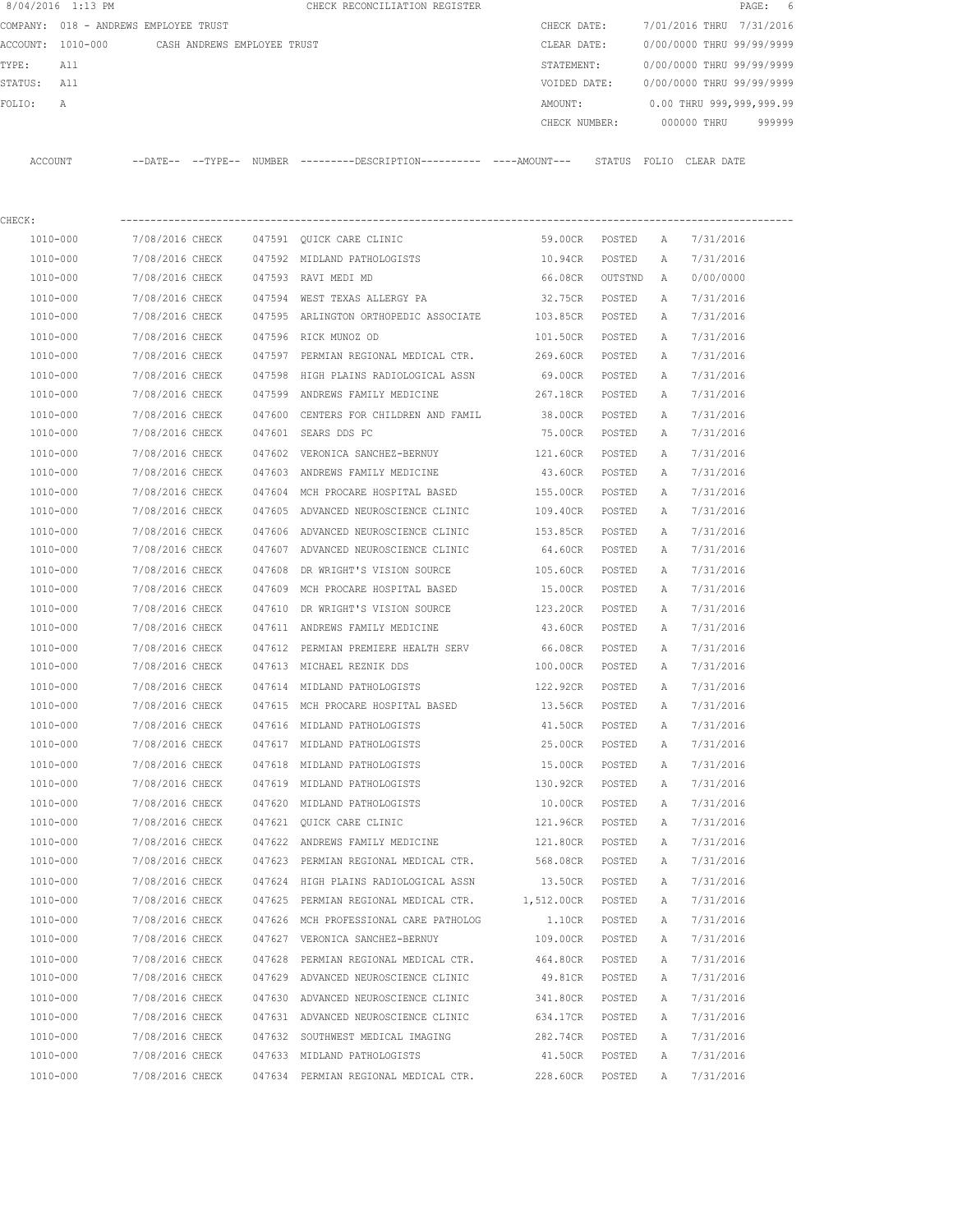|             | 8/04/2016 1:13 PM                             |                 |        | CHECK RECONCILIATION REGISTER                                                                |                 |         |              |                           | PAGE:<br>6 |
|-------------|-----------------------------------------------|-----------------|--------|----------------------------------------------------------------------------------------------|-----------------|---------|--------------|---------------------------|------------|
|             | COMPANY: 018 - ANDREWS EMPLOYEE TRUST         |                 |        |                                                                                              | CHECK DATE:     |         |              | 7/01/2016 THRU 7/31/2016  |            |
|             | ACCOUNT: 1010-000 CASH ANDREWS EMPLOYEE TRUST |                 |        |                                                                                              | CLEAR DATE:     |         |              | 0/00/0000 THRU 99/99/9999 |            |
| TYPE:       | All                                           |                 |        |                                                                                              | STATEMENT:      |         |              | 0/00/0000 THRU 99/99/9999 |            |
| STATUS: All |                                               |                 |        |                                                                                              | VOIDED DATE:    |         |              | 0/00/0000 THRU 99/99/9999 |            |
| FOLIO:      | Α                                             |                 |        |                                                                                              | AMOUNT:         |         |              | 0.00 THRU 999,999,999.99  |            |
|             |                                               |                 |        |                                                                                              | CHECK NUMBER:   |         |              | 000000 THRU               | 999999     |
|             | ACCOUNT                                       |                 |        | --DATE-- --TYPE-- NUMBER ---------DESCRIPTION---------- ----AMOUNT--- STATUS FOLIO CLEARDATE |                 |         |              |                           |            |
| CHECK:      |                                               |                 |        |                                                                                              |                 |         |              |                           |            |
|             | 1010-000                                      | 7/08/2016 CHECK |        | 047591 QUICK CARE CLINIC                                                                     | 59.00CR         | POSTED  | A            | 7/31/2016                 |            |
|             | 1010-000                                      | 7/08/2016 CHECK |        | 047592 MIDLAND PATHOLOGISTS                                                                  | 10.94CR         | POSTED  | A            | 7/31/2016                 |            |
|             | 1010-000                                      | 7/08/2016 CHECK |        | 047593 RAVI MEDI MD                                                                          | 66.08CR         | OUTSTND | A            | 0/00/0000                 |            |
|             | 1010-000                                      | 7/08/2016 CHECK |        | 047594 WEST TEXAS ALLERGY PA                                                                 | 32.75CR POSTED  |         | Α            | 7/31/2016                 |            |
|             | 1010-000                                      | 7/08/2016 CHECK |        | 047595 ARLINGTON ORTHOPEDIC ASSOCIATE                                                        | 103.85CR POSTED |         | Α            | 7/31/2016                 |            |
|             | 1010-000                                      | 7/08/2016 CHECK |        | 047596 RICK MUNOZ OD                                                                         | 101.50CR POSTED |         | $\mathbb{A}$ | 7/31/2016                 |            |
|             | 1010-000                                      | 7/08/2016 CHECK |        | 047597 PERMIAN REGIONAL MEDICAL CTR.                                                         | 269.60CR POSTED |         | Α            | 7/31/2016                 |            |
|             | 1010-000                                      | 7/08/2016 CHECK |        | 047598 HIGH PLAINS RADIOLOGICAL ASSN                                                         | 69.00CR         | POSTED  | A            | 7/31/2016                 |            |
|             | 1010-000                                      | 7/08/2016 CHECK |        | 047599 ANDREWS FAMILY MEDICINE                                                               | 267.18CR        | POSTED  | A            | 7/31/2016                 |            |
|             | 1010-000                                      | 7/08/2016 CHECK |        |                                                                                              |                 |         |              |                           |            |
|             |                                               |                 | 047600 | CENTERS FOR CHILDREN AND FAMIL                                                               | 38.00CR         | POSTED  | A            | 7/31/2016                 |            |
|             | 1010-000                                      | 7/08/2016 CHECK |        | 047601 SEARS DDS PC                                                                          | 75.00CR         | POSTED  | A            | 7/31/2016                 |            |
|             | 1010-000                                      | 7/08/2016 CHECK |        | 047602 VERONICA SANCHEZ-BERNUY                                                               | 121.60CR        | POSTED  | Α            | 7/31/2016                 |            |
|             | 1010-000                                      | 7/08/2016 CHECK |        | 047603 ANDREWS FAMILY MEDICINE                                                               | 43.60CR         | POSTED  | Α            | 7/31/2016                 |            |
|             | 1010-000                                      | 7/08/2016 CHECK |        | 047604 MCH PROCARE HOSPITAL BASED                                                            | 155.00CR        | POSTED  | А            | 7/31/2016                 |            |
|             | 1010-000                                      | 7/08/2016 CHECK |        | 047605 ADVANCED NEUROSCIENCE CLINIC                                                          | 109.40CR        | POSTED  | A            | 7/31/2016                 |            |
|             | 1010-000                                      | 7/08/2016 CHECK |        | 047606 ADVANCED NEUROSCIENCE CLINIC                                                          | 153.85CR        | POSTED  | Α            | 7/31/2016                 |            |
|             | 1010-000                                      | 7/08/2016 CHECK |        | 047607 ADVANCED NEUROSCIENCE CLINIC                                                          | 64.60CR         | POSTED  | Α            | 7/31/2016                 |            |
|             | 1010-000                                      | 7/08/2016 CHECK | 047608 | DR WRIGHT'S VISION SOURCE                                                                    | 105.60CR        | POSTED  | Α            | 7/31/2016                 |            |
|             | 1010-000                                      | 7/08/2016 CHECK |        | 047609 MCH PROCARE HOSPITAL BASED                                                            | 15.00CR         | POSTED  | A            | 7/31/2016                 |            |
|             | 1010-000                                      | 7/08/2016 CHECK | 047610 | DR WRIGHT'S VISION SOURCE                                                                    | 123.20CR        | POSTED  | А            | 7/31/2016                 |            |
|             | 1010-000                                      | 7/08/2016 CHECK |        | 047611 ANDREWS FAMILY MEDICINE                                                               | 43.60CR         | POSTED  | Α            | 7/31/2016                 |            |
|             | 1010-000                                      | 7/08/2016 CHECK |        | 047612 PERMIAN PREMIERE HEALTH SERV                                                          | 66.08CR         | POSTED  | Α            | 7/31/2016                 |            |
|             | 1010-000                                      | 7/08/2016 CHECK |        | 047613 MICHAEL REZNIK DDS                                                                    | 100.00CR        | POSTED  | A            | 7/31/2016                 |            |
|             | 1010-000                                      | 7/08/2016 CHECK |        | 047614 MIDLAND PATHOLOGISTS                                                                  | 122.92CR        | POSTED  | A            | 7/31/2016                 |            |
|             | 1010-000                                      | 7/08/2016 CHECK |        | 047615 MCH PROCARE HOSPITAL BASED                                                            | 13.56CR         | POSTED  | Α            | 7/31/2016                 |            |
|             | 1010-000                                      | 7/08/2016 CHECK |        | 047616 MIDLAND PATHOLOGISTS                                                                  | 41.50CR         | POSTED  | Α            | 7/31/2016                 |            |
|             | 1010-000                                      | 7/08/2016 CHECK |        | 047617 MIDLAND PATHOLOGISTS                                                                  | 25.00CR         | POSTED  | Α            | 7/31/2016                 |            |
|             | 1010-000                                      | 7/08/2016 CHECK |        | 047618 MIDLAND PATHOLOGISTS                                                                  | 15.00CR         | POSTED  | Α            | 7/31/2016                 |            |
|             | 1010-000                                      | 7/08/2016 CHECK |        | 047619 MIDLAND PATHOLOGISTS                                                                  | 130.92CR        | POSTED  | Α            | 7/31/2016                 |            |
|             | 1010-000                                      | 7/08/2016 CHECK |        | 047620 MIDLAND PATHOLOGISTS                                                                  | 10.00CR         | POSTED  | Α            | 7/31/2016                 |            |
|             | 1010-000                                      | 7/08/2016 CHECK |        | 047621 QUICK CARE CLINIC                                                                     | 121.96CR        | POSTED  | Α            | 7/31/2016                 |            |
|             | 1010-000                                      | 7/08/2016 CHECK |        | 047622 ANDREWS FAMILY MEDICINE                                                               | 121.80CR        | POSTED  | Α            | 7/31/2016                 |            |
|             | 1010-000                                      | 7/08/2016 CHECK |        | 047623 PERMIAN REGIONAL MEDICAL CTR.                                                         | 568.08CR        | POSTED  | Α            | 7/31/2016                 |            |
|             | 1010-000                                      | 7/08/2016 CHECK |        | 047624 HIGH PLAINS RADIOLOGICAL ASSN                                                         | 13.50CR         | POSTED  | Α            | 7/31/2016                 |            |
|             | 1010-000                                      | 7/08/2016 CHECK |        | 047625 PERMIAN REGIONAL MEDICAL CTR. 1,512.00CR                                              |                 | POSTED  | Α            | 7/31/2016                 |            |
|             | 1010-000                                      | 7/08/2016 CHECK |        | 047626 MCH PROFESSIONAL CARE PATHOLOG                                                        | 1.10CR          | POSTED  | Α            | 7/31/2016                 |            |
|             | 1010-000                                      | 7/08/2016 CHECK |        | 047627 VERONICA SANCHEZ-BERNUY                                                               | 109.00CR        | POSTED  | Α            | 7/31/2016                 |            |
|             | 1010-000                                      | 7/08/2016 CHECK |        | 047628 PERMIAN REGIONAL MEDICAL CTR.                                                         | 464.80CR        | POSTED  | Α            | 7/31/2016                 |            |
|             | 1010-000                                      | 7/08/2016 CHECK |        | 047629 ADVANCED NEUROSCIENCE CLINIC                                                          | 49.81CR         | POSTED  | Α            | 7/31/2016                 |            |
|             | 1010-000                                      | 7/08/2016 CHECK |        | 047630 ADVANCED NEUROSCIENCE CLINIC                                                          | 341.80CR        | POSTED  | Α            | 7/31/2016                 |            |
|             | 1010-000                                      | 7/08/2016 CHECK |        | 047631 ADVANCED NEUROSCIENCE CLINIC                                                          | 634.17CR        | POSTED  | Α            | 7/31/2016                 |            |
|             | 1010-000                                      | 7/08/2016 CHECK |        | 047632 SOUTHWEST MEDICAL IMAGING                                                             | 282.74CR        | POSTED  | Α            | 7/31/2016                 |            |
|             | 1010-000                                      | 7/08/2016 CHECK |        | 047633 MIDLAND PATHOLOGISTS                                                                  | 41.50CR         | POSTED  | Α            | 7/31/2016                 |            |
|             | 1010-000                                      | 7/08/2016 CHECK |        | 047634 PERMIAN REGIONAL MEDICAL CTR.                                                         | 228.60CR        | POSTED  | Α            | 7/31/2016                 |            |
|             |                                               |                 |        |                                                                                              |                 |         |              |                           |            |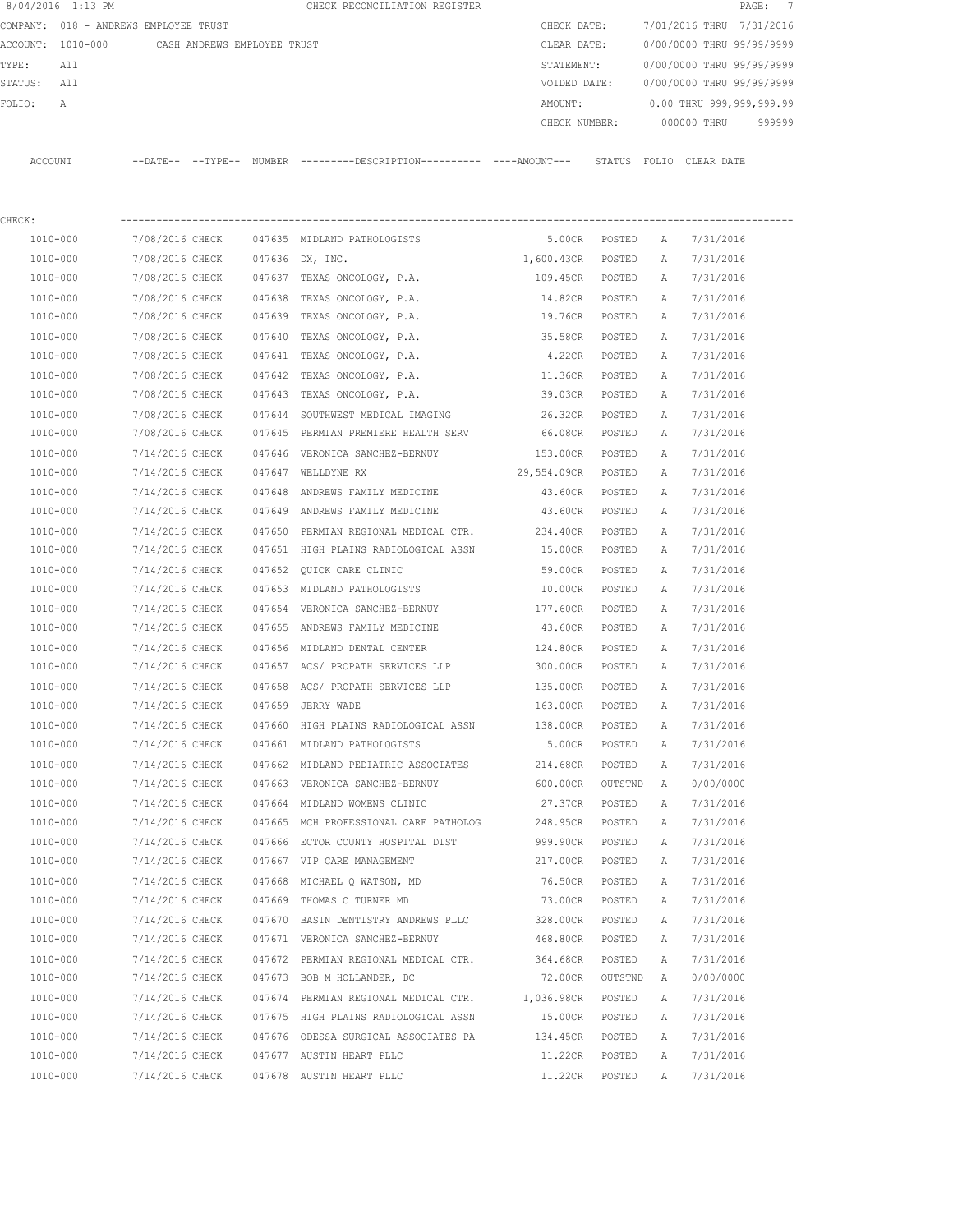|             | 8/04/2016 1:13 PM                     |                             |  | CHECK RECONCILIATION REGISTER                                                               |                    |         |              | PAGE: 7                     |  |
|-------------|---------------------------------------|-----------------------------|--|---------------------------------------------------------------------------------------------|--------------------|---------|--------------|-----------------------------|--|
|             | COMPANY: 018 - ANDREWS EMPLOYEE TRUST |                             |  |                                                                                             | CHECK DATE:        |         |              | 7/01/2016 THRU 7/31/2016    |  |
|             | ACCOUNT: 1010-000                     | CASH ANDREWS EMPLOYEE TRUST |  |                                                                                             | CLEAR DATE:        |         |              | 0/00/0000 THRU 99/99/9999   |  |
| TYPE:       | All                                   |                             |  |                                                                                             | STATEMENT:         |         |              | 0/00/0000 THRU 99/99/9999   |  |
| STATUS: All |                                       |                             |  |                                                                                             | VOIDED DATE:       |         |              | 0/00/0000 THRU 99/99/9999   |  |
| FOLIO:      | A                                     |                             |  |                                                                                             | AMOUNT:            |         |              | 0.00 THRU 999,999,999.99    |  |
|             |                                       |                             |  |                                                                                             | CHECK NUMBER:      |         |              | 000000 THRU 999999          |  |
|             |                                       |                             |  |                                                                                             |                    |         |              |                             |  |
| ACCOUNT     |                                       |                             |  | --DATE-- --TYPE-- NUMBER ---------DESCRIPTION--------- ----AMOUNT--- STATUS FOLIO CLEARDATE |                    |         |              |                             |  |
| CHECK:      |                                       |                             |  |                                                                                             |                    |         |              |                             |  |
|             |                                       |                             |  | 1010-000 7/08/2016 CHECK 047635 MIDLAND PATHOLOGISTS                                        | 5.00CR POSTED      |         | A            | 7/31/2016                   |  |
|             | 1010-000                              |                             |  | 7/08/2016 CHECK 047636 DX, INC.                                                             | 1,600.43CR POSTED  |         | $\mathbb{A}$ | 7/31/2016                   |  |
|             | 1010-000                              |                             |  | 7/08/2016 CHECK 047637 TEXAS ONCOLOGY, P.A.                                                 | 109.45CR POSTED    |         | A            | 7/31/2016                   |  |
|             | 1010-000                              |                             |  | 7/08/2016 CHECK 047638 TEXAS ONCOLOGY, P.A.                                                 | 14.82CR POSTED     |         | A            | 7/31/2016                   |  |
|             | 1010-000                              |                             |  | 7/08/2016 CHECK 047639 TEXAS ONCOLOGY, P.A.                                                 | 19.76CR POSTED     |         | A            | 7/31/2016                   |  |
|             | 1010-000                              |                             |  | 7/08/2016 CHECK 047640 TEXAS ONCOLOGY, P.A.                                                 | 35.58CR POSTED     |         | A            | 7/31/2016                   |  |
|             | 1010-000                              | 7/08/2016 CHECK             |  | 047641 TEXAS ONCOLOGY, P.A.                                                                 | 4.22CR POSTED      |         | A            | 7/31/2016                   |  |
|             | 1010-000                              | 7/08/2016 CHECK             |  | 047642 TEXAS ONCOLOGY, P.A.                                                                 | 11.36CR            | POSTED  | A            | 7/31/2016                   |  |
|             | 1010-000                              | 7/08/2016 CHECK             |  | 047643 TEXAS ONCOLOGY, P.A.                                                                 | 39.03CR            | POSTED  | A            | 7/31/2016                   |  |
|             | 1010-000                              |                             |  | 7/08/2016 CHECK 047644 SOUTHWEST MEDICAL IMAGING $26.32CR$ POSTED                           |                    |         | A            | 7/31/2016                   |  |
|             | 1010-000                              |                             |  | 7/08/2016 CHECK 047645 PERMIAN PREMIERE HEALTH SERV 66.08CR POSTED                          |                    |         | A            | 7/31/2016                   |  |
|             | 1010-000                              |                             |  | 7/14/2016 CHECK 047646 VERONICA SANCHEZ-BERNUY 153.00CR POSTED                              |                    |         | A            | 7/31/2016                   |  |
|             | 1010-000                              |                             |  | 7/14/2016 CHECK 047647 WELLDYNE RX                                                          | 29,554.09CR POSTED |         | A            | 7/31/2016                   |  |
|             | 1010-000                              |                             |  | 7/14/2016 CHECK 047648 ANDREWS FAMILY MEDICINE                                              | 43.60CR POSTED     |         | A            | 7/31/2016                   |  |
|             | 1010-000                              |                             |  | 7/14/2016 CHECK 047649 ANDREWS FAMILY MEDICINE                                              | 43.60CR POSTED     |         | A            | 7/31/2016                   |  |
|             | 1010-000                              |                             |  | 7/14/2016 CHECK 047650 PERMIAN REGIONAL MEDICAL CTR.                                        | 234.40CR           | POSTED  | A            | 7/31/2016                   |  |
|             | 1010-000                              |                             |  | 7/14/2016 CHECK 047651 HIGH PLAINS RADIOLOGICAL ASSN                                        | 15.00CR POSTED     |         | A            | 7/31/2016                   |  |
|             | 1010-000                              | 7/14/2016 CHECK             |  | 047652 QUICK CARE CLINIC                                                                    | 59.00CR            | POSTED  | A            | 7/31/2016                   |  |
|             | 1010-000                              | 7/14/2016 CHECK             |  | 047653 MIDLAND PATHOLOGISTS                                                                 | 10.00CR            | POSTED  | A            | 7/31/2016                   |  |
|             | 1010-000                              | 7/14/2016 CHECK             |  | 047654 VERONICA SANCHEZ-BERNUY                                                              | 177.60CR           | POSTED  | A            | 7/31/2016                   |  |
|             | 1010-000                              |                             |  | 7/14/2016 CHECK 047655 ANDREWS FAMILY MEDICINE                                              | 43.60CR POSTED     |         | A            | 7/31/2016                   |  |
|             | 1010-000                              |                             |  | 7/14/2016 CHECK 047656 MIDLAND DENTAL CENTER                                                | 124.80CR POSTED    |         | A            | 7/31/2016                   |  |
|             | 1010-000                              |                             |  | 7/14/2016 CHECK 047657 ACS/ PROPATH SERVICES LLP                                            | 300.00CR POSTED    |         | A            | 7/31/2016                   |  |
|             | 1010-000                              |                             |  | 7/14/2016 CHECK 047658 ACS/ PROPATH SERVICES LLP                                            |                    |         |              | 135.00CR POSTED A 7/31/2016 |  |
|             | 1010-000                              | 7/14/2016 CHECK             |  | 047659 JERRY WADE                                                                           | 163.00CR           | POSTED  | A            | 7/31/2016                   |  |
|             | 1010-000                              | 7/14/2016 CHECK             |  | 047660 HIGH PLAINS RADIOLOGICAL ASSN                                                        | 138.00CR           | POSTED  | Α            | 7/31/2016                   |  |
|             | 1010-000                              | 7/14/2016 CHECK             |  | 047661 MIDLAND PATHOLOGISTS                                                                 | 5.00CR             | POSTED  | Α            | 7/31/2016                   |  |
|             | $1010 - 000$                          | 7/14/2016 CHECK             |  | 047662 MIDLAND PEDIATRIC ASSOCIATES                                                         | 214.68CR           | POSTED  | Α            | 7/31/2016                   |  |
|             | 1010-000                              | 7/14/2016 CHECK             |  | 047663 VERONICA SANCHEZ-BERNUY                                                              | 600.00CR           | OUTSTND | $\mathbb{A}$ | 0/00/0000                   |  |
|             | 1010-000                              | 7/14/2016 CHECK             |  | 047664 MIDLAND WOMENS CLINIC                                                                | 27.37CR            | POSTED  | Α            | 7/31/2016                   |  |
|             | 1010-000                              | 7/14/2016 CHECK             |  | 047665 MCH PROFESSIONAL CARE PATHOLOG                                                       | 248.95CR           | POSTED  | Α            | 7/31/2016                   |  |
|             | 1010-000                              | 7/14/2016 CHECK             |  | 047666 ECTOR COUNTY HOSPITAL DIST                                                           | 999.90CR           | POSTED  | Α            | 7/31/2016                   |  |
|             | 1010-000                              | 7/14/2016 CHECK             |  | 047667 VIP CARE MANAGEMENT                                                                  | 217.00CR           | POSTED  | Α            | 7/31/2016                   |  |
|             | 1010-000                              | 7/14/2016 CHECK             |  | 047668 MICHAEL Q WATSON, MD                                                                 | 76.50CR            | POSTED  | Α            | 7/31/2016                   |  |
|             | 1010-000                              | 7/14/2016 CHECK             |  | 047669 THOMAS C TURNER MD                                                                   | 73.00CR            | POSTED  | Α            | 7/31/2016                   |  |
|             | 1010-000                              | 7/14/2016 CHECK             |  | 047670 BASIN DENTISTRY ANDREWS PLLC                                                         | 328.00CR           | POSTED  | Α            | 7/31/2016                   |  |
|             | 1010-000                              | 7/14/2016 CHECK             |  | 047671 VERONICA SANCHEZ-BERNUY                                                              | 468.80CR           | POSTED  | Α            | 7/31/2016                   |  |
|             | 1010-000                              | 7/14/2016 CHECK             |  | 047672 PERMIAN REGIONAL MEDICAL CTR.                                                        | 364.68CR           | POSTED  | Α            | 7/31/2016                   |  |
|             | 1010-000                              | 7/14/2016 CHECK             |  | 047673 BOB M HOLLANDER, DC                                                                  | 72.00CR            | OUTSTND | A            | 0/00/0000                   |  |
|             | 1010-000                              | 7/14/2016 CHECK             |  | 047674 PERMIAN REGIONAL MEDICAL CTR.                                                        | 1,036.98CR         | POSTED  | Α            | 7/31/2016                   |  |

1010-000 7/14/2016 CHECK 047675 HIGH PLAINS RADIOLOGICAL ASSN 15.00CR POSTED A 7/31/2016

 1010-000 7/14/2016 CHECK 047677 AUSTIN HEART PLLC 11.22CR POSTED A 7/31/2016 1010-000 7/14/2016 CHECK 047678 AUSTIN HEART PLLC 11.22CR POSTED A 7/31/2016

1010-000 7/14/2016 CHECK 047676 ODESSA SURGICAL ASSOCIATES PA 134.45CR POSTED A 7/31/2016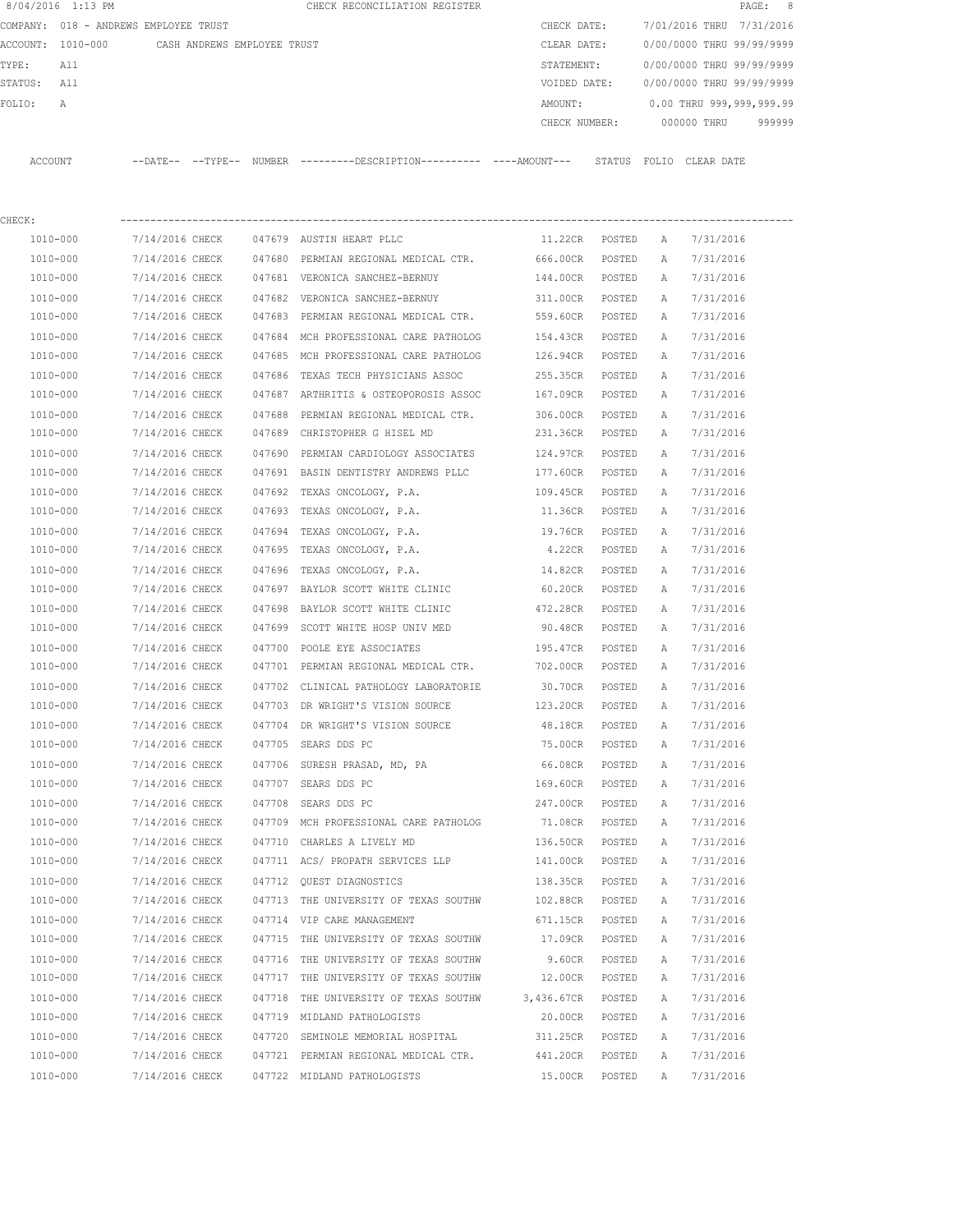|         | 8/04/2016 1:13 PM |                                       |               | CHECK RECONCILIATION REGISTER |               |        |       |             | PAGE: 8                   |  |
|---------|-------------------|---------------------------------------|---------------|-------------------------------|---------------|--------|-------|-------------|---------------------------|--|
|         |                   | COMPANY: 018 - ANDREWS EMPLOYEE TRUST |               |                               | CHECK DATE:   |        |       |             | 7/01/2016 THRU 7/31/2016  |  |
|         | ACCOUNT: 1010-000 | CASH ANDREWS EMPLOYEE TRUST           |               |                               | CLEAR DATE:   |        |       |             | 0/00/0000 THRU 99/99/9999 |  |
| TYPE:   | All               |                                       |               |                               | STATEMENT:    |        |       |             | 0/00/0000 THRU 99/99/9999 |  |
| STATUS: | All               |                                       |               |                               | VOIDED DATE:  |        |       |             | 0/00/0000 THRU 99/99/9999 |  |
| FOLTO:  | A                 |                                       |               |                               | AMOUNT:       |        |       |             | 0.00 THRU 999,999,999.99  |  |
|         |                   |                                       |               |                               | CHECK NUMBER: |        |       | 000000 THRU | 999999                    |  |
|         |                   |                                       |               |                               |               |        |       |             |                           |  |
| ACCOUNT |                   | $--$ TYPE $--$<br>$--$ DATE $--$      | <b>NUMBER</b> |                               |               | STATUS | FOLIO | CLEAR DATE  |                           |  |

| CHECK:   |                 |        |                                       |                 |        |   |           |
|----------|-----------------|--------|---------------------------------------|-----------------|--------|---|-----------|
| 1010-000 | 7/14/2016 CHECK |        | 047679 AUSTIN HEART PLLC              | 11.22CR POSTED  |        | A | 7/31/2016 |
| 1010-000 | 7/14/2016 CHECK |        | 047680 PERMIAN REGIONAL MEDICAL CTR.  | 666.00CR POSTED |        | A | 7/31/2016 |
| 1010-000 | 7/14/2016 CHECK |        | 047681 VERONICA SANCHEZ-BERNUY        | 144.00CR POSTED |        | A | 7/31/2016 |
| 1010-000 | 7/14/2016 CHECK |        | 047682 VERONICA SANCHEZ-BERNUY        | 311.00CR POSTED |        | A | 7/31/2016 |
| 1010-000 | 7/14/2016 CHECK |        | 047683 PERMIAN REGIONAL MEDICAL CTR.  | 559.60CR POSTED |        | Α | 7/31/2016 |
| 1010-000 | 7/14/2016 CHECK |        | 047684 MCH PROFESSIONAL CARE PATHOLOG | 154.43CR POSTED |        | Α | 7/31/2016 |
| 1010-000 | 7/14/2016 CHECK |        | 047685 MCH PROFESSIONAL CARE PATHOLOG | 126.94CR POSTED |        | Α | 7/31/2016 |
| 1010-000 | 7/14/2016 CHECK |        | 047686 TEXAS TECH PHYSICIANS ASSOC    | 255.35CR        | POSTED | Α | 7/31/2016 |
| 1010-000 | 7/14/2016 CHECK |        | 047687 ARTHRITIS & OSTEOPOROSIS ASSOC | 167.09CR        | POSTED | A | 7/31/2016 |
| 1010-000 | 7/14/2016 CHECK |        | 047688 PERMIAN REGIONAL MEDICAL CTR.  | 306.00CR        | POSTED | Α | 7/31/2016 |
| 1010-000 | 7/14/2016 CHECK |        | 047689 CHRISTOPHER G HISEL MD         | 231.36CR        | POSTED | A | 7/31/2016 |
| 1010-000 | 7/14/2016 CHECK |        | 047690 PERMIAN CARDIOLOGY ASSOCIATES  | 124.97CR POSTED |        | Α | 7/31/2016 |
| 1010-000 | 7/14/2016 CHECK |        | 047691 BASIN DENTISTRY ANDREWS PLLC   | 177.60CR POSTED |        | Α | 7/31/2016 |
| 1010-000 | 7/14/2016 CHECK |        | 047692 TEXAS ONCOLOGY, P.A.           | 109.45CR POSTED |        | Α | 7/31/2016 |
| 1010-000 | 7/14/2016 CHECK |        | 047693 TEXAS ONCOLOGY, P.A.           | 11.36CR POSTED  |        | Α | 7/31/2016 |
| 1010-000 | 7/14/2016 CHECK |        | 047694 TEXAS ONCOLOGY, P.A.           | 19.76CR POSTED  |        | Α | 7/31/2016 |
| 1010-000 | 7/14/2016 CHECK |        | 047695 TEXAS ONCOLOGY, P.A.           | 4.22CR POSTED   |        | Α | 7/31/2016 |
| 1010-000 | 7/14/2016 CHECK | 047696 | TEXAS ONCOLOGY, P.A.                  | 14.82CR POSTED  |        | Α | 7/31/2016 |
| 1010-000 | 7/14/2016 CHECK |        | 047697 BAYLOR SCOTT WHITE CLINIC      | 60.20CR POSTED  |        | Α | 7/31/2016 |
| 1010-000 | 7/14/2016 CHECK |        | 047698 BAYLOR SCOTT WHITE CLINIC      | 472.28CR        | POSTED | Α | 7/31/2016 |
| 1010-000 | 7/14/2016 CHECK |        | 047699 SCOTT WHITE HOSP UNIV MED      | 90.48CR         | POSTED | Α | 7/31/2016 |
| 1010-000 | 7/14/2016 CHECK |        | 047700 POOLE EYE ASSOCIATES           | 195.47CR        | POSTED | Α | 7/31/2016 |
| 1010-000 | 7/14/2016 CHECK |        | 047701 PERMIAN REGIONAL MEDICAL CTR.  | 702.00CR        | POSTED | A | 7/31/2016 |
| 1010-000 | 7/14/2016 CHECK |        | 047702 CLINICAL PATHOLOGY LABORATORIE | 30.70CR         | POSTED | Α | 7/31/2016 |
| 1010-000 | 7/14/2016 CHECK |        | 047703 DR WRIGHT'S VISION SOURCE      | 123.20CR POSTED |        | Α | 7/31/2016 |
| 1010-000 | 7/14/2016 CHECK |        | 047704 DR WRIGHT'S VISION SOURCE      | 48.18CR         | POSTED | Α | 7/31/2016 |
| 1010-000 | 7/14/2016 CHECK |        | 047705 SEARS DDS PC                   | 75.00CR POSTED  |        | Α | 7/31/2016 |
| 1010-000 | 7/14/2016 CHECK |        | 047706 SURESH PRASAD, MD, PA          | 66.08CR POSTED  |        | A | 7/31/2016 |
| 1010-000 | 7/14/2016 CHECK |        | 047707 SEARS DDS PC                   | 169.60CR POSTED |        | Α | 7/31/2016 |
| 1010-000 | 7/14/2016 CHECK | 047708 | SEARS DDS PC                          | 247.00CR POSTED |        | Α | 7/31/2016 |
| 1010-000 | 7/14/2016 CHECK |        | 047709 MCH PROFESSIONAL CARE PATHOLOG | 71.08CR POSTED  |        | A | 7/31/2016 |
| 1010-000 | 7/14/2016 CHECK |        | 047710 CHARLES A LIVELY MD            | 136.50CR        | POSTED | Α | 7/31/2016 |
| 1010-000 | 7/14/2016 CHECK |        | 047711 ACS/ PROPATH SERVICES LLP      | 141.00CR        | POSTED | Α | 7/31/2016 |
| 1010-000 | 7/14/2016 CHECK |        | 047712 OUEST DIAGNOSTICS              | 138.35CR        | POSTED | A | 7/31/2016 |
| 1010-000 | 7/14/2016 CHECK |        | 047713 THE UNIVERSITY OF TEXAS SOUTHW | 102.88CR        | POSTED | A | 7/31/2016 |
| 1010-000 | 7/14/2016 CHECK |        | 047714 VIP CARE MANAGEMENT            | 671.15CR        | POSTED | Α | 7/31/2016 |
| 1010-000 | 7/14/2016 CHECK | 047715 | THE UNIVERSITY OF TEXAS SOUTHW        | 17.09CR         | POSTED | Α | 7/31/2016 |
| 1010-000 | 7/14/2016 CHECK |        | 047716 THE UNIVERSITY OF TEXAS SOUTHW | 9.60CR          | POSTED | Α | 7/31/2016 |
| 1010-000 | 7/14/2016 CHECK | 047717 | THE UNIVERSITY OF TEXAS SOUTHW        | 12.00CR         | POSTED | Α | 7/31/2016 |
| 1010-000 | 7/14/2016 CHECK | 047718 | THE UNIVERSITY OF TEXAS SOUTHW        | 3,436.67CR      | POSTED | Α | 7/31/2016 |
| 1010-000 | 7/14/2016 CHECK |        | 047719 MIDLAND PATHOLOGISTS           | 20.00CR         | POSTED | Α | 7/31/2016 |
| 1010-000 | 7/14/2016 CHECK | 047720 | SEMINOLE MEMORIAL HOSPITAL            | 311.25CR        | POSTED | Α | 7/31/2016 |
| 1010-000 | 7/14/2016 CHECK |        | 047721 PERMIAN REGIONAL MEDICAL CTR.  | 441.20CR        | POSTED | Α | 7/31/2016 |
| 1010-000 | 7/14/2016 CHECK |        | 047722 MIDLAND PATHOLOGISTS           | 15.00CR         | POSTED | Α | 7/31/2016 |
|          |                 |        |                                       |                 |        |   |           |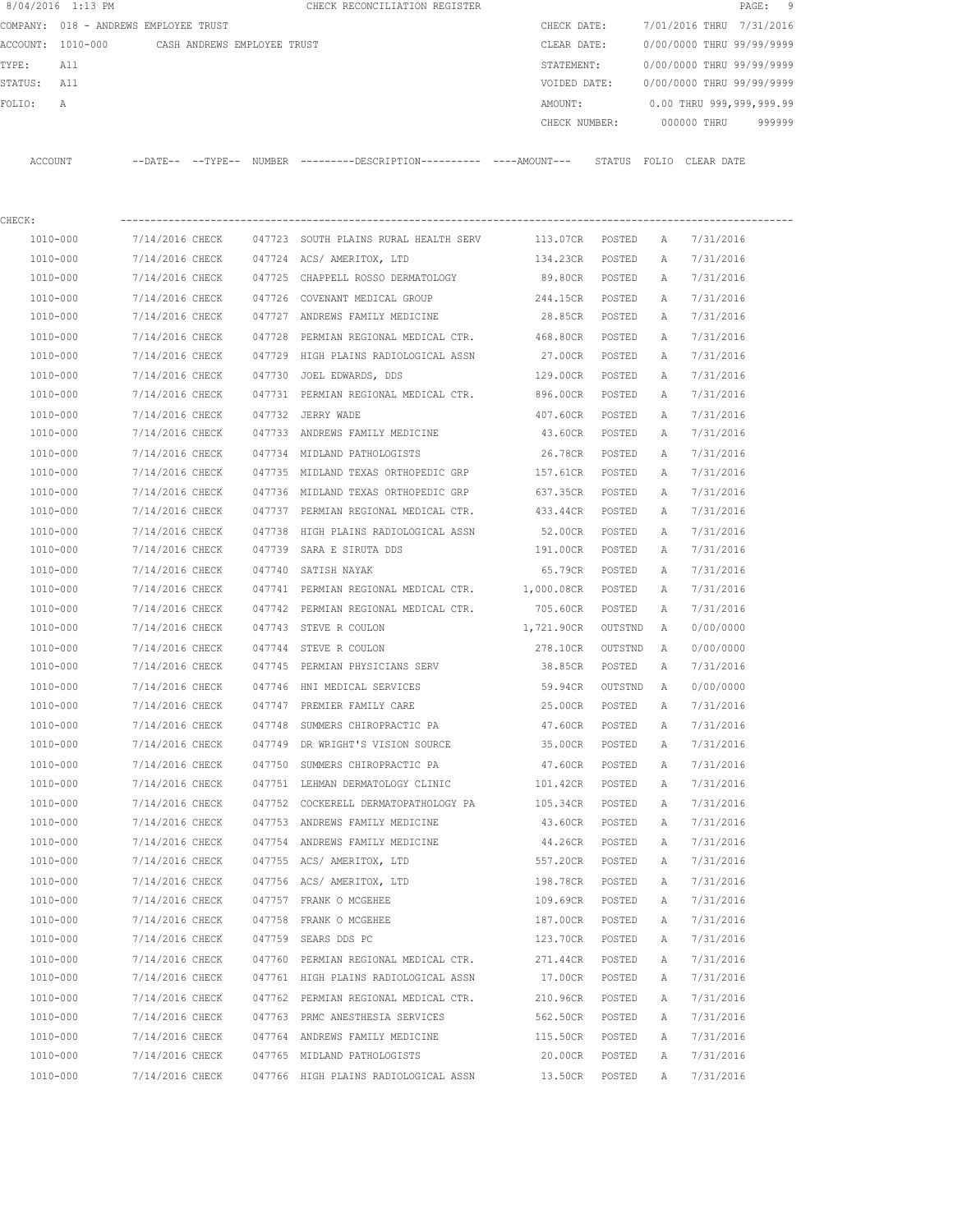|         | 8/04/2016 1:13 PM                     |                 |                             |        | CHECK RECONCILIATION REGISTER                                                               |                 |         |   | PAGE:                     | 9      |
|---------|---------------------------------------|-----------------|-----------------------------|--------|---------------------------------------------------------------------------------------------|-----------------|---------|---|---------------------------|--------|
|         | COMPANY: 018 - ANDREWS EMPLOYEE TRUST |                 |                             |        |                                                                                             | CHECK DATE:     |         |   | 7/01/2016 THRU 7/31/2016  |        |
|         | ACCOUNT: 1010-000                     |                 | CASH ANDREWS EMPLOYEE TRUST |        |                                                                                             | CLEAR DATE:     |         |   | 0/00/0000 THRU 99/99/9999 |        |
| TYPE:   | All                                   |                 |                             |        |                                                                                             | STATEMENT:      |         |   | 0/00/0000 THRU 99/99/9999 |        |
| STATUS: | All                                   |                 |                             |        |                                                                                             | VOIDED DATE:    |         |   | 0/00/0000 THRU 99/99/9999 |        |
| FOLIO:  | Α                                     |                 |                             |        |                                                                                             | AMOUNT:         |         |   | 0.00 THRU 999,999,999.99  |        |
|         |                                       |                 |                             |        |                                                                                             | CHECK NUMBER:   |         |   | 000000 THRU               | 999999 |
|         | ACCOUNT                               |                 |                             |        | --DATE-- --TYPE-- NUMBER ---------DESCRIPTION---------- ---AMOUNT--- STATUS FOLIO CLEARDATE |                 |         |   |                           |        |
| CHECK:  |                                       |                 |                             |        |                                                                                             |                 |         |   |                           |        |
|         | 1010-000                              | 7/14/2016 CHECK |                             |        | 047723 SOUTH PLAINS RURAL HEALTH SERV                                                       | 113.07CR POSTED |         | A | 7/31/2016                 |        |
|         | 1010-000                              | 7/14/2016 CHECK |                             |        | 047724 ACS/AMERITOX, LTD                                                                    | 134.23CR POSTED |         | A | 7/31/2016                 |        |
|         | 1010-000                              | 7/14/2016 CHECK |                             |        | 047725 CHAPPELL ROSSO DERMATOLOGY                                                           | 89.80CR POSTED  |         | A | 7/31/2016                 |        |
|         | 1010-000                              | 7/14/2016 CHECK |                             |        | 047726 COVENANT MEDICAL GROUP                                                               | 244.15CR POSTED |         | A | 7/31/2016                 |        |
|         | 1010-000                              | 7/14/2016 CHECK |                             |        | 047727 ANDREWS FAMILY MEDICINE                                                              | 28.85CR POSTED  |         | A | 7/31/2016                 |        |
|         | 1010-000                              | 7/14/2016 CHECK |                             | 047728 | PERMIAN REGIONAL MEDICAL CTR.                                                               | 468.80CR        | POSTED  | Α | 7/31/2016                 |        |
|         | 1010-000                              | 7/14/2016 CHECK |                             | 047729 | HIGH PLAINS RADIOLOGICAL ASSN                                                               | 27.00CR         | POSTED  | A | 7/31/2016                 |        |
|         | 1010-000                              | 7/14/2016 CHECK |                             |        | 047730 JOEL EDWARDS, DDS                                                                    | 129.00CR        | POSTED  | Α | 7/31/2016                 |        |
|         | 1010-000                              | 7/14/2016 CHECK |                             |        | 047731 PERMIAN REGIONAL MEDICAL CTR. 896.00CR                                               |                 | POSTED  | A | 7/31/2016                 |        |
|         | 1010-000                              | 7/14/2016 CHECK |                             |        | 047732 JERRY WADE                                                                           | 407.60CR        | POSTED  | A | 7/31/2016                 |        |
|         | 1010-000                              | 7/14/2016 CHECK |                             |        | 047733 ANDREWS FAMILY MEDICINE                                                              | 43.60CR         | POSTED  | Α | 7/31/2016                 |        |
|         | 1010-000                              | 7/14/2016 CHECK |                             |        | 047734 MIDLAND PATHOLOGISTS                                                                 | 26.78CR         | POSTED  | Α | 7/31/2016                 |        |
|         | 1010-000                              | 7/14/2016 CHECK |                             |        | 047735 MIDLAND TEXAS ORTHOPEDIC GRP                                                         | 157.61CR        | POSTED  | Α | 7/31/2016                 |        |
|         | 1010-000                              | 7/14/2016 CHECK |                             |        | 047736 MIDLAND TEXAS ORTHOPEDIC GRP                                                         | 637.35CR        | POSTED  | Α | 7/31/2016                 |        |
|         | 1010-000                              | 7/14/2016 CHECK |                             |        | 047737 PERMIAN REGIONAL MEDICAL CTR.                                                        | 433.44CR        | POSTED  | Α | 7/31/2016                 |        |
|         | 1010-000                              | 7/14/2016 CHECK |                             | 047738 | HIGH PLAINS RADIOLOGICAL ASSN                                                               | 52.00CR         | POSTED  | Α | 7/31/2016                 |        |
|         | 1010-000                              | 7/14/2016 CHECK |                             |        | 047739 SARA E SIRUTA DDS                                                                    | 191.00CR        | POSTED  | Α | 7/31/2016                 |        |
|         | 1010-000                              | 7/14/2016 CHECK |                             | 047740 | SATISH NAYAK                                                                                | 65.79CR         | POSTED  | A | 7/31/2016                 |        |
|         | 1010-000                              | 7/14/2016 CHECK |                             |        | 047741 PERMIAN REGIONAL MEDICAL CTR. 1,000.08CR                                             |                 | POSTED  | A | 7/31/2016                 |        |
|         | 1010-000                              | 7/14/2016 CHECK |                             |        | 047742 PERMIAN REGIONAL MEDICAL CTR.                                                        | 705.60CR        | POSTED  | A | 7/31/2016                 |        |
|         | 1010-000                              | 7/14/2016 CHECK |                             |        | 047743 STEVE R COULON                                                                       | 1,721.90CR      | OUTSTND | A | 0/00/0000                 |        |
|         | 1010-000                              | 7/14/2016 CHECK |                             |        | 047744 STEVE R COULON                                                                       | 278.10CR        | OUTSTND | A | 0/00/0000                 |        |
|         | 1010-000                              | 7/14/2016 CHECK |                             |        | 047745 PERMIAN PHYSICIANS SERV                                                              | 38.85CR         | POSTED  | Α | 7/31/2016                 |        |
|         | 1010-000                              | 7/14/2016 CHECK |                             |        | 047746 HNI MEDICAL SERVICES                                                                 | 59.94CR         | OUTSTND | A | 0/00/0000                 |        |
|         | 1010-000                              | 7/14/2016 CHECK |                             |        | 047747 PREMIER FAMILY CARE                                                                  | 25.00CR         | POSTED  | Α | 7/31/2016                 |        |
|         | 1010-000                              | 7/14/2016 CHECK |                             |        | 047748 SUMMERS CHIROPRACTIC PA                                                              | 47.60CR         | POSTED  | Α | 7/31/2016                 |        |
|         | 1010-000                              | 7/14/2016 CHECK |                             |        | 047749 DR WRIGHT'S VISION SOURCE                                                            | 35.00CR         | POSTED  | Α | 7/31/2016                 |        |
|         | 1010-000                              | 7/14/2016 CHECK |                             |        | 047750 SUMMERS CHIROPRACTIC PA                                                              | 47.60CR         | POSTED  | Α | 7/31/2016                 |        |
|         | 1010-000                              | 7/14/2016 CHECK |                             |        | 047751 LEHMAN DERMATOLOGY CLINIC                                                            | 101.42CR        | POSTED  | Α | 7/31/2016                 |        |
|         | 1010-000                              | 7/14/2016 CHECK |                             |        | 047752 COCKERELL DERMATOPATHOLOGY PA                                                        | 105.34CR        | POSTED  | Α | 7/31/2016                 |        |
|         | 1010-000                              | 7/14/2016 CHECK |                             |        | 047753 ANDREWS FAMILY MEDICINE                                                              | 43.60CR         | POSTED  | Α | 7/31/2016                 |        |
|         | 1010-000                              | 7/14/2016 CHECK |                             |        | 047754 ANDREWS FAMILY MEDICINE                                                              | 44.26CR         | POSTED  | Α | 7/31/2016                 |        |
|         | 1010-000                              | 7/14/2016 CHECK |                             |        | 047755 ACS/AMERITOX, LTD                                                                    | 557.20CR        | POSTED  | Α | 7/31/2016                 |        |
|         | 1010-000                              | 7/14/2016 CHECK |                             |        | 047756 ACS/AMERITOX, LTD                                                                    | 198.78CR        | POSTED  | Α | 7/31/2016                 |        |
|         | 1010-000                              | 7/14/2016 CHECK |                             |        | 047757 FRANK O MCGEHEE                                                                      | 109.69CR        | POSTED  | Α | 7/31/2016                 |        |
|         | 1010-000                              | 7/14/2016 CHECK |                             |        | 047758 FRANK O MCGEHEE                                                                      | 187.00CR        | POSTED  | Α | 7/31/2016                 |        |
|         | 1010-000                              | 7/14/2016 CHECK |                             |        | 047759 SEARS DDS PC                                                                         | 123.70CR        | POSTED  | Α | 7/31/2016                 |        |
|         | 1010-000                              | 7/14/2016 CHECK |                             |        | 047760 PERMIAN REGIONAL MEDICAL CTR.                                                        | 271.44CR        | POSTED  | Α | 7/31/2016                 |        |
|         | 1010-000                              | 7/14/2016 CHECK |                             |        | 047761 HIGH PLAINS RADIOLOGICAL ASSN                                                        | 17.00CR         | POSTED  | Α | 7/31/2016                 |        |
|         | 1010-000                              | 7/14/2016 CHECK |                             |        | 047762 PERMIAN REGIONAL MEDICAL CTR.                                                        | 210.96CR        | POSTED  | Α | 7/31/2016                 |        |
|         | 1010-000                              | 7/14/2016 CHECK |                             |        | 047763 PRMC ANESTHESIA SERVICES                                                             | 562.50CR        | POSTED  | Α | 7/31/2016                 |        |
|         | 1010-000                              | 7/14/2016 CHECK |                             |        | 047764 ANDREWS FAMILY MEDICINE                                                              | 115.50CR        | POSTED  | Α | 7/31/2016                 |        |
|         | 1010-000                              | 7/14/2016 CHECK |                             |        | 047765 MIDLAND PATHOLOGISTS                                                                 | 20.00CR         | POSTED  | Α | 7/31/2016                 |        |
|         | 1010-000                              | 7/14/2016 CHECK |                             |        | 047766 HIGH PLAINS RADIOLOGICAL ASSN                                                        | 13.50CR         | POSTED  | Α | 7/31/2016                 |        |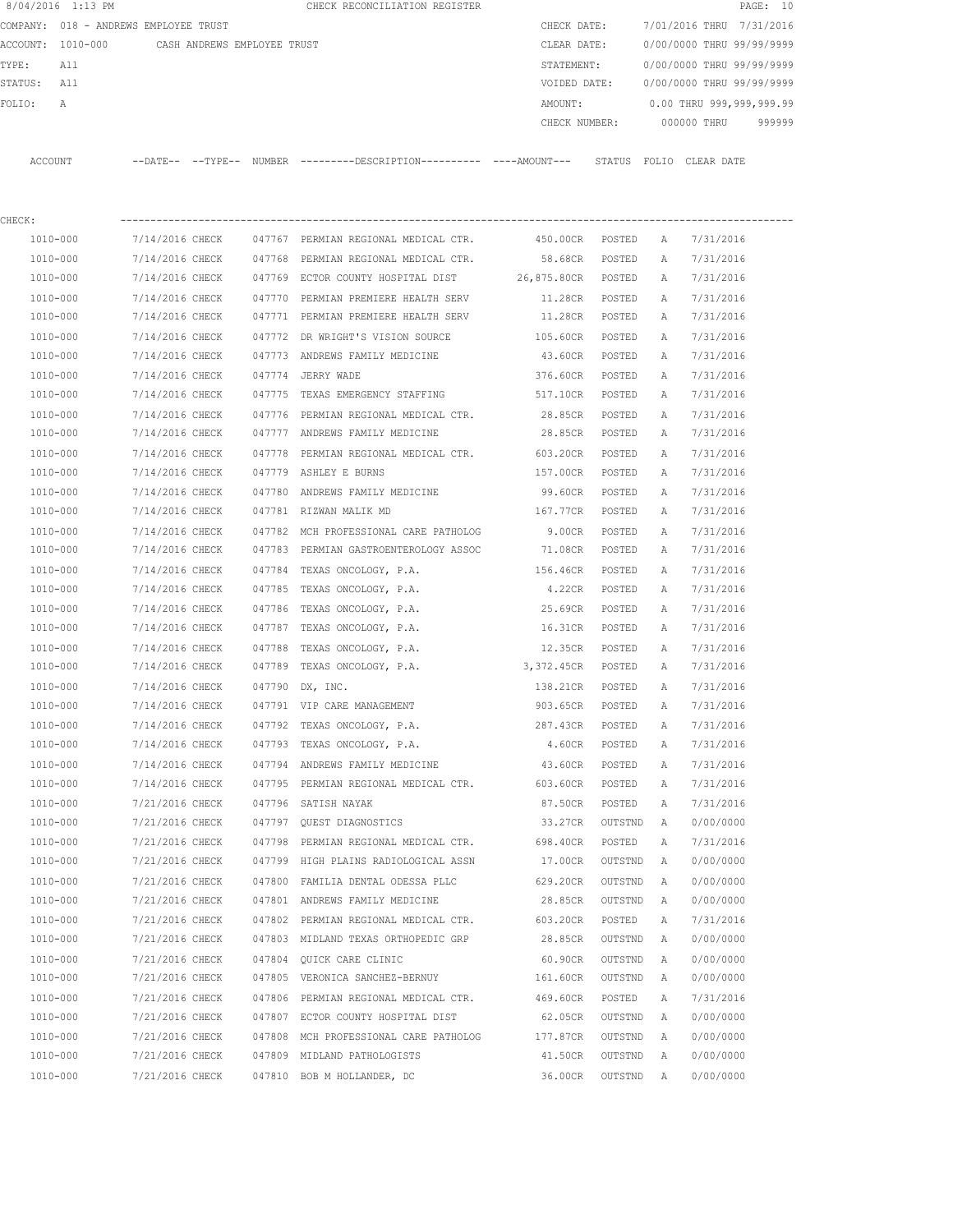|         | 8/04/2016 1:13 PM                     |                             |        | CHECK RECONCILIATION REGISTER                                                                |                  |                        |                                  | PAGE: 10 |
|---------|---------------------------------------|-----------------------------|--------|----------------------------------------------------------------------------------------------|------------------|------------------------|----------------------------------|----------|
|         | COMPANY: 018 - ANDREWS EMPLOYEE TRUST |                             |        |                                                                                              | CHECK DATE:      |                        | 7/01/2016 THRU 7/31/2016         |          |
|         | ACCOUNT: 1010-000                     | CASH ANDREWS EMPLOYEE TRUST |        |                                                                                              | CLEAR DATE:      |                        | 0/00/0000 THRU 99/99/9999        |          |
| TYPE:   | A 1 1                                 |                             |        |                                                                                              | STATEMENT:       |                        | 0/00/0000 THRU 99/99/9999        |          |
| STATUS: | All                                   |                             |        |                                                                                              | VOIDED DATE:     |                        | 0/00/0000 THRU 99/99/9999        |          |
| FOLIO:  | A                                     |                             |        |                                                                                              | AMOUNT:          |                        | 0.00 THRU 999,999,999.99         |          |
|         |                                       |                             |        |                                                                                              |                  |                        | CHECK NUMBER: 000000 THRU 999999 |          |
| ACCOUNT |                                       |                             |        | --DATE-- --TYPE-- NUMBER --------DESCRIPTION---------- ----AMOUNT--- STATUS FOLIO CLEAR-DATE |                  |                        |                                  |          |
| CHECK:  |                                       |                             |        |                                                                                              |                  |                        |                                  |          |
|         | 1010-000                              | 7/14/2016 CHECK             |        | 047767 PERMIAN REGIONAL MEDICAL CTR. 450.00CR                                                | POSTED           | A                      | 7/31/2016                        |          |
|         | 1010-000                              | 7/14/2016 CHECK             | 047768 | PERMIAN REGIONAL MEDICAL CTR. 58.68CR                                                        |                  | POSTED<br>Α            | 7/31/2016                        |          |
|         | 1010-000                              | 7/14/2016 CHECK             |        | 047769 ECTOR COUNTY HOSPITAL DIST 26,875.80CR                                                |                  | POSTED<br>Α            | 7/31/2016                        |          |
|         | 1010-000                              | 7/14/2016 CHECK             | 047770 | PERMIAN PREMIERE HEALTH SERV 11.28CR                                                         |                  | POSTED<br>$\mathbb{A}$ | 7/31/2016                        |          |
|         | 1010-000                              | 7/14/2016 CHECK             |        | 047771 PERMIAN PREMIERE HEALTH SERV 11.28CR                                                  |                  | POSTED<br>А            | 7/31/2016                        |          |
|         | 1010-000                              | 7/14/2016 CHECK             | 047772 | DR WRIGHT'S VISION SOURCE                                                                    | 105.60CR         | POSTED<br>$\mathbb{A}$ | 7/31/2016                        |          |
|         | 1010-000                              | 7/14/2016 CHECK             |        | 047773 ANDREWS FAMILY MEDICINE 43.60CR                                                       |                  | POSTED<br>$\mathbb{A}$ | 7/31/2016                        |          |
|         | 1010-000                              | 7/14/2016 CHECK             | 047774 | JERRY WADE                                                                                   | 376.60CR         | POSTED<br>Α            | 7/31/2016                        |          |
|         | 1010-000                              | 7/14/2016 CHECK             | 047775 | TEXAS EMERGENCY STAFFING                                                                     | 517.10CR         | POSTED<br>$\mathbb{A}$ | 7/31/2016                        |          |
|         | $1010 - 000$                          | 7/14/2016 CHECK             |        | 047776 PERMIAN REGIONAL MEDICAL CTR. 28.85CR                                                 |                  | POSTED<br>$\mathbb{A}$ | 7/31/2016                        |          |
|         | $1010 - 000$                          |                             |        | 7/14/2016 CHECK 647777 ANDREWS FAMILY MEDICINE                                               | 28 85CR POSTED A |                        | 7/31/2016                        |          |

| T0T0-000     | //14/2016 CHECK | 04///2 DR WRIGHT'S VISION SOURCE                              | 105.60CR        | POSTED  | А            | 1/31/2010 |
|--------------|-----------------|---------------------------------------------------------------|-----------------|---------|--------------|-----------|
| 1010-000     | 7/14/2016 CHECK | 047773 ANDREWS FAMILY MEDICINE                                | 43.60CR         | POSTED  | A            | 7/31/2016 |
| 1010-000     | 7/14/2016 CHECK | 047774 JERRY WADE                                             | 376.60CR        | POSTED  | Α            | 7/31/2016 |
| 1010-000     | 7/14/2016 CHECK | 047775 TEXAS EMERGENCY STAFFING                               | 517.10CR        | POSTED  | Α            | 7/31/2016 |
| 1010-000     | 7/14/2016 CHECK | 047776 PERMIAN REGIONAL MEDICAL CTR.                          | 28.85CR         | POSTED  | Α            | 7/31/2016 |
| 1010-000     | 7/14/2016 CHECK | 047777 ANDREWS FAMILY MEDICINE                                | 28.85CR         | POSTED  | Α            | 7/31/2016 |
| 1010-000     | 7/14/2016 CHECK | 047778 PERMIAN REGIONAL MEDICAL CTR.                          | 603.20CR        | POSTED  | Α            | 7/31/2016 |
| 1010-000     | 7/14/2016 CHECK | 047779 ASHLEY E BURNS                                         | 157.00CR        | POSTED  | Α            | 7/31/2016 |
| 1010-000     | 7/14/2016 CHECK | 047780 ANDREWS FAMILY MEDICINE                                | 99.60CR         | POSTED  | Α            | 7/31/2016 |
| 1010-000     | 7/14/2016 CHECK | 047781 RIZWAN MALIK MD                                        | 167.77CR        | POSTED  | Α            | 7/31/2016 |
| 1010-000     | 7/14/2016 CHECK | 047782 MCH PROFESSIONAL CARE PATHOLOG                         | 9.00CR          | POSTED  | Α            | 7/31/2016 |
| 1010-000     |                 | 7/14/2016 CHECK 047783 PERMIAN GASTROENTEROLOGY ASSOC 71.08CR |                 | POSTED  | Α            | 7/31/2016 |
| 1010-000     |                 | 7/14/2016 CHECK 047784 TEXAS ONCOLOGY, P.A.                   | 156.46CR POSTED |         | Α            | 7/31/2016 |
| 1010-000     |                 | 7/14/2016 CHECK 047785 TEXAS ONCOLOGY, P.A.                   | 4.22CR          | POSTED  | Α            | 7/31/2016 |
| 1010-000     | 7/14/2016 CHECK | 047786 TEXAS ONCOLOGY, P.A.                                   | 25.69CR         | POSTED  | Α            | 7/31/2016 |
| 1010-000     | 7/14/2016 CHECK | 047787 TEXAS ONCOLOGY, P.A.                                   | 16.31CR POSTED  |         | Α            | 7/31/2016 |
| 1010-000     |                 | 7/14/2016 CHECK 047788 TEXAS ONCOLOGY, P.A.                   | 12.35CR POSTED  |         | $\mathbb{A}$ | 7/31/2016 |
| 1010-000     | 7/14/2016 CHECK | 047789 TEXAS ONCOLOGY, P.A.                                   | 3,372.45CR      | POSTED  | Α            | 7/31/2016 |
| 1010-000     | 7/14/2016 CHECK | 047790 DX, INC.                                               | 138.21CR POSTED |         | Α            | 7/31/2016 |
| 1010-000     | 7/14/2016 CHECK | 047791 VIP CARE MANAGEMENT                                    | 903.65CR POSTED |         | Α            | 7/31/2016 |
| 1010-000     | 7/14/2016 CHECK | 047792 TEXAS ONCOLOGY, P.A.                                   | 287.43CR POSTED |         | Α            | 7/31/2016 |
| 1010-000     | 7/14/2016 CHECK | 047793 TEXAS ONCOLOGY, P.A.                                   | 4.60CR          | POSTED  | Α            | 7/31/2016 |
| 1010-000     | 7/14/2016 CHECK | 047794 ANDREWS FAMILY MEDICINE                                | 43.60CR         | POSTED  | Α            | 7/31/2016 |
| 1010-000     | 7/14/2016 CHECK | 047795 PERMIAN REGIONAL MEDICAL CTR.                          | 603.60CR        | POSTED  | Α            | 7/31/2016 |
| 1010-000     | 7/21/2016 CHECK | 047796 SATISH NAYAK                                           | 87.50CR         | POSTED  | Α            | 7/31/2016 |
| 1010-000     | 7/21/2016 CHECK | 047797 OUEST DIAGNOSTICS                                      | 33.27CR         | OUTSTND | A            | 0/00/0000 |
| 1010-000     | 7/21/2016 CHECK | 047798 PERMIAN REGIONAL MEDICAL CTR.                          | 698.40CR        | POSTED  | $\mathbb{A}$ | 7/31/2016 |
| 1010-000     |                 | 7/21/2016 CHECK 047799 HIGH PLAINS RADIOLOGICAL ASSN          | 17.00CR         | OUTSTND | Α            | 0/00/0000 |
| 1010-000     | 7/21/2016 CHECK | 047800 FAMILIA DENTAL ODESSA PLLC                             | 629.20CR        | OUTSTND | A            | 0/00/0000 |
| 1010-000     |                 | 7/21/2016 CHECK 047801 ANDREWS FAMILY MEDICINE                | 28.85CR         | OUTSTND | A            | 0/00/0000 |
| $1010 - 000$ |                 | 7/21/2016 CHECK 047802 PERMIAN REGIONAL MEDICAL CTR. 603.20CR |                 | POSTED  | Α            | 7/31/2016 |
| 1010-000     |                 | 7/21/2016 CHECK 047803 MIDLAND TEXAS ORTHOPEDIC GRP           | 28.85CR         | OUTSTND | Α            | 0/00/0000 |
| 1010-000     | 7/21/2016 CHECK | 047804 QUICK CARE CLINIC                                      | 60.90CR         | OUTSTND | Α            | 0/00/0000 |
| 1010-000     |                 | 7/21/2016 CHECK 047805 VERONICA SANCHEZ-BERNUY                | 161.60CR        | OUTSTND | A            | 0/00/0000 |
| 1010-000     | 7/21/2016 CHECK | 047806 PERMIAN REGIONAL MEDICAL CTR.                          | 469.60CR        | POSTED  | Α            | 7/31/2016 |
| $1010 - 000$ | 7/21/2016 CHECK | 047807 ECTOR COUNTY HOSPITAL DIST                             | 62.05CR         | OUTSTND | A            | 0/00/0000 |
| 1010-000     | 7/21/2016 CHECK | 047808 MCH PROFESSIONAL CARE PATHOLOG 177.87CR                |                 | OUTSTND | A            | 0/00/0000 |
| 1010-000     | 7/21/2016 CHECK | 047809 MIDLAND PATHOLOGISTS                                   | 41.50CR         | OUTSTND | A            | 0/00/0000 |
| 1010-000     | 7/21/2016 CHECK | 047810 BOB M HOLLANDER, DC                                    | 36.00CR         | OUTSTND | A            | 0/00/0000 |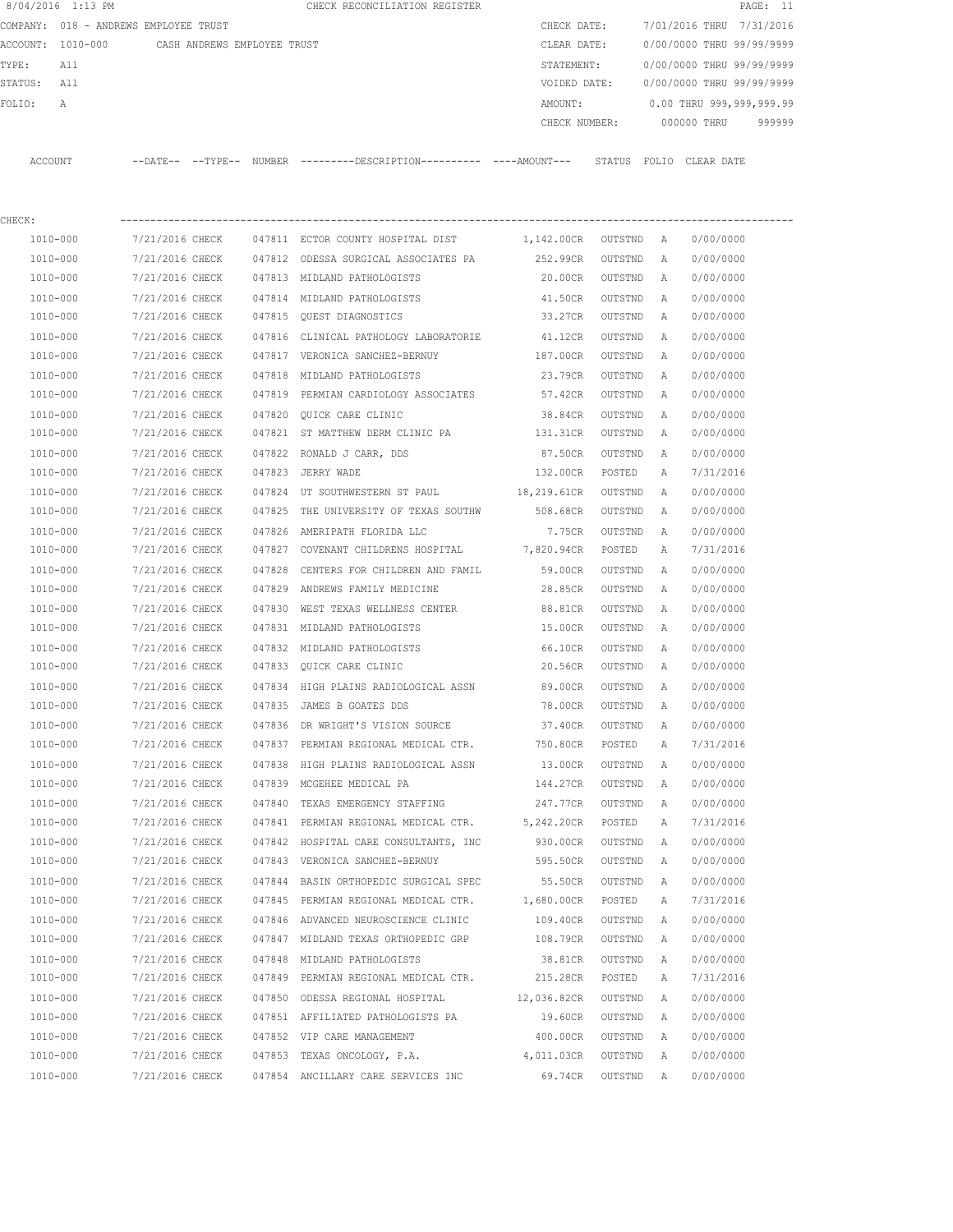|             | 8/04/2016 1:13 PM |                                               |        | CHECK RECONCILIATION REGISTER                                                                |                      |                 |   |                           | PAGE: 11 |
|-------------|-------------------|-----------------------------------------------|--------|----------------------------------------------------------------------------------------------|----------------------|-----------------|---|---------------------------|----------|
|             |                   | COMPANY: 018 - ANDREWS EMPLOYEE TRUST         |        |                                                                                              | CHECK DATE:          |                 |   | 7/01/2016 THRU 7/31/2016  |          |
|             |                   | ACCOUNT: 1010-000 CASH ANDREWS EMPLOYEE TRUST |        |                                                                                              | CLEAR DATE:          |                 |   | 0/00/0000 THRU 99/99/9999 |          |
| TYPE:       | All               |                                               |        |                                                                                              | STATEMENT:           |                 |   | 0/00/0000 THRU 99/99/9999 |          |
| STATUS: All |                   |                                               |        |                                                                                              | VOIDED DATE:         |                 |   | 0/00/0000 THRU 99/99/9999 |          |
| FOLIO:      | $\mathbb A$       |                                               |        |                                                                                              | AMOUNT:              |                 |   | 0.00 THRU 999,999,999.99  |          |
|             |                   |                                               |        |                                                                                              |                      |                 |   | CHECK NUMBER: 000000 THRU | 999999   |
| ACCOUNT     |                   |                                               |        | --DATE-- --TYPE-- NUMBER ---------DESCRIPTION---------- ----AMOUNT--- STATUS FOLIO CLEARDATE |                      |                 |   |                           |          |
|             |                   |                                               |        |                                                                                              |                      |                 |   |                           |          |
| CHECK:      |                   |                                               |        |                                                                                              |                      |                 |   |                           |          |
|             | 1010-000          | 7/21/2016 CHECK                               |        | 047811 ECTOR COUNTY HOSPITAL DIST                                                            | 1,142.00CR OUTSTND A |                 |   | 0/00/0000                 |          |
|             | 1010-000          | 7/21/2016 CHECK                               |        | 047812 ODESSA SURGICAL ASSOCIATES PA                                                         | 252.99CR             | OUTSTND         | A | 0/00/0000                 |          |
|             | 1010-000          | 7/21/2016 CHECK                               |        | 047813 MIDLAND PATHOLOGISTS                                                                  | 20.00CR              | OUTSTND         | A | 0/00/0000                 |          |
|             | 1010-000          | 7/21/2016 CHECK                               |        | 047814 MIDLAND PATHOLOGISTS                                                                  | 41.50CR              | OUTSTND         | A | 0/00/0000                 |          |
|             | 1010-000          | 7/21/2016 CHECK                               |        | 047815 QUEST DIAGNOSTICS                                                                     | 33.27CR              | OUTSTND         | A | 0/00/0000                 |          |
|             | 1010-000          | 7/21/2016 CHECK                               |        | 047816 CLINICAL PATHOLOGY LABORATORIE                                                        | 41.12CR              | OUTSTND         | A | 0/00/0000                 |          |
|             | 1010-000          | 7/21/2016 CHECK                               |        | 047817 VERONICA SANCHEZ-BERNUY                                                               | 187.00CR             | OUTSTND         | A | 0/00/0000                 |          |
|             | 1010-000          | 7/21/2016 CHECK                               |        | 047818 MIDLAND PATHOLOGISTS                                                                  | 23.79CR              | OUTSTND         | Α | 0/00/0000                 |          |
|             | 1010-000          | 7/21/2016 CHECK                               |        | 047819 PERMIAN CARDIOLOGY ASSOCIATES                                                         | 57.42CR              | OUTSTND         | Α | 0/00/0000                 |          |
|             | 1010-000          | 7/21/2016 CHECK                               |        | 047820 QUICK CARE CLINIC                                                                     | 38.84CR              | OUTSTND         | Α | 0/00/0000                 |          |
|             | 1010-000          | 7/21/2016 CHECK                               |        | 047821 ST MATTHEW DERM CLINIC PA                                                             | 131.31CR             | OUTSTND         | Α | 0/00/0000                 |          |
|             | 1010-000          | 7/21/2016 CHECK                               |        | 047822 RONALD J CARR, DDS                                                                    | 87.50CR              | OUTSTND         | A | 0/00/0000                 |          |
|             | 1010-000          | 7/21/2016 CHECK                               |        | 047823 JERRY WADE                                                                            | 132.00CR             | POSTED          | Α | 7/31/2016                 |          |
|             | 1010-000          | 7/21/2016 CHECK                               | 047824 | UT SOUTHWESTERN ST PAUL 18, 219.61CR                                                         |                      | OUTSTND         | A | 0/00/0000                 |          |
|             | 1010-000          | 7/21/2016 CHECK                               | 047825 | THE UNIVERSITY OF TEXAS SOUTHW                                                               | 508.68CR             | OUTSTND         | A | 0/00/0000                 |          |
|             | 1010-000          | 7/21/2016 CHECK                               | 047826 | AMERIPATH FLORIDA LLC                                                                        | 7.75CR               | OUTSTND         | A | 0/00/0000                 |          |
|             | 1010-000          | 7/21/2016 CHECK                               |        | 047827 COVENANT CHILDRENS HOSPITAL 7,820.94CR                                                |                      | POSTED          | Α | 7/31/2016                 |          |
|             | 1010-000          | 7/21/2016 CHECK                               | 047828 | CENTERS FOR CHILDREN AND FAMIL                                                               | 59.00CR              | OUTSTND         | A | 0/00/0000                 |          |
|             | 1010-000          | 7/21/2016 CHECK                               |        | 047829 ANDREWS FAMILY MEDICINE                                                               | 28.85CR              | OUTSTND         | A | 0/00/0000                 |          |
|             | 1010-000          | 7/21/2016 CHECK                               | 047830 | WEST TEXAS WELLNESS CENTER                                                                   | 88.81CR              | OUTSTND         | Α | 0/00/0000                 |          |
|             | 1010-000          | 7/21/2016 CHECK                               |        | 047831 MIDLAND PATHOLOGISTS                                                                  | 15.00CR              | OUTSTND         | A | 0/00/0000                 |          |
|             | 1010-000          | 7/21/2016 CHECK                               |        | 047832 MIDLAND PATHOLOGISTS                                                                  | 66.10CR              | OUTSTND         | A | 0/00/0000                 |          |
|             | 1010-000          | 7/21/2016 CHECK                               |        | 047833 QUICK CARE CLINIC                                                                     |                      | 20.56CR OUTSTND | A | 0/00/0000                 |          |
|             | $1010 - 000$      | 7/21/2016 CHECK                               |        | 047834 HIGH PLAINS RADIOLOGICAL ASSN                                                         |                      | 89.00CR OUTSTND |   | 0/00/0000                 |          |
|             | 1010-000          | 7/21/2016 CHECK                               |        | 047835 JAMES B GOATES DDS                                                                    | 78.00CR              | OUTSTND         | A | 0/00/0000                 |          |
|             | 1010-000          | 7/21/2016 CHECK                               |        | 047836 DR WRIGHT'S VISION SOURCE                                                             | 37.40CR              | OUTSTND         | A | 0/00/0000                 |          |
|             | 1010-000          | 7/21/2016 CHECK                               |        | 047837 PERMIAN REGIONAL MEDICAL CTR.                                                         | 750.80CR             | POSTED          | Α | 7/31/2016                 |          |
|             | 1010-000          | 7/21/2016 CHECK                               |        | 047838 HIGH PLAINS RADIOLOGICAL ASSN                                                         | 13.00CR              | OUTSTND         | A | 0/00/0000                 |          |
|             | 1010-000          | 7/21/2016 CHECK                               |        | 047839 MCGEHEE MEDICAL PA                                                                    | 144.27CR             | OUTSTND         | Α | 0/00/0000                 |          |
|             | 1010-000          | 7/21/2016 CHECK                               |        | 047840 TEXAS EMERGENCY STAFFING                                                              | 247.77CR             | OUTSTND         | A | 0/00/0000                 |          |
|             | $1010 - 000$      | 7/21/2016 CHECK                               |        | 047841 PERMIAN REGIONAL MEDICAL CTR. 5, 242.20CR                                             |                      | POSTED          | Α | 7/31/2016                 |          |
|             | 1010-000          | 7/21/2016 CHECK                               |        | 047842 HOSPITAL CARE CONSULTANTS, INC                                                        | 930.00CR             | OUTSTND         | Α | 0/00/0000                 |          |
|             | 1010-000          | 7/21/2016 CHECK                               |        | 047843 VERONICA SANCHEZ-BERNUY                                                               | 595.50CR             | OUTSTND         | Α | 0/00/0000                 |          |
|             | 1010-000          | 7/21/2016 CHECK                               |        | 047844 BASIN ORTHOPEDIC SURGICAL SPEC                                                        | 55.50CR              | OUTSTND         | Α | 0/00/0000                 |          |
|             | 1010-000          | 7/21/2016 CHECK                               |        | 047845 PERMIAN REGIONAL MEDICAL CTR.                                                         | 1,680.00CR           | POSTED          | Α | 7/31/2016                 |          |
|             | 1010-000          | 7/21/2016 CHECK                               |        | 047846 ADVANCED NEUROSCIENCE CLINIC                                                          | 109.40CR             | OUTSTND         | A | 0/00/0000                 |          |
|             | 1010-000          | 7/21/2016 CHECK                               |        | 047847 MIDLAND TEXAS ORTHOPEDIC GRP                                                          | 108.79CR             | OUTSTND         | A | 0/00/0000                 |          |
|             | 1010-000          | 7/21/2016 CHECK                               |        | 047848 MIDLAND PATHOLOGISTS                                                                  | 38.81CR              | OUTSTND         | Α | 0/00/0000                 |          |
|             | 1010-000          | 7/21/2016 CHECK                               |        | 047849 PERMIAN REGIONAL MEDICAL CTR.                                                         | 215.28CR             | POSTED          | Α | 7/31/2016                 |          |

 1010-000 7/21/2016 CHECK 047850 ODESSA REGIONAL HOSPITAL 12,036.82CR OUTSTND A 0/00/0000 1010-000 7/21/2016 CHECK 047851 AFFILIATED PATHOLOGISTS PA 19.60CR OUTSTND A 0/00/0000 1010-000 7/21/2016 CHECK 047852 VIP CARE MANAGEMENT 400.00CR OUTSTND A 0/00/0000 1010-000 7/21/2016 CHECK 047853 TEXAS ONCOLOGY, P.A. 4,011.03CR OUTSTND A 0/00/0000 1010-000 7/21/2016 CHECK 047854 ANCILLARY CARE SERVICES INC 69.74CR OUTSTND A 0/00/0000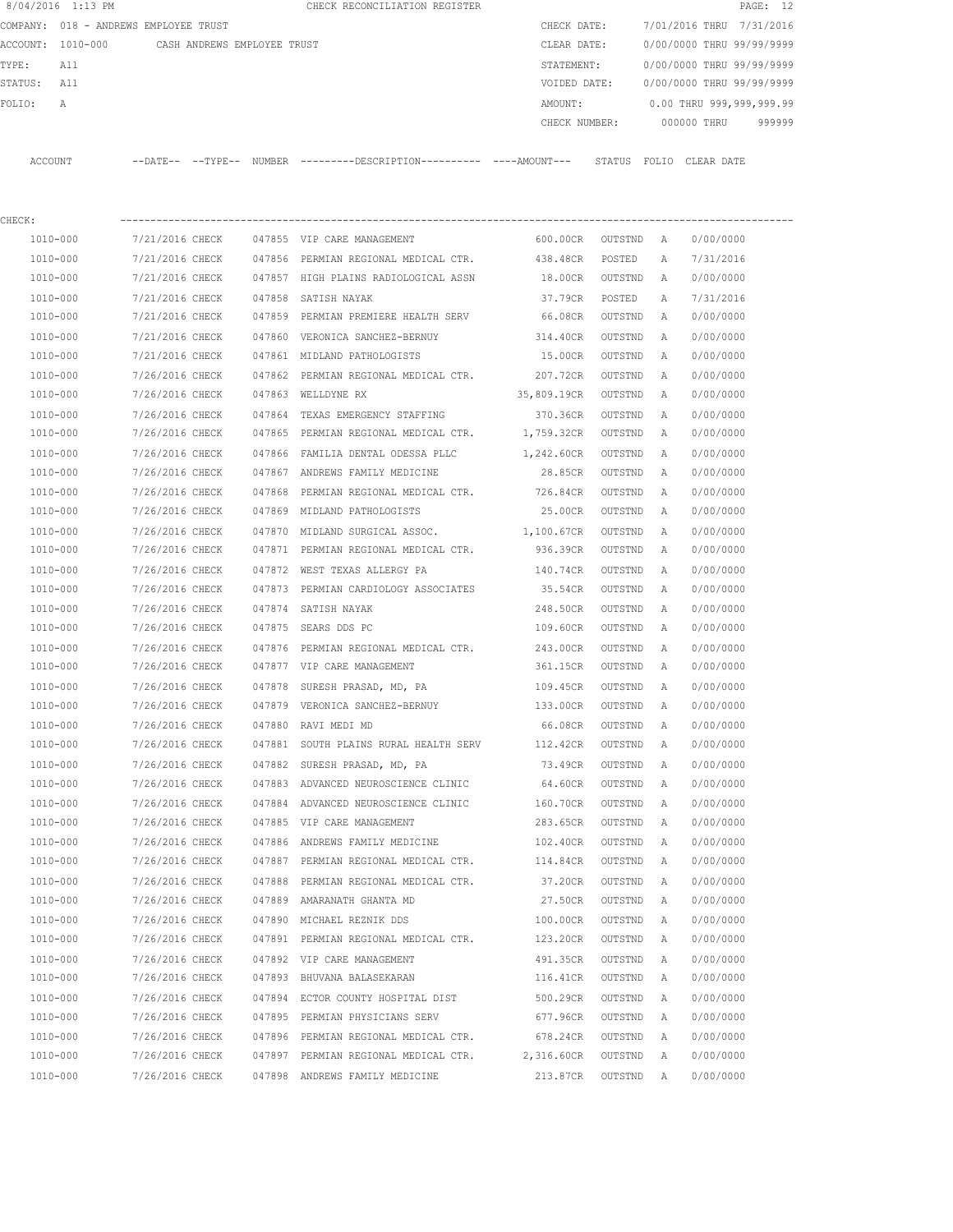|         | 8/04/2016 1:13 PM |                                       |        | CHECK RECONCILIATION REGISTER |         |               |                           |             | PAGE: 12                 |        |
|---------|-------------------|---------------------------------------|--------|-------------------------------|---------|---------------|---------------------------|-------------|--------------------------|--------|
|         |                   | COMPANY: 018 - ANDREWS EMPLOYEE TRUST |        |                               |         | CHECK DATE:   | 7/01/2016 THRU            |             | 7/31/2016                |        |
|         | ACCOUNT: 1010-000 | CASH ANDREWS EMPLOYEE TRUST           |        |                               |         | CLEAR DATE:   | 0/00/0000 THRU 99/99/9999 |             |                          |        |
| TYPE:   | All               |                                       |        |                               |         | STATEMENT:    | 0/00/0000 THRU 99/99/9999 |             |                          |        |
| STATUS: | All               |                                       |        |                               |         | VOIDED DATE:  | 0/00/0000 THRU 99/99/9999 |             |                          |        |
| FOLTO:  | $\mathbb{A}$      |                                       |        |                               | AMOUNT: |               |                           |             | 0.00 THRU 999,999,999.99 |        |
|         |                   |                                       |        |                               |         | CHECK NUMBER: |                           | 000000 THRU |                          | 999999 |
|         |                   |                                       |        |                               |         |               |                           |             |                          |        |
| ACCOUNT |                   | $--$ TYPE $--$<br>$--$ DATE $--$      | NUMBER | $------DESCRTPTION--$         |         | STATUS        | FOLTO                     | CLEAR DATE  |                          |        |

| CHECK:   |                 |        |                                                |             |           |   |           |
|----------|-----------------|--------|------------------------------------------------|-------------|-----------|---|-----------|
| 1010-000 | 7/21/2016 CHECK |        | 047855 VIP CARE MANAGEMENT                     | 600.00CR    | OUTSTND A |   | 0/00/0000 |
| 1010-000 | 7/21/2016 CHECK |        | 047856 PERMIAN REGIONAL MEDICAL CTR. 438.48CR  |             | POSTED    | Α | 7/31/2016 |
| 1010-000 | 7/21/2016 CHECK |        | 047857 HIGH PLAINS RADIOLOGICAL ASSN           | 18.00CR     | OUTSTND   | A | 0/00/0000 |
| 1010-000 | 7/21/2016 CHECK | 047858 | SATISH NAYAK                                   | 37.79CR     | POSTED    | Α | 7/31/2016 |
| 1010-000 | 7/21/2016 CHECK |        | 047859 PERMIAN PREMIERE HEALTH SERV            | 66.08CR     | OUTSTND   | Α | 0/00/0000 |
| 1010-000 | 7/21/2016 CHECK |        | 047860 VERONICA SANCHEZ-BERNUY                 | 314.40CR    | OUTSTND   | Α | 0/00/0000 |
| 1010-000 | 7/21/2016 CHECK |        | 047861 MIDLAND PATHOLOGISTS                    | 15.00CR     | OUTSTND   | Α | 0/00/0000 |
| 1010-000 | 7/26/2016 CHECK |        | 047862 PERMIAN REGIONAL MEDICAL CTR.           | 207.72CR    | OUTSTND   | Α | 0/00/0000 |
| 1010-000 | 7/26/2016 CHECK |        | 047863 WELLDYNE RX                             | 35,809.19CR | OUTSTND   | A | 0/00/0000 |
| 1010-000 | 7/26/2016 CHECK | 047864 | TEXAS EMERGENCY STAFFING                       | 370.36CR    | OUTSTND   | Α | 0/00/0000 |
| 1010-000 | 7/26/2016 CHECK | 047865 | PERMIAN REGIONAL MEDICAL CTR. 1,759.32CR       |             | OUTSTND   | Α | 0/00/0000 |
| 1010-000 | 7/26/2016 CHECK |        | 047866 FAMILIA DENTAL ODESSA PLLC 1,242.60CR   |             | OUTSTND   | Α | 0/00/0000 |
| 1010-000 | 7/26/2016 CHECK |        | 047867 ANDREWS FAMILY MEDICINE                 | 28.85CR     | OUTSTND   | A | 0/00/0000 |
| 1010-000 | 7/26/2016 CHECK | 047868 | PERMIAN REGIONAL MEDICAL CTR. 726.84CR         |             | OUTSTND   | Α | 0/00/0000 |
| 1010-000 | 7/26/2016 CHECK |        | 047869 MIDLAND PATHOLOGISTS                    | 25.00CR     | OUTSTND   | Α | 0/00/0000 |
| 1010-000 | 7/26/2016 CHECK | 047870 | MIDLAND SURGICAL ASSOC. 1, 100.67CR            |             | OUTSTND   | Α | 0/00/0000 |
| 1010-000 | 7/26/2016 CHECK |        | 047871 PERMIAN REGIONAL MEDICAL CTR.           | 936.39CR    | OUTSTND   | Α | 0/00/0000 |
| 1010-000 | 7/26/2016 CHECK |        | 047872 WEST TEXAS ALLERGY PA                   | 140.74CR    | OUTSTND   | Α | 0/00/0000 |
| 1010-000 | 7/26/2016 CHECK |        | 047873 PERMIAN CARDIOLOGY ASSOCIATES           | 35.54CR     | OUTSTND   | Α | 0/00/0000 |
| 1010-000 | 7/26/2016 CHECK |        | 047874 SATISH NAYAK                            | 248.50CR    | OUTSTND   | Α | 0/00/0000 |
| 1010-000 | 7/26/2016 CHECK |        | 047875 SEARS DDS PC                            | 109.60CR    | OUTSTND   | A | 0/00/0000 |
| 1010-000 | 7/26/2016 CHECK | 047876 | PERMIAN REGIONAL MEDICAL CTR.                  | 243.00CR    | OUTSTND   | Α | 0/00/0000 |
| 1010-000 | 7/26/2016 CHECK |        | 047877 VIP CARE MANAGEMENT                     | 361.15CR    | OUTSTND   | Α | 0/00/0000 |
| 1010-000 | 7/26/2016 CHECK | 047878 | SURESH PRASAD, MD, PA                          | 109.45CR    | OUTSTND   | Α | 0/00/0000 |
| 1010-000 | 7/26/2016 CHECK |        | 047879 VERONICA SANCHEZ-BERNUY                 | 133.00CR    | OUTSTND   | Α | 0/00/0000 |
| 1010-000 | 7/26/2016 CHECK |        | 047880 RAVI MEDI MD                            | 66.08CR     | OUTSTND   | Α | 0/00/0000 |
| 1010-000 | 7/26/2016 CHECK |        | 047881 SOUTH PLAINS RURAL HEALTH SERV 112.42CR |             | OUTSTND   | Α | 0/00/0000 |
| 1010-000 | 7/26/2016 CHECK | 047882 | SURESH PRASAD, MD, PA                          | 73.49CR     | OUTSTND   | Α | 0/00/0000 |
| 1010-000 | 7/26/2016 CHECK |        | 047883 ADVANCED NEUROSCIENCE CLINIC            | 64.60CR     | OUTSTND   | Α | 0/00/0000 |
| 1010-000 | 7/26/2016 CHECK |        | 047884 ADVANCED NEUROSCIENCE CLINIC            | 160.70CR    | OUTSTND   | Α | 0/00/0000 |
| 1010-000 | 7/26/2016 CHECK |        | 047885 VIP CARE MANAGEMENT                     | 283.65CR    | OUTSTND   | Α | 0/00/0000 |
| 1010-000 | 7/26/2016 CHECK |        | 047886 ANDREWS FAMILY MEDICINE                 | 102.40CR    | OUTSTND   | A | 0/00/0000 |
| 1010-000 | 7/26/2016 CHECK |        | 047887 PERMIAN REGIONAL MEDICAL CTR.           | 114.84CR    | OUTSTND   | Α | 0/00/0000 |
| 1010-000 | 7/26/2016 CHECK | 047888 | PERMIAN REGIONAL MEDICAL CTR.                  | 37.20CR     | OUTSTND   | A | 0/00/0000 |
| 1010-000 | 7/26/2016 CHECK |        | 047889 AMARANATH GHANTA MD                     | 27.50CR     | OUTSTND   | A | 0/00/0000 |
| 1010-000 | 7/26/2016 CHECK |        | 047890 MICHAEL REZNIK DDS                      | 100.00CR    | OUTSTND   | A | 0/00/0000 |
| 1010-000 | 7/26/2016 CHECK |        | 047891 PERMIAN REGIONAL MEDICAL CTR.           | 123.20CR    | OUTSTND   | А | 0/00/0000 |
| 1010-000 | 7/26/2016 CHECK |        | 047892 VIP CARE MANAGEMENT                     | 491.35CR    | OUTSTND   | Α | 0/00/0000 |
| 1010-000 | 7/26/2016 CHECK |        | 047893 BHUVANA BALASEKARAN                     | 116.41CR    | OUTSTND   | Α | 0/00/0000 |
| 1010-000 | 7/26/2016 CHECK |        | 047894 ECTOR COUNTY HOSPITAL DIST              | 500.29CR    | OUTSTND   | Α | 0/00/0000 |
| 1010-000 | 7/26/2016 CHECK |        | 047895 PERMIAN PHYSICIANS SERV                 | 677.96CR    | OUTSTND   | Α | 0/00/0000 |
| 1010-000 | 7/26/2016 CHECK |        | 047896 PERMIAN REGIONAL MEDICAL CTR.           | 678.24CR    | OUTSTND   | Α | 0/00/0000 |
| 1010-000 | 7/26/2016 CHECK |        | 047897 PERMIAN REGIONAL MEDICAL CTR.           | 2,316.60CR  | OUTSTND   | Α | 0/00/0000 |
| 1010-000 | 7/26/2016 CHECK |        | 047898 ANDREWS FAMILY MEDICINE                 | 213.87CR    | OUTSTND   | Α | 0/00/0000 |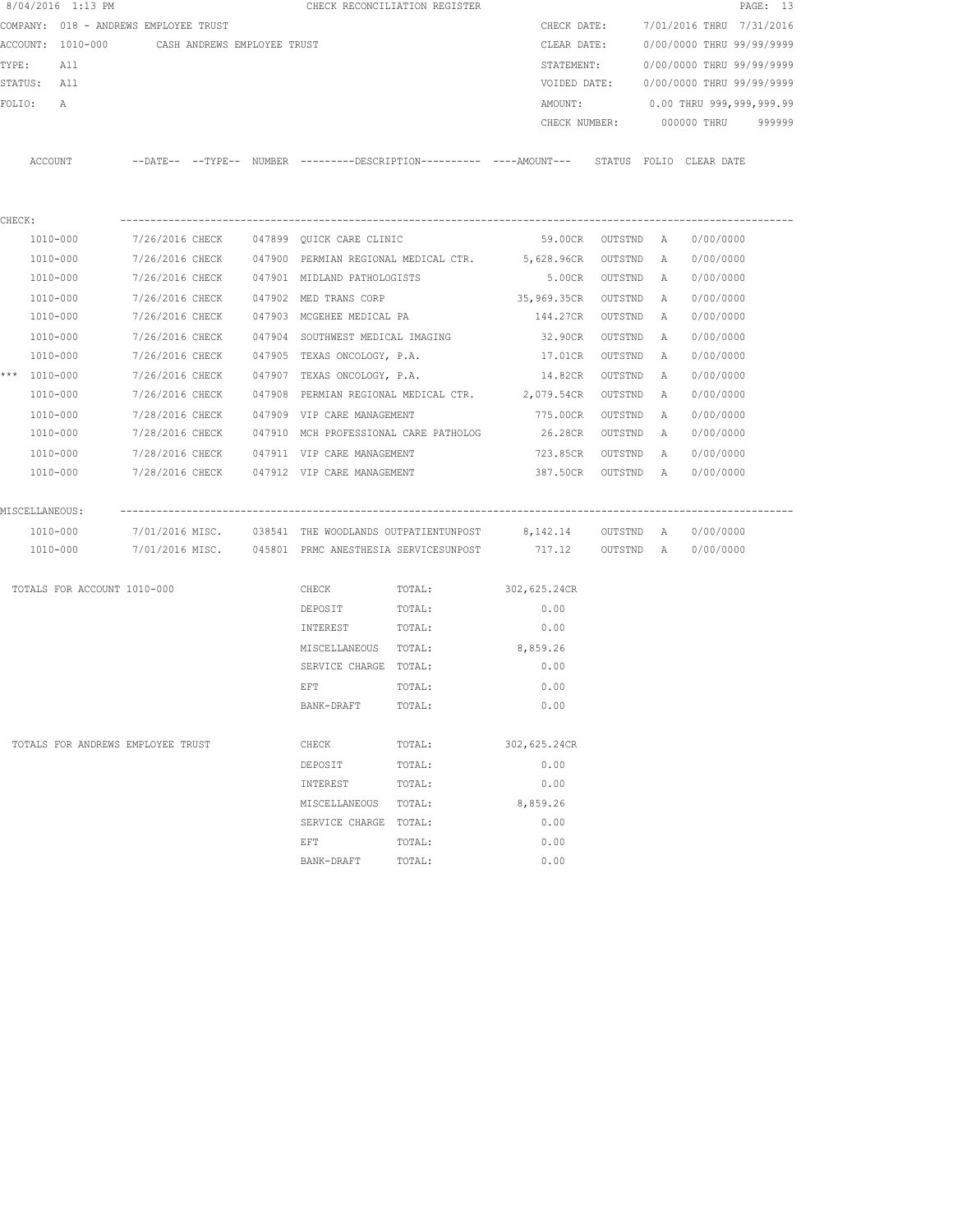|                  | 8/04/2016 1:13 PM                             |                 |  | CHECK RECONCILIATION REGISTER                                                                                  |                                                       |                                                                                            |           |   |                                  | PAGE: 13 |
|------------------|-----------------------------------------------|-----------------|--|----------------------------------------------------------------------------------------------------------------|-------------------------------------------------------|--------------------------------------------------------------------------------------------|-----------|---|----------------------------------|----------|
|                  | COMPANY: 018 - ANDREWS EMPLOYEE TRUST         |                 |  |                                                                                                                |                                                       | CHECK DATE:                                                                                |           |   | 7/01/2016 THRU 7/31/2016         |          |
|                  | ACCOUNT: 1010-000 CASH ANDREWS EMPLOYEE TRUST |                 |  |                                                                                                                |                                                       | CLEAR DATE:                                                                                |           |   | 0/00/0000 THRU 99/99/9999        |          |
| TYPE:            | All                                           |                 |  |                                                                                                                |                                                       | STATEMENT:                                                                                 |           |   | 0/00/0000 THRU 99/99/9999        |          |
| STATUS: All      |                                               |                 |  |                                                                                                                |                                                       | VOIDED DATE:                                                                               |           |   | 0/00/0000 THRU 99/99/9999        |          |
| FOLIO:           | A                                             |                 |  |                                                                                                                |                                                       | AMOUNT:                                                                                    |           |   | 0.00 THRU 999,999,999.99         |          |
|                  |                                               |                 |  |                                                                                                                |                                                       |                                                                                            |           |   | CHECK NUMBER: 000000 THRU 999999 |          |
|                  |                                               |                 |  |                                                                                                                |                                                       |                                                                                            |           |   |                                  |          |
|                  | ACCOUNT                                       |                 |  |                                                                                                                |                                                       | --DATE-- --TYPE-- NUMBER --------DESCRIPTION--------- ----AMOUNT--- STATUS FOLIO CLEARDATE |           |   |                                  |          |
|                  |                                               |                 |  |                                                                                                                |                                                       |                                                                                            |           |   |                                  |          |
|                  |                                               |                 |  |                                                                                                                |                                                       |                                                                                            |           |   |                                  |          |
| CHECK:           |                                               |                 |  |                                                                                                                |                                                       |                                                                                            |           |   |                                  |          |
|                  |                                               |                 |  |                                                                                                                |                                                       | 1010-000 7/26/2016 CHECK 047899 QUICK CARE CLINIC 69.00CR OUTSTND A                        |           |   | 0/00/0000                        |          |
|                  | 1010-000                                      |                 |  |                                                                                                                |                                                       | 7/26/2016 CHECK 047900 PERMIAN REGIONAL MEDICAL CTR. 5,628.96CR OUTSTND A                  |           |   | 0/00/0000                        |          |
|                  | 1010-000                                      |                 |  | 7/26/2016 CHECK 047901 MIDLAND PATHOLOGISTS                                                                    |                                                       | 5.00CR OUTSTND A                                                                           |           |   | 0/00/0000                        |          |
|                  | 1010-000                                      |                 |  | 7/26/2016 CHECK 047902 MED TRANS CORP                                                                          |                                                       | 35,969.35CR OUTSTND A                                                                      |           |   | 0/00/0000                        |          |
|                  | 1010-000                                      |                 |  | 7/26/2016 CHECK 047903 MCGEHEE MEDICAL PA                                                                      |                                                       | 144.27CR OUTSTND A                                                                         |           |   | 0/00/0000                        |          |
|                  | 1010-000                                      |                 |  | 7/26/2016 CHECK 047904 SOUTHWEST MEDICAL IMAGING                                                               |                                                       | 32.90CR OUTSTND                                                                            |           | A | 0/00/0000                        |          |
|                  | 1010-000                                      | 7/26/2016 CHECK |  |                                                                                                                | 047905 TEXAS ONCOLOGY, P.A.                           | 17.01CR                                                                                    | OUTSTND   | A | 0/00/0000                        |          |
| *** $1010 - 000$ |                                               | 7/26/2016 CHECK |  | 047907 TEXAS ONCOLOGY, P.A.                                                                                    |                                                       | 14.82CR                                                                                    | OUTSTND A |   | 0/00/0000                        |          |
|                  | 1010-000                                      | 7/26/2016 CHECK |  |                                                                                                                |                                                       | 047908 PERMIAN REGIONAL MEDICAL CTR. 2,079.54CR                                            | OUTSTND A |   | 0/00/0000                        |          |
|                  | 1010-000                                      |                 |  | 7/28/2016 CHECK 047909 VIP CARE MANAGEMENT                                                                     |                                                       | 775.00CR OUTSTND A                                                                         |           |   | 0/00/0000                        |          |
|                  | 1010-000                                      |                 |  |                                                                                                                |                                                       | 7/28/2016 CHECK 047910 MCH PROFESSIONAL CARE PATHOLOG 26.28CR OUTSTND A                    |           |   | 0/00/0000                        |          |
|                  | 1010-000                                      |                 |  |                                                                                                                |                                                       |                                                                                            |           |   | 0/00/0000                        |          |
|                  | 1010-000                                      |                 |  |                                                                                                                |                                                       | 7/28/2016 CHECK    047912 VIP CARE MANAGEMENT            387.50CR    OUTSTND   A           |           |   | 0/00/0000                        |          |
|                  |                                               |                 |  |                                                                                                                |                                                       |                                                                                            |           |   |                                  |          |
| MISCELLANEOUS:   |                                               |                 |  |                                                                                                                |                                                       |                                                                                            |           |   |                                  |          |
|                  | 1010-000                                      |                 |  |                                                                                                                |                                                       | 7/01/2016 MISC. 038541 THE WOODLANDS OUTPATIENTUNPOST 8,142.14 0UTSTND A 0/00/0000         |           |   |                                  |          |
|                  | 1010-000                                      |                 |  |                                                                                                                | 7/01/2016 MISC. 045801 PRMC ANESTHESIA SERVICESUNPOST |                                                                                            |           |   |                                  |          |
|                  |                                               |                 |  |                                                                                                                |                                                       |                                                                                            |           |   |                                  |          |
|                  | TOTALS FOR ACCOUNT 1010-000                   |                 |  | CHECK                                                                                                          | TOTAL:                                                | 302,625.24CR                                                                               |           |   |                                  |          |
|                  |                                               |                 |  | DEPOSIT                                                                                                        | TOTAL:                                                | 0.00                                                                                       |           |   |                                  |          |
|                  |                                               |                 |  | INTEREST TOTAL:                                                                                                |                                                       | 0.00                                                                                       |           |   |                                  |          |
|                  |                                               |                 |  |                                                                                                                | MISCELLANEOUS TOTAL: 8,859.26                         |                                                                                            |           |   |                                  |          |
|                  |                                               |                 |  | SERVICE CHARGE TOTAL:                                                                                          |                                                       | 0.00                                                                                       |           |   |                                  |          |
|                  |                                               |                 |  | EFT FOR THE STATE OF THE STATE OF THE STATE OF THE STATE OF THE STATE OF THE STATE OF THE STATE OF THE STATE O | TOTAL: 0.00                                           |                                                                                            |           |   |                                  |          |
|                  |                                               |                 |  | BANK-DRAFT                                                                                                     | TOTAL:                                                | 0.00                                                                                       |           |   |                                  |          |
|                  | TOTALS FOR ANDREWS EMPLOYEE TRUST             |                 |  | CHECK                                                                                                          | TOTAL:                                                | 302,625.24CR                                                                               |           |   |                                  |          |
|                  |                                               |                 |  | DEPOSIT                                                                                                        | TOTAL:                                                | 0.00                                                                                       |           |   |                                  |          |
|                  |                                               |                 |  | INTEREST                                                                                                       | TOTAL:                                                | 0.00                                                                                       |           |   |                                  |          |
|                  |                                               |                 |  | MISCELLANEOUS                                                                                                  | TOTAL:                                                | 8,859.26                                                                                   |           |   |                                  |          |
|                  |                                               |                 |  | SERVICE CHARGE                                                                                                 | TOTAL:                                                | 0.00                                                                                       |           |   |                                  |          |
|                  |                                               |                 |  | EFT                                                                                                            | TOTAL:                                                | 0.00                                                                                       |           |   |                                  |          |
|                  |                                               |                 |  | BANK-DRAFT                                                                                                     | TOTAL:                                                | 0.00                                                                                       |           |   |                                  |          |
|                  |                                               |                 |  |                                                                                                                |                                                       |                                                                                            |           |   |                                  |          |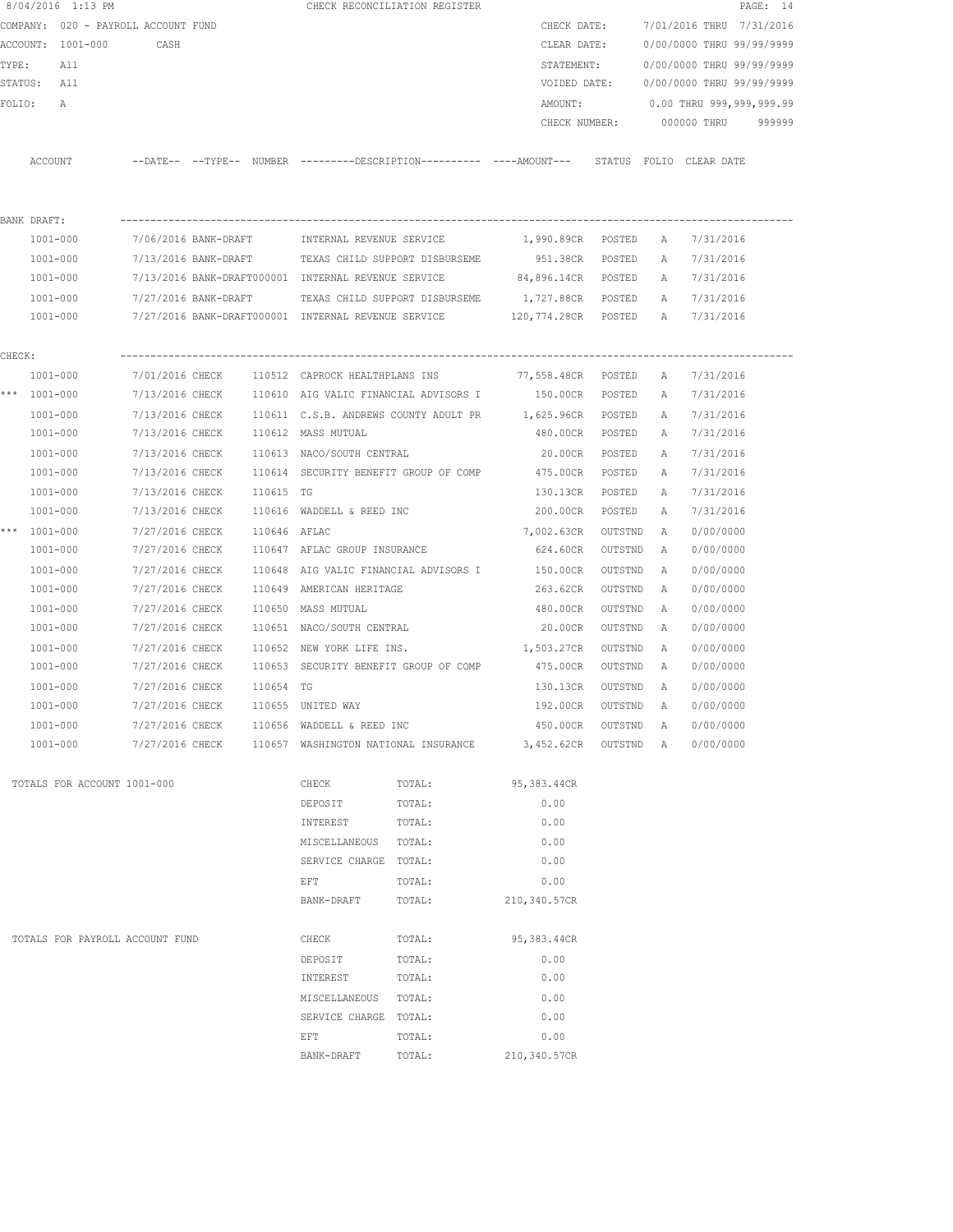| 8/04/2016 1:13 PM           |                                     |  |                                                       | CHECK RECONCILIATION REGISTER |                                                                                             |           |              |                                        | PAGE: 14 |
|-----------------------------|-------------------------------------|--|-------------------------------------------------------|-------------------------------|---------------------------------------------------------------------------------------------|-----------|--------------|----------------------------------------|----------|
|                             | COMPANY: 020 - PAYROLL ACCOUNT FUND |  |                                                       |                               | CHECK DATE:                                                                                 |           |              | 7/01/2016 THRU 7/31/2016               |          |
| ACCOUNT: 1001-000           | CASH                                |  |                                                       |                               | CLEAR DATE:                                                                                 |           |              | 0/00/0000 THRU 99/99/9999              |          |
| TYPE:<br>All                |                                     |  |                                                       |                               | STATEMENT:                                                                                  |           |              | 0/00/0000 THRU 99/99/9999              |          |
| STATUS: All                 |                                     |  |                                                       |                               |                                                                                             |           |              | VOIDED DATE: 0/00/0000 THRU 99/99/9999 |          |
| FOLIO:<br>$\mathbb{A}$      |                                     |  |                                                       |                               | AMOUNT:                                                                                     |           |              | 0.00 THRU 999,999,999.99               |          |
|                             |                                     |  |                                                       |                               | CHECK NUMBER:                                                                               |           |              | 000000 THRU 999999                     |          |
|                             |                                     |  |                                                       |                               |                                                                                             |           |              |                                        |          |
| ACCOUNT                     |                                     |  |                                                       |                               | --DATE-- --TYPE-- NUMBER --------DESCRIPTION---------- ----AMOUNT--- STATUS FOLIO CLEARDATE |           |              |                                        |          |
|                             |                                     |  |                                                       |                               |                                                                                             |           |              |                                        |          |
|                             |                                     |  |                                                       |                               |                                                                                             |           |              |                                        |          |
| BANK DRAFT:                 |                                     |  |                                                       |                               |                                                                                             |           |              |                                        |          |
| 1001-000                    |                                     |  |                                                       |                               | 7/06/2016 BANK-DRAFT     INTERNAL REVENUE SERVICE                 1,990.89CR   POSTED       |           |              | A 7/31/2016                            |          |
| 1001-000                    |                                     |  | 7/13/2016 BANK-DRAFT TEXAS CHILD SUPPORT DISBURSEME   |                               | 951.38CR POSTED                                                                             |           |              | A 7/31/2016                            |          |
| 1001-000                    |                                     |  |                                                       |                               | 7/13/2016 BANK-DRAFT000001 INTERNAL REVENUE SERVICE 84,896.14CR POSTED                      |           |              | A 7/31/2016                            |          |
| 1001-000                    |                                     |  | 7/27/2016 BANK-DRAFT TEXAS CHILD SUPPORT DISBURSEME   |                               | 1,727.88CR POSTED                                                                           |           |              | A 7/31/2016                            |          |
| 1001-000                    |                                     |  |                                                       |                               | 7/27/2016 BANK-DRAFT000001 INTERNAL REVENUE SERVICE 120,774.28CR POSTED A 7/31/2016         |           |              |                                        |          |
|                             |                                     |  |                                                       |                               |                                                                                             |           |              |                                        |          |
| CHECK:                      |                                     |  |                                                       |                               |                                                                                             |           |              |                                        |          |
| 1001-000                    |                                     |  | 7/01/2016 CHECK 110512 CAPROCK HEALTHPLANS INS        |                               | 77,558.48CR POSTED                                                                          |           | A            | 7/31/2016                              |          |
| *** 1001-000                |                                     |  | 7/13/2016 CHECK 110610 AIG VALIC FINANCIAL ADVISORS I |                               | 150.00CR POSTED                                                                             |           | A            | 7/31/2016                              |          |
| 1001-000                    |                                     |  |                                                       |                               | 7/13/2016 CHECK 110611 C.S.B. ANDREWS COUNTY ADULT PR 1,625.96CR POSTED                     |           | A            | 7/31/2016                              |          |
| 1001-000                    |                                     |  | 7/13/2016 CHECK 110612 MASS MUTUAL                    |                               | 480.00CR POSTED                                                                             |           | A            | 7/31/2016                              |          |
|                             |                                     |  |                                                       |                               | 20.00CR POSTED                                                                              |           |              |                                        |          |
| 1001-000<br>1001-000        |                                     |  | 7/13/2016 CHECK 110613 NACO/SOUTH CENTRAL             |                               | 7/13/2016 CHECK 110614 SECURITY BENEFIT GROUP OF COMP 475.00CR POSTED                       |           | A<br>A       | 7/31/2016<br>7/31/2016                 |          |
|                             | 7/13/2016 CHECK 110615 TG           |  |                                                       |                               |                                                                                             |           |              | 7/31/2016                              |          |
| 1001-000                    |                                     |  | $7/13/2016$ CHECK $110616$ WADDELL & REED INC         |                               | 130.13CR<br>200.00CR POSTED                                                                 | POSTED    | A            | 7/31/2016                              |          |
| 1001-000                    |                                     |  |                                                       |                               |                                                                                             |           | A            |                                        |          |
| *** 1001-000                | 7/27/2016 CHECK 110646 AFLAC        |  |                                                       |                               | 7,002.63CR                                                                                  | OUTSTND   | $\mathbb{A}$ | 0/00/0000                              |          |
| 1001-000                    | 7/27/2016 CHECK                     |  | 110647 AFLAC GROUP INSURANCE                          |                               | 624.60CR                                                                                    | OUTSTND   | A            | 0/00/0000                              |          |
| 1001-000                    | 7/27/2016 CHECK                     |  | 110648 AIG VALIC FINANCIAL ADVISORS I                 |                               | 150.00CR                                                                                    | OUTSTND   | A            | 0/00/0000                              |          |
| 1001-000                    | 7/27/2016 CHECK                     |  | 110649 AMERICAN HERITAGE                              |                               | 263.62CR                                                                                    | OUTSTND   | A            | 0/00/0000                              |          |
| 1001-000                    | 7/27/2016 CHECK                     |  | 110650 MASS MUTUAL                                    |                               | 480.00CR                                                                                    | OUTSTND   | A            | 0/00/0000                              |          |
| 1001-000                    | 7/27/2016 CHECK                     |  | 110651 NACO/SOUTH CENTRAL                             |                               | 20.00CR                                                                                     | OUTSTND   | A            | 0/00/0000                              |          |
| 1001-000                    | 7/27/2016 CHECK                     |  | 110652 NEW YORK LIFE INS.                             |                               | 1,503.27CR OUTSTND                                                                          |           | A            | 0/00/0000                              |          |
| 1001-000                    |                                     |  | 7/27/2016 CHECK 110653 SECURITY BENEFIT GROUP OF COMP |                               | 475.00CR OUTSTND                                                                            |           | A            | 0/00/0000                              |          |
| 1001-000                    | 7/27/2016 CHECK 110654 TG           |  |                                                       |                               | 130.13CR OUTSTND                                                                            |           | A            | 0/00/0000                              |          |
| 1001-000                    | 7/27/2016 CHECK                     |  | 110655 UNITED WAY                                     |                               | 192.00CR                                                                                    | OUTSTND   | $\mathbb{A}$ | 0/00/0000                              |          |
| $1001 - 000$                | 7/27/2016 CHECK                     |  | 110656 WADDELL & REED INC                             |                               | 450.00CR                                                                                    | OUTSTND   | A            | 0/00/0000                              |          |
| 1001-000                    | 7/27/2016 CHECK                     |  |                                                       |                               | 110657 WASHINGTON NATIONAL INSURANCE 3,452.62CR                                             | OUTSTND A |              | 0/00/0000                              |          |
|                             |                                     |  |                                                       |                               |                                                                                             |           |              |                                        |          |
| TOTALS FOR ACCOUNT 1001-000 |                                     |  | CHECK                                                 | TOTAL:                        | 95,383.44CR                                                                                 |           |              |                                        |          |
|                             |                                     |  | DEPOSIT                                               | TOTAL:                        | 0.00                                                                                        |           |              |                                        |          |
|                             |                                     |  | INTEREST                                              | TOTAL:                        | 0.00                                                                                        |           |              |                                        |          |
|                             |                                     |  | MISCELLANEOUS                                         | TOTAL:                        | 0.00                                                                                        |           |              |                                        |          |
|                             |                                     |  | SERVICE CHARGE TOTAL:                                 |                               | 0.00                                                                                        |           |              |                                        |          |
|                             |                                     |  | EFT                                                   | TOTAL:                        | 0.00                                                                                        |           |              |                                        |          |
|                             |                                     |  | BANK-DRAFT                                            | TOTAL:                        | 210,340.57CR                                                                                |           |              |                                        |          |
|                             |                                     |  |                                                       |                               |                                                                                             |           |              |                                        |          |
|                             | TOTALS FOR PAYROLL ACCOUNT FUND     |  | CHECK                                                 | TOTAL:                        | 95,383.44CR                                                                                 |           |              |                                        |          |
|                             |                                     |  | DEPOSIT                                               | TOTAL:                        | 0.00                                                                                        |           |              |                                        |          |
|                             |                                     |  | INTEREST                                              | TOTAL:                        | 0.00                                                                                        |           |              |                                        |          |
|                             |                                     |  | MISCELLANEOUS                                         | TOTAL:                        | 0.00                                                                                        |           |              |                                        |          |
|                             |                                     |  | SERVICE CHARGE TOTAL:                                 |                               | 0.00                                                                                        |           |              |                                        |          |
|                             |                                     |  | EFT                                                   | TOTAL:                        | 0.00                                                                                        |           |              |                                        |          |
|                             |                                     |  | BANK-DRAFT                                            | TOTAL:                        | 210,340.57CR                                                                                |           |              |                                        |          |
|                             |                                     |  |                                                       |                               |                                                                                             |           |              |                                        |          |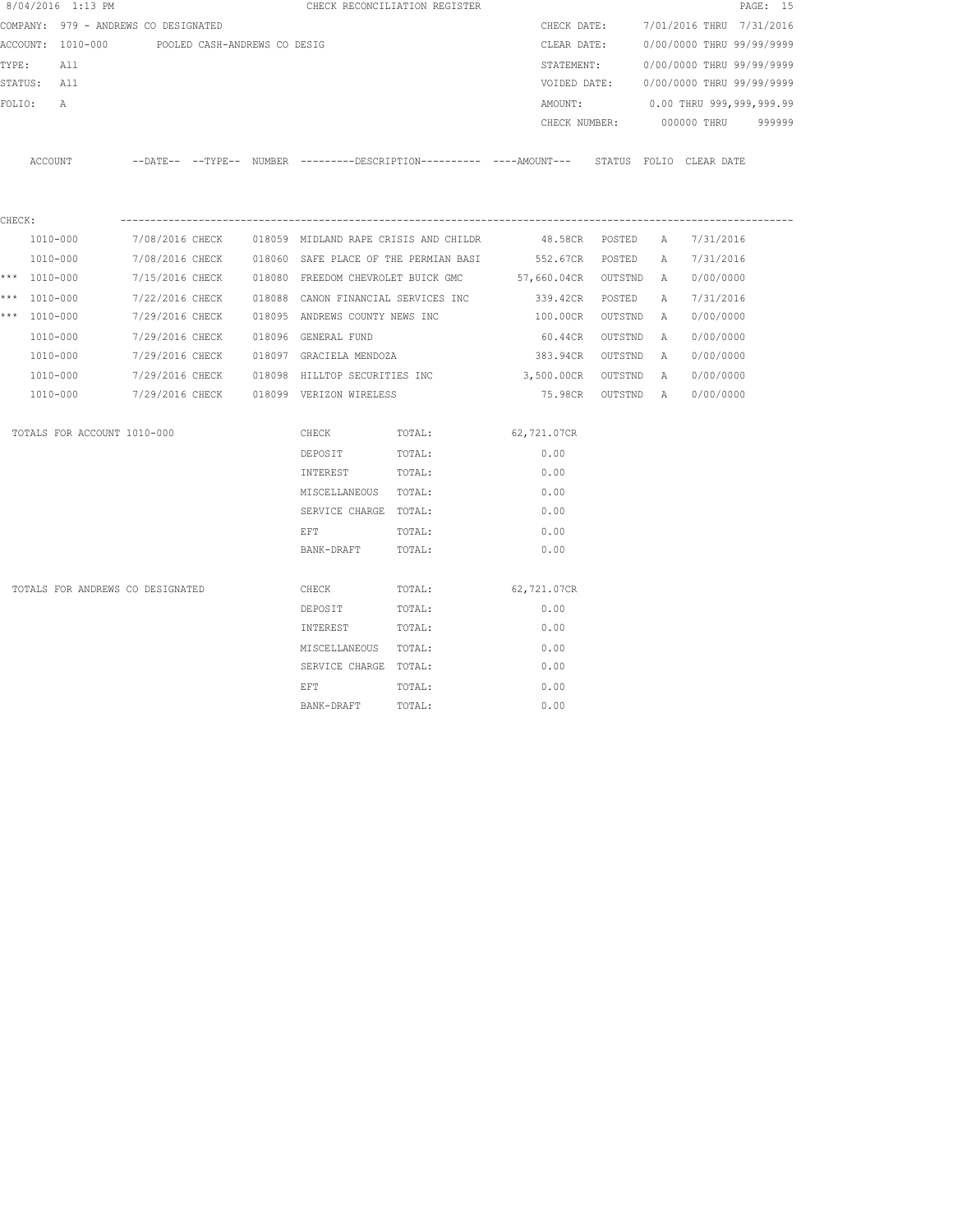|        | 8/04/2016 1:13 PM                    |                 |                              |                                | CHECK RECONCILIATION REGISTER         |                                                                                            |           |              |                           | PAGE: 15 |
|--------|--------------------------------------|-----------------|------------------------------|--------------------------------|---------------------------------------|--------------------------------------------------------------------------------------------|-----------|--------------|---------------------------|----------|
|        | COMPANY: 979 - ANDREWS CO DESIGNATED |                 |                              |                                |                                       | CHECK DATE:                                                                                |           |              | 7/01/2016 THRU 7/31/2016  |          |
|        | ACCOUNT: 1010-000                    |                 | POOLED CASH-ANDREWS CO DESIG |                                |                                       | CLEAR DATE:                                                                                |           |              | 0/00/0000 THRU 99/99/9999 |          |
| TYPE:  | All                                  |                 |                              |                                |                                       | STATEMENT:                                                                                 |           |              | 0/00/0000 THRU 99/99/9999 |          |
|        | STATUS:<br>All                       |                 |                              |                                |                                       | VOIDED DATE:                                                                               |           |              | 0/00/0000 THRU 99/99/9999 |          |
| FOLIO: | Α                                    |                 |                              |                                |                                       | AMOUNT:                                                                                    |           |              | 0.00 THRU 999,999,999.99  |          |
|        |                                      |                 |                              |                                |                                       | CHECK NUMBER:                                                                              |           |              | 000000 THRU               | 999999   |
|        | ACCOUNT                              |                 |                              |                                |                                       | --DATE-- --TYPE-- NUMBER --------DESCRIPTION--------- ----AMOUNT--- STATUS FOLIO CLEARDATE |           |              |                           |          |
| CHECK: |                                      |                 |                              |                                |                                       |                                                                                            |           |              |                           |          |
|        | 1010-000                             | 7/08/2016 CHECK |                              |                                | 018059 MIDLAND RAPE CRISIS AND CHILDR | 48.58CR POSTED                                                                             |           | A            | 7/31/2016                 |          |
|        | 1010-000                             | 7/08/2016 CHECK |                              |                                |                                       | 018060 SAFE PLACE OF THE PERMIAN BASI 552.67CR                                             | POSTED    | $\mathbb{A}$ | 7/31/2016                 |          |
|        | *** 1010-000                         | 7/15/2016 CHECK |                              |                                |                                       | 018080 FREEDOM CHEVROLET BUICK GMC 57,660.04CR                                             | OUTSTND   | A            | 0/00/0000                 |          |
|        | *** 1010-000                         | 7/22/2016 CHECK |                              |                                | 018088 CANON FINANCIAL SERVICES INC   | 339.42CR                                                                                   | POSTED    | Α            | 7/31/2016                 |          |
| $***$  | 1010-000                             | 7/29/2016 CHECK |                              | 018095 ANDREWS COUNTY NEWS INC |                                       | 100.00CR                                                                                   | OUTSTND   | $\mathbb{A}$ | 0/00/0000                 |          |
|        | 1010-000                             | 7/29/2016 CHECK |                              | 018096 GENERAL FUND            |                                       | 60.44CR                                                                                    | OUTSTND   | Α            | 0/00/0000                 |          |
|        | 1010-000                             | 7/29/2016 CHECK |                              | 018097 GRACIELA MENDOZA        |                                       | 383.94CR                                                                                   | OUTSTND   | Α            | 0/00/0000                 |          |
|        | 1010-000                             | 7/29/2016 CHECK |                              | 018098 HILLTOP SECURITIES INC  |                                       | 3,500.00CR                                                                                 | OUTSTND   | $\mathbb{A}$ | 0/00/0000                 |          |
|        | 1010-000                             | 7/29/2016 CHECK |                              | 018099 VERIZON WIRELESS        |                                       | 75.98CR                                                                                    | OUTSTND A |              | 0/00/0000                 |          |
|        | TOTALS FOR ACCOUNT 1010-000          |                 |                              | CHECK                          | TOTAL:                                | 62,721.07CR                                                                                |           |              |                           |          |
|        |                                      |                 |                              | DEPOSIT                        | TOTAL:                                | 0.00                                                                                       |           |              |                           |          |
|        |                                      |                 |                              | INTEREST                       | TOTAL:                                | 0.00                                                                                       |           |              |                           |          |
|        |                                      |                 |                              | MISCELLANEOUS TOTAL:           |                                       | 0.00                                                                                       |           |              |                           |          |
|        |                                      |                 |                              | SERVICE CHARGE TOTAL:          |                                       | 0.00                                                                                       |           |              |                           |          |
|        |                                      |                 |                              | EFT                            | TOTAL:                                | 0.00                                                                                       |           |              |                           |          |
|        |                                      |                 |                              | BANK-DRAFT                     | TOTAL:                                | 0.00                                                                                       |           |              |                           |          |
|        | TOTALS FOR ANDREWS CO DESIGNATED     |                 |                              | CHECK                          | TOTAL:                                | 62,721.07CR                                                                                |           |              |                           |          |
|        |                                      |                 |                              | DEPOSIT                        | TOTAL:                                | 0.00                                                                                       |           |              |                           |          |
|        |                                      |                 |                              | INTEREST                       | TOTAL:                                | 0.00                                                                                       |           |              |                           |          |
|        |                                      |                 |                              | MISCELLANEOUS TOTAL:           |                                       | 0.00                                                                                       |           |              |                           |          |
|        |                                      |                 |                              | SERVICE CHARGE TOTAL:          |                                       | 0.00                                                                                       |           |              |                           |          |
|        |                                      |                 |                              | EFT                            | TOTAL:                                | 0.00                                                                                       |           |              |                           |          |
|        |                                      |                 |                              | BANK-DRAFT                     | TOTAL:                                | 0.00                                                                                       |           |              |                           |          |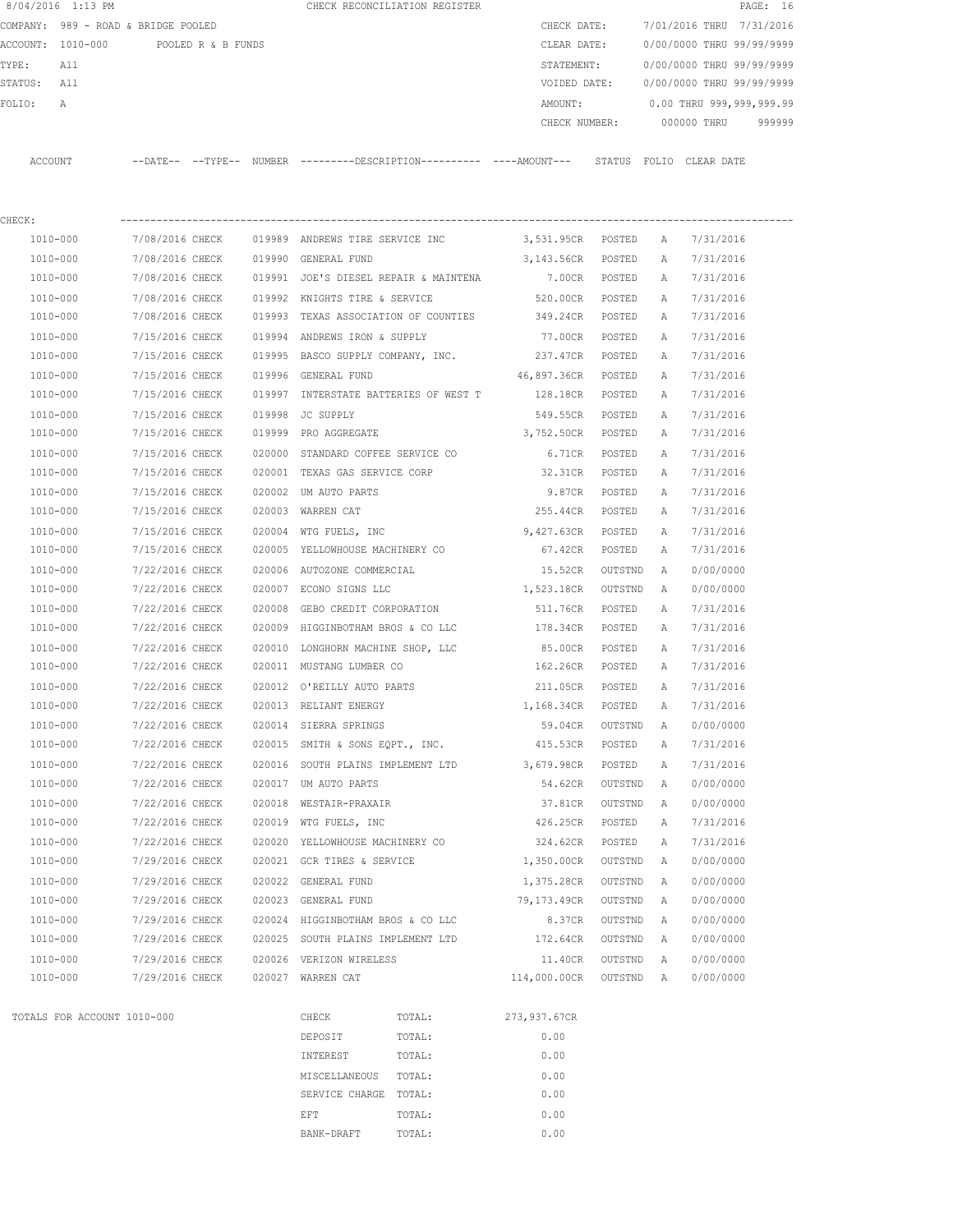|         | 8/04/2016 1:13 PM                    |                                    |        |                                   | CHECK RECONCILIATION REGISTER                                                               |                   |                  |              |                           | PAGE: 16 |
|---------|--------------------------------------|------------------------------------|--------|-----------------------------------|---------------------------------------------------------------------------------------------|-------------------|------------------|--------------|---------------------------|----------|
|         | COMPANY: 989 - ROAD & BRIDGE POOLED  |                                    |        |                                   |                                                                                             | CHECK DATE:       |                  |              | 7/01/2016 THRU 7/31/2016  |          |
|         | ACCOUNT: 1010-000 POOLED R & B FUNDS |                                    |        |                                   |                                                                                             | CLEAR DATE:       |                  |              | 0/00/0000 THRU 99/99/9999 |          |
| TYPE:   | All                                  |                                    |        |                                   |                                                                                             | STATEMENT:        |                  |              | 0/00/0000 THRU 99/99/9999 |          |
| STATUS: | All                                  |                                    |        |                                   |                                                                                             | VOIDED DATE:      |                  |              | 0/00/0000 THRU 99/99/9999 |          |
| FOLIO:  | Α                                    |                                    |        |                                   |                                                                                             | AMOUNT:           |                  |              | 0.00 THRU 999,999,999.99  |          |
|         |                                      |                                    |        |                                   |                                                                                             | CHECK NUMBER:     |                  |              | 000000 THRU               | 999999   |
|         | ACCOUNT                              |                                    |        |                                   | --DATE-- --TYPE-- NUMBER --------DESCRIPTION--------- ----AMOUNT--- STATUS FOLIO CLEAR-DATE |                   |                  |              |                           |          |
|         |                                      |                                    |        |                                   |                                                                                             |                   |                  |              |                           |          |
| CHECK:  |                                      |                                    |        |                                   |                                                                                             |                   |                  |              |                           |          |
|         | 1010-000                             | 7/08/2016 CHECK                    |        |                                   | 019989 ANDREWS TIRE SERVICE INC 3,531.95CR POSTED                                           |                   |                  | A            | 7/31/2016                 |          |
|         | 1010-000                             | 7/08/2016 CHECK                    |        | 019990 GENERAL FUND               |                                                                                             | 3,143.56CR POSTED |                  | A            | 7/31/2016                 |          |
|         | 1010-000                             | 7/08/2016 CHECK                    |        |                                   | 019991 JOE'S DIESEL REPAIR & MAINTENA                                                       | 7.00CR POSTED     |                  | A            | 7/31/2016                 |          |
|         | 1010-000                             | 7/08/2016 CHECK                    |        | 019992 KNIGHTS TIRE & SERVICE     |                                                                                             | 520.00CR POSTED   |                  | A            | 7/31/2016                 |          |
|         | 1010-000                             | 7/08/2016 CHECK                    |        |                                   | 019993 TEXAS ASSOCIATION OF COUNTIES                                                        | 349.24CR          | POSTED           | A            | 7/31/2016                 |          |
|         | 1010-000                             | 7/15/2016 CHECK                    |        | 019994 ANDREWS IRON & SUPPLY      |                                                                                             | 77.00CR           | POSTED           | A            | 7/31/2016                 |          |
|         | 1010-000                             | 7/15/2016 CHECK                    |        |                                   | 019995 BASCO SUPPLY COMPANY, INC.                                                           | 237.47CR POSTED   |                  | A            | 7/31/2016                 |          |
|         | 1010-000                             | 7/15/2016 CHECK                    |        | 019996 GENERAL FUND               |                                                                                             | 46,897.36CR       | POSTED           | A            | 7/31/2016                 |          |
|         | 1010-000                             | 7/15/2016 CHECK                    |        |                                   | 019997 INTERSTATE BATTERIES OF WEST T                                                       | 128.18CR POSTED   |                  | A            | 7/31/2016                 |          |
|         | 1010-000                             | 7/15/2016 CHECK                    | 019998 | JC SUPPLY                         |                                                                                             | 549.55CR          | POSTED           | A            | 7/31/2016                 |          |
|         | 1010-000                             | 7/15/2016 CHECK                    |        | 019999 PRO AGGREGATE              |                                                                                             | 3,752.50CR POSTED |                  | A            | 7/31/2016                 |          |
|         | 1010-000                             |                                    |        |                                   |                                                                                             |                   |                  |              |                           |          |
|         | 1010-000                             | 7/15/2016 CHECK<br>7/15/2016 CHECK |        |                                   | 020000 STANDARD COFFEE SERVICE CO<br>020001 TEXAS GAS SERVICE CORP                          | 6.71CR<br>32.31CR | POSTED<br>POSTED | A<br>A       | 7/31/2016<br>7/31/2016    |          |
|         |                                      |                                    |        |                                   |                                                                                             |                   |                  |              |                           |          |
|         | 1010-000                             | 7/15/2016 CHECK                    |        | 020002 UM AUTO PARTS              |                                                                                             | 9.87CR            | POSTED           | Α            | 7/31/2016                 |          |
|         | 1010-000                             | 7/15/2016 CHECK                    |        | 020003 WARREN CAT                 |                                                                                             | 255.44CR          | POSTED           | Α            | 7/31/2016                 |          |
|         | 1010-000                             | 7/15/2016 CHECK                    |        | 020004 WTG FUELS, INC             |                                                                                             | 9,427.63CR        | POSTED           | Α            | 7/31/2016                 |          |
|         | 1010-000                             | 7/15/2016 CHECK                    |        | 020005 YELLOWHOUSE MACHINERY CO   |                                                                                             | 67.42CR           | POSTED           | Α            | 7/31/2016                 |          |
|         | 1010-000                             | 7/22/2016 CHECK                    |        | 020006 AUTOZONE COMMERCIAL        |                                                                                             | 15.52CR           | OUTSTND          | A            | 0/00/0000                 |          |
|         | 1010-000                             | 7/22/2016 CHECK                    |        | 020007 ECONO SIGNS LLC            |                                                                                             | 1,523.18CR        | OUTSTND          | $\mathbb{A}$ | 0/00/0000                 |          |
|         | 1010-000                             | 7/22/2016 CHECK                    | 020008 | GEBO CREDIT CORPORATION           |                                                                                             | 511.76CR          | POSTED           | Α            | 7/31/2016                 |          |
|         | 1010-000                             | 7/22/2016 CHECK                    |        |                                   | 020009 HIGGINBOTHAM BROS & CO LLC                                                           | 178.34CR          | POSTED           | Α            | 7/31/2016                 |          |
|         | 1010-000                             | 7/22/2016 CHECK                    | 020010 |                                   | LONGHORN MACHINE SHOP, LLC                                                                  | 85.00CR           | POSTED           | A            | 7/31/2016                 |          |
|         | 1010-000                             | 7/22/2016 CHECK                    |        | 020011 MUSTANG LUMBER CO          |                                                                                             | 162.26CR          | POSTED           | A            | 7/31/2016                 |          |
|         | 1010-000                             | 7/22/2016 CHECK                    |        |                                   | 020012 O'REILLY AUTO PARTS                                                                  | 211.05CR          | POSTED           | A            | 7/31/2016                 |          |
|         | 1010-000                             | 7/22/2016 CHECK                    |        | 020013 RELIANT ENERGY             |                                                                                             | 1,168.34CR        | POSTED           | А            | 7/31/2016                 |          |
|         | 1010-000                             | 7/22/2016 CHECK                    |        | 020014 SIERRA SPRINGS             |                                                                                             | 59.04CR           | OUTSTND          | Α            | 0/00/0000                 |          |
|         | 1010-000                             | 7/22/2016 CHECK                    |        |                                   | 020015 SMITH & SONS EQPT., INC. 415.53CR                                                    |                   | POSTED           | Α            | 7/31/2016                 |          |
|         | 1010-000                             | 7/22/2016 CHECK                    |        | 020016 SOUTH PLAINS IMPLEMENT LTD |                                                                                             | 3,679.98CR        | POSTED           | Α            | 7/31/2016                 |          |
|         | 1010-000                             | 7/22/2016 CHECK                    |        | 020017 UM AUTO PARTS              |                                                                                             | 54.62CR           | OUTSTND          | Α            | 0/00/0000                 |          |
|         | 1010-000                             | 7/22/2016 CHECK                    |        | 020018 WESTAIR-PRAXAIR            |                                                                                             | 37.81CR           | OUTSTND          | A            | 0/00/0000                 |          |
|         | 1010-000                             | 7/22/2016 CHECK                    |        | 020019 WTG FUELS, INC             |                                                                                             | 426.25CR          | POSTED           | Α            | 7/31/2016                 |          |
|         | 1010-000                             | 7/22/2016 CHECK                    |        | 020020 YELLOWHOUSE MACHINERY CO   |                                                                                             | 324.62CR          | POSTED           | Α            | 7/31/2016                 |          |
|         | 1010-000                             | 7/29/2016 CHECK                    |        | 020021 GCR TIRES & SERVICE        |                                                                                             | 1,350.00CR        | OUTSTND          | Α            | 0/00/0000                 |          |
|         | 1010-000                             | 7/29/2016 CHECK                    |        | 020022 GENERAL FUND               |                                                                                             | 1,375.28CR        | OUTSTND          | A            | 0/00/0000                 |          |
|         | 1010-000                             | 7/29/2016 CHECK                    |        | 020023 GENERAL FUND               |                                                                                             | 79,173.49CR       | OUTSTND          | A            | 0/00/0000                 |          |
|         | 1010-000                             | 7/29/2016 CHECK                    |        |                                   | 020024 HIGGINBOTHAM BROS & CO LLC                                                           | 8.37CR            | OUTSTND          | Α            | 0/00/0000                 |          |
|         | 1010-000                             | 7/29/2016 CHECK                    |        |                                   | 020025 SOUTH PLAINS IMPLEMENT LTD                                                           | 172.64CR          | OUTSTND          | Α            | 0/00/0000                 |          |
|         | 1010-000                             | 7/29/2016 CHECK                    |        | 020026 VERIZON WIRELESS           |                                                                                             | 11.40CR           | OUTSTND          | Α            | 0/00/0000                 |          |
|         | 1010-000                             | 7/29/2016 CHECK                    |        | 020027 WARREN CAT                 |                                                                                             | 114,000.00CR      | OUTSTND          | A            | 0/00/0000                 |          |
|         | TOTALS FOR ACCOUNT 1010-000          |                                    |        | CHECK                             | TOTAL:                                                                                      | 273,937.67CR      |                  |              |                           |          |
|         |                                      |                                    |        | DEPOSIT                           | TOTAL:                                                                                      | 0.00              |                  |              |                           |          |
|         |                                      |                                    |        | INTEREST                          | TOTAL:                                                                                      | 0.00              |                  |              |                           |          |
|         |                                      |                                    |        |                                   |                                                                                             |                   |                  |              |                           |          |
|         |                                      |                                    |        | MISCELLANEOUS                     | TOTAL:                                                                                      | 0.00              |                  |              |                           |          |

SERVICE CHARGE TOTAL: 0.00 EFT TOTAL:  $0.00$ BANK-DRAFT TOTAL:  $0.00$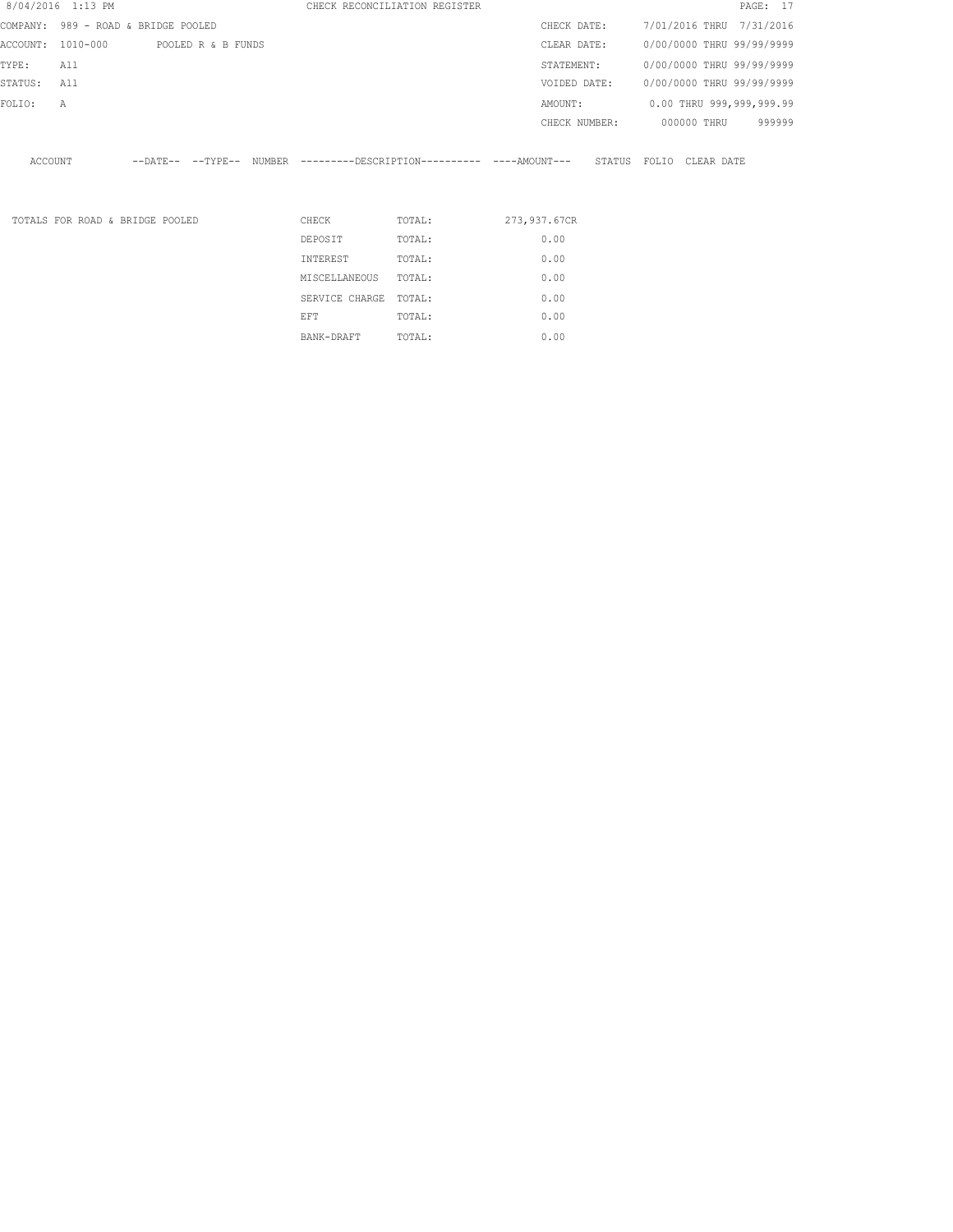|          | 8/04/2016 1:13 PM                   |                            |                    |               |                | CHECK RECONCILIATION REGISTER |               |        |       |                           | PAGE: 17 |        |
|----------|-------------------------------------|----------------------------|--------------------|---------------|----------------|-------------------------------|---------------|--------|-------|---------------------------|----------|--------|
|          | COMPANY: 989 - ROAD & BRIDGE POOLED |                            |                    |               |                |                               | CHECK DATE:   |        |       | 7/01/2016 THRU 7/31/2016  |          |        |
| ACCOUNT: | 1010-000                            |                            | POOLED R & B FUNDS |               |                |                               | CLEAR DATE:   |        |       | 0/00/0000 THRU 99/99/9999 |          |        |
| TYPE:    | All                                 |                            |                    |               |                |                               | STATEMENT:    |        |       | 0/00/0000 THRU 99/99/9999 |          |        |
| STATUS:  | All                                 |                            |                    |               |                |                               | VOIDED DATE:  |        |       | 0/00/0000 THRU 99/99/9999 |          |        |
| FOLIO:   | Α                                   |                            |                    |               |                |                               | AMOUNT:       |        |       | 0.00 THRU 999,999,999.99  |          |        |
|          |                                     |                            |                    |               |                |                               | CHECK NUMBER: |        |       | 000000 THRU               |          | 999999 |
| ACCOUNT  |                                     | $--$ DATE $- --$ TYPE $--$ |                    | <b>NUMBER</b> |                |                               |               | STATUS | FOLIO | CLEAR DATE                |          |        |
|          | TOTALS FOR ROAD & BRIDGE POOLED     |                            |                    |               | CHECK          | TOTAL:                        | 273,937.67CR  |        |       |                           |          |        |
|          |                                     |                            |                    |               | DEPOSIT        | TOTAL:                        | 0.00          |        |       |                           |          |        |
|          |                                     |                            |                    |               | INTEREST       | TOTAL:                        | 0.00          |        |       |                           |          |        |
|          |                                     |                            |                    |               | MISCELLANEOUS  | TOTAL:                        | 0.00          |        |       |                           |          |        |
|          |                                     |                            |                    |               | SERVICE CHARGE | TOTAL:                        | 0.00          |        |       |                           |          |        |

EFT TOTAL:  $0.00$ BANK-DRAFT TOTAL:  $0.00$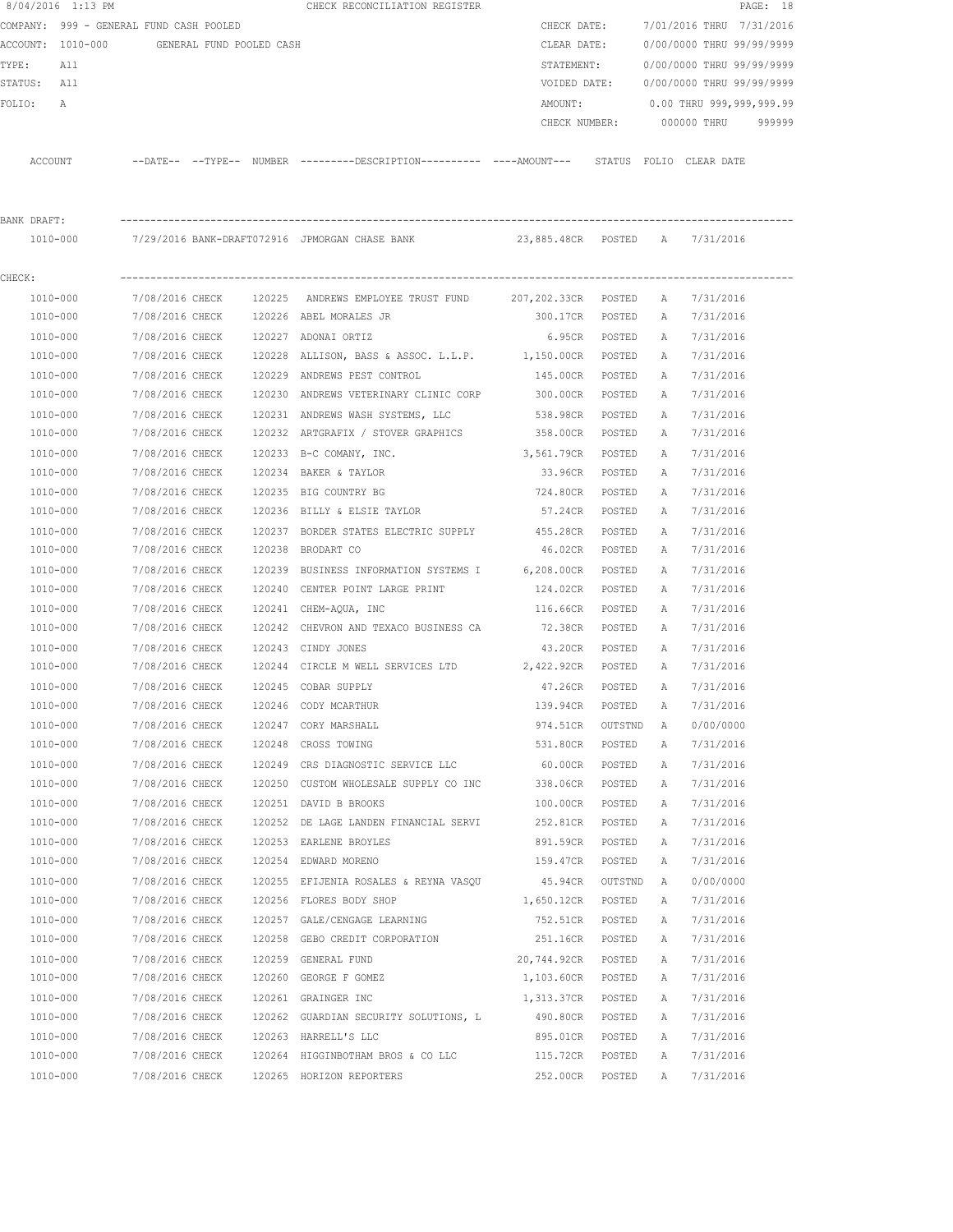|             | 8/04/2016 1:13 PM                          |                 |                 | CHECK RECONCILIATION REGISTER                                                                |                 |         |              |                           | PAGE: 18 |
|-------------|--------------------------------------------|-----------------|-----------------|----------------------------------------------------------------------------------------------|-----------------|---------|--------------|---------------------------|----------|
|             | COMPANY: 999 - GENERAL FUND CASH POOLED    |                 |                 |                                                                                              | CHECK DATE:     |         |              | 7/01/2016 THRU 7/31/2016  |          |
|             | ACCOUNT: 1010-000 GENERAL FUND POOLED CASH |                 |                 |                                                                                              | CLEAR DATE:     |         |              | 0/00/0000 THRU 99/99/9999 |          |
| TYPE:       | All                                        |                 |                 |                                                                                              | STATEMENT:      |         |              | 0/00/0000 THRU 99/99/9999 |          |
| STATUS: All |                                            |                 |                 |                                                                                              | VOIDED DATE:    |         |              | 0/00/0000 THRU 99/99/9999 |          |
| FOLIO:      | A                                          |                 |                 |                                                                                              | AMOUNT:         |         |              | 0.00 THRU 999,999,999.99  |          |
|             |                                            |                 |                 |                                                                                              | CHECK NUMBER:   |         |              | 000000 THRU               | 999999   |
|             | ACCOUNT                                    |                 |                 | --DATE-- --TYPE-- NUMBER ---------DESCRIPTION---------- ----AMOUNT--- STATUS FOLIO CLEARDATE |                 |         |              |                           |          |
| BANK DRAFT: |                                            |                 |                 |                                                                                              |                 |         |              |                           |          |
|             |                                            |                 |                 | 1010-000 7/29/2016 BANK-DRAFT072916 JPMORGAN CHASE BANK 23,885.48CR POSTED A 7/31/2016       |                 |         |              |                           |          |
|             |                                            |                 |                 |                                                                                              |                 |         |              |                           |          |
| CHECK:      |                                            |                 |                 |                                                                                              |                 |         |              |                           |          |
|             | 1010-000                                   | 7/08/2016 CHECK |                 | 120225 ANDREWS EMPLOYEE TRUST FUND 207,202.33CR POSTED                                       |                 |         | A            | 7/31/2016                 |          |
|             | 1010-000                                   |                 |                 | 7/08/2016 CHECK 120226 ABEL MORALES JR                                                       | 300.17CR POSTED |         | A            | 7/31/2016                 |          |
|             | 1010-000                                   | 7/08/2016 CHECK |                 | 120227 ADONAI ORTIZ                                                                          | 6.95CR POSTED   |         | A            | 7/31/2016                 |          |
|             | 1010-000                                   | 7/08/2016 CHECK |                 | 120228 ALLISON, BASS & ASSOC. L.L.P. 1,150.00CR                                              |                 | POSTED  | A            | 7/31/2016                 |          |
|             | 1010-000                                   | 7/08/2016 CHECK |                 | 120229 ANDREWS PEST CONTROL                                                                  | 145.00CR        | POSTED  | A            | 7/31/2016                 |          |
|             | 1010-000                                   | 7/08/2016 CHECK |                 | 120230 ANDREWS VETERINARY CLINIC CORP                                                        | 300.00CR        | POSTED  | A            | 7/31/2016                 |          |
|             | 1010-000                                   | 7/08/2016 CHECK |                 | 120231 ANDREWS WASH SYSTEMS, LLC                                                             | 538.98CR        | POSTED  | Α            | 7/31/2016                 |          |
|             | 1010-000                                   | 7/08/2016 CHECK |                 | 120232 ARTGRAFIX / STOVER GRAPHICS                                                           | 358.00CR        | POSTED  | Α            | 7/31/2016                 |          |
|             | 1010-000                                   | 7/08/2016 CHECK |                 | 120233 B-C COMANY, INC.                                                                      | 3,561.79CR      | POSTED  | A            | 7/31/2016                 |          |
|             | 1010-000                                   |                 | 7/08/2016 CHECK | 120234 BAKER & TAYLOR                                                                        | 33.96CR         | POSTED  | A            | 7/31/2016                 |          |
|             | 1010-000                                   |                 |                 | 7/08/2016 CHECK 120235 BIG COUNTRY BG                                                        | 724.80CR        | POSTED  | A            | 7/31/2016                 |          |
|             | 1010-000                                   |                 | 7/08/2016 CHECK | 120236 BILLY & ELSIE TAYLOR                                                                  | 57.24CR         | POSTED  | A            | 7/31/2016                 |          |
|             | 1010-000                                   | 7/08/2016 CHECK |                 | 120237 BORDER STATES ELECTRIC SUPPLY                                                         | 455.28CR        | POSTED  | Α            | 7/31/2016                 |          |
|             | 1010-000                                   | 7/08/2016 CHECK |                 | 120238 BRODART CO                                                                            | 46.02CR         | POSTED  | A            | 7/31/2016                 |          |
|             | 1010-000                                   | 7/08/2016 CHECK |                 | 120239 BUSINESS INFORMATION SYSTEMS I 6,208.00CR                                             |                 | POSTED  | $\mathbb{A}$ | 7/31/2016                 |          |
|             | 1010-000                                   | 7/08/2016 CHECK |                 | 120240 CENTER POINT LARGE PRINT                                                              | 124.02CR        | POSTED  | A            | 7/31/2016                 |          |
|             | 1010-000                                   | 7/08/2016 CHECK |                 | 120241 CHEM-AQUA, INC                                                                        | 116.66CR        | POSTED  | Α            | 7/31/2016                 |          |
|             | 1010-000                                   | 7/08/2016 CHECK |                 | 120242 CHEVRON AND TEXACO BUSINESS CA                                                        | 72.38CR         | POSTED  | A            | 7/31/2016                 |          |
|             | 1010-000                                   | 7/08/2016 CHECK |                 | 120243 CINDY JONES                                                                           | 43.20CR         | POSTED  | A            | 7/31/2016                 |          |
|             | 1010-000                                   |                 |                 | 7/08/2016 CHECK 120244 CIRCLE M WELL SERVICES LTD 2,422.92CR                                 |                 | POSTED  | A            | 7/31/2016                 |          |
|             | 1010-000                                   |                 |                 | 7/08/2016 CHECK 120245 COBAR SUPPLY                                                          | 47.26CR         | POSTED  | A            | 7/31/2016                 |          |
|             | 1010-000                                   | 7/08/2016 CHECK |                 | 120246 CODY MCARTHUR                                                                         | 139.94CR        | POSTED  | Α            | 7/31/2016                 |          |
|             | 1010-000                                   | 7/08/2016 CHECK |                 | 120247 CORY MARSHALL                                                                         | 974.51CR        | OUTSTND | Α            | 0/00/0000                 |          |
|             | 1010-000                                   | 7/08/2016 CHECK |                 | 120248 CROSS TOWING                                                                          | 531.80CR        | POSTED  | Α            | 7/31/2016                 |          |
|             | 1010-000                                   | 7/08/2016 CHECK |                 | 120249 CRS DIAGNOSTIC SERVICE LLC                                                            | 60.00CR         | POSTED  | Α            | 7/31/2016                 |          |
|             | 1010-000                                   | 7/08/2016 CHECK |                 | 120250 CUSTOM WHOLESALE SUPPLY CO INC                                                        | 338.06CR        | POSTED  | Α            | 7/31/2016                 |          |
|             | 1010-000                                   | 7/08/2016 CHECK |                 | 120251 DAVID B BROOKS                                                                        | 100.00CR        | POSTED  | Α            | 7/31/2016                 |          |
|             | 1010-000                                   | 7/08/2016 CHECK |                 | 120252 DE LAGE LANDEN FINANCIAL SERVI                                                        | 252.81CR        | POSTED  | Α            | 7/31/2016                 |          |
|             | 1010-000                                   | 7/08/2016 CHECK |                 | 120253 EARLENE BROYLES                                                                       | 891.59CR        | POSTED  | Α            | 7/31/2016                 |          |
|             | 1010-000                                   | 7/08/2016 CHECK |                 | 120254 EDWARD MORENO                                                                         | 159.47CR        | POSTED  | Α            | 7/31/2016                 |          |
|             | 1010-000                                   | 7/08/2016 CHECK |                 | 120255 EFIJENIA ROSALES & REYNA VASQU                                                        | 45.94CR         | OUTSTND | Α            | 0/00/0000                 |          |
|             | 1010-000                                   | 7/08/2016 CHECK |                 | 120256 FLORES BODY SHOP                                                                      | 1,650.12CR      | POSTED  | Α            | 7/31/2016                 |          |
|             | 1010-000                                   | 7/08/2016 CHECK |                 | 120257 GALE/CENGAGE LEARNING                                                                 | 752.51CR        | POSTED  | Α            | 7/31/2016                 |          |
|             | 1010-000                                   | 7/08/2016 CHECK |                 | 120258 GEBO CREDIT CORPORATION                                                               | 251.16CR        | POSTED  | Α            | 7/31/2016                 |          |
|             | 1010-000                                   | 7/08/2016 CHECK |                 | 120259 GENERAL FUND                                                                          | 20,744.92CR     | POSTED  | Α            | 7/31/2016                 |          |
|             | 1010-000                                   | 7/08/2016 CHECK |                 | 120260 GEORGE F GOMEZ                                                                        | 1,103.60CR      | POSTED  | Α            | 7/31/2016                 |          |
|             |                                            |                 |                 |                                                                                              |                 |         |              |                           |          |
|             | 1010-000                                   | 7/08/2016 CHECK |                 | 120261 GRAINGER INC                                                                          | 1,313.37CR      | POSTED  | Α            | 7/31/2016                 |          |
|             | 1010-000                                   | 7/08/2016 CHECK |                 | 120262 GUARDIAN SECURITY SOLUTIONS, L                                                        | 490.80CR        | POSTED  | Α            | 7/31/2016                 |          |
|             | 1010-000                                   | 7/08/2016 CHECK |                 | 120263 HARRELL'S LLC                                                                         | 895.01CR        | POSTED  | Α            | 7/31/2016                 |          |
|             | 1010-000                                   | 7/08/2016 CHECK |                 | 120264 HIGGINBOTHAM BROS & CO LLC                                                            | 115.72CR        | POSTED  | Α            | 7/31/2016                 |          |
|             | 1010-000                                   | 7/08/2016 CHECK |                 | 120265 HORIZON REPORTERS                                                                     | 252.00CR        | POSTED  | Α            | 7/31/2016                 |          |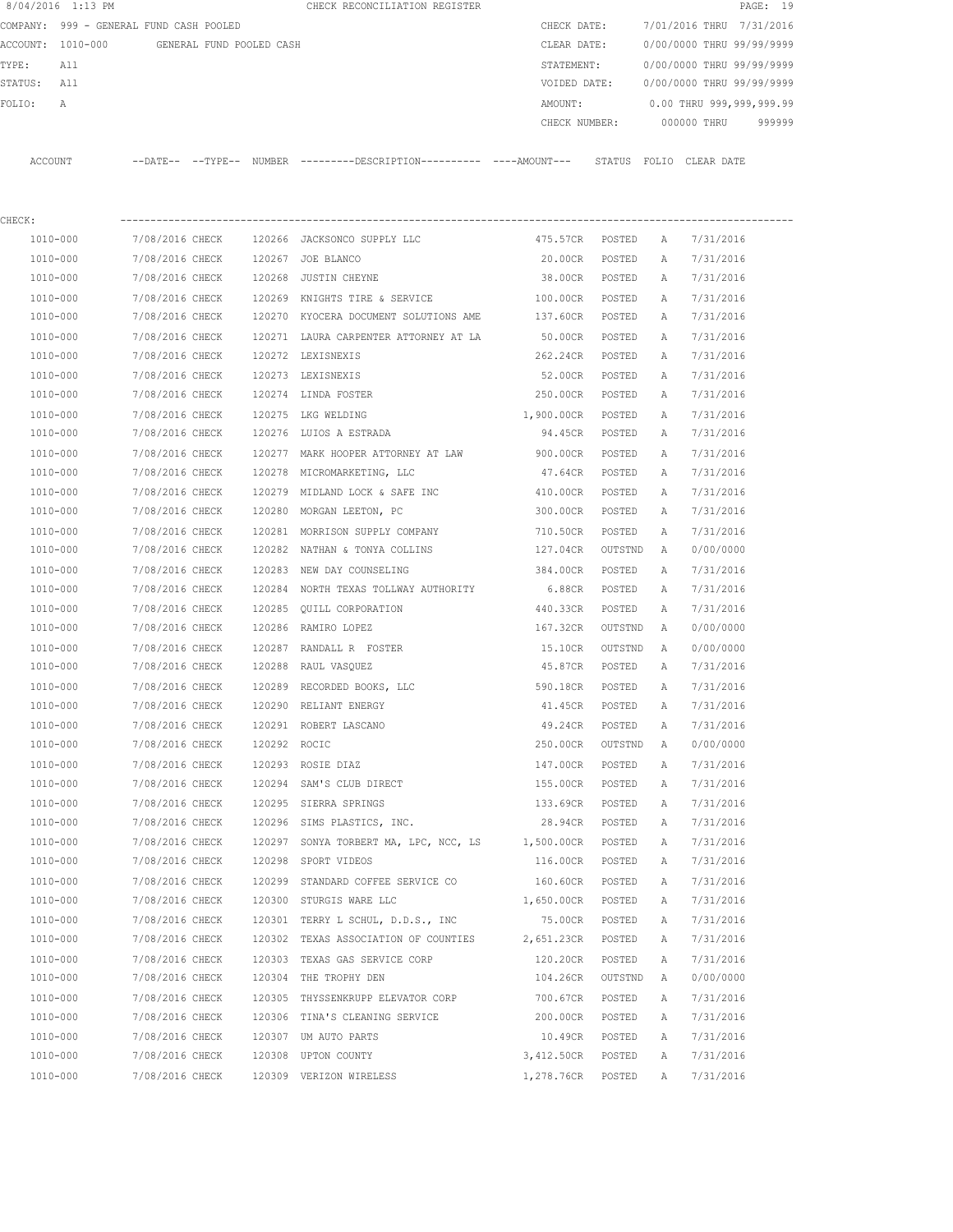|             | 8/04/2016 1:13 PM                       |                          |                 |              | CHECK RECONCILIATION REGISTER                                                                |                   |         |              | PAGE: 19                               |  |
|-------------|-----------------------------------------|--------------------------|-----------------|--------------|----------------------------------------------------------------------------------------------|-------------------|---------|--------------|----------------------------------------|--|
|             | COMPANY: 999 - GENERAL FUND CASH POOLED |                          |                 |              |                                                                                              |                   |         |              | CHECK DATE: 7/01/2016 THRU 7/31/2016   |  |
|             | ACCOUNT: 1010-000                       | GENERAL FUND POOLED CASH |                 |              |                                                                                              | CLEAR DATE:       |         |              | 0/00/0000 THRU 99/99/9999              |  |
| TYPE:       | All                                     |                          |                 |              |                                                                                              | STATEMENT:        |         |              | 0/00/0000 THRU 99/99/9999              |  |
| STATUS: All |                                         |                          |                 |              |                                                                                              |                   |         |              | VOIDED DATE: 0/00/0000 THRU 99/99/9999 |  |
| FOLIO:      | A                                       |                          |                 |              |                                                                                              |                   |         |              | AMOUNT: 0.00 THRU 999,999,999.99       |  |
|             |                                         |                          |                 |              |                                                                                              |                   |         |              | CHECK NUMBER: 000000 THRU 999999       |  |
|             | ACCOUNT                                 |                          |                 |              | --DATE-- --TYPE-- NUMBER ---------DESCRIPTION---------- ----AMOUNT--- STATUS FOLIO CLEARDATE |                   |         |              |                                        |  |
|             |                                         |                          |                 |              |                                                                                              |                   |         |              |                                        |  |
| CHECK:      |                                         |                          |                 |              |                                                                                              |                   |         |              |                                        |  |
|             | 1010-000                                |                          |                 |              | 7/08/2016 CHECK 120266 JACKSONCO SUPPLY LLC                                                  | 475.57CR POSTED A |         |              | 7/31/2016                              |  |
|             | 1010-000                                |                          |                 |              | 7/08/2016 CHECK 120267 JOE BLANCO                                                            | 20.00CR POSTED    |         | A            | 7/31/2016                              |  |
|             | 1010-000                                |                          |                 |              | 7/08/2016 CHECK 120268 JUSTIN CHEYNE                                                         | 38.00CR POSTED    |         | A            | 7/31/2016                              |  |
|             | 1010-000                                |                          |                 |              | 7/08/2016 CHECK 120269 KNIGHTS TIRE & SERVICE                                                | 100.00CR POSTED   |         | A            | 7/31/2016                              |  |
|             | 1010-000                                |                          |                 |              | 7/08/2016 CHECK 120270 KYOCERA DOCUMENT SOLUTIONS AME 37.60CR POSTED                         |                   |         | A            | 7/31/2016                              |  |
|             | 1010-000                                |                          |                 |              | 7/08/2016 CHECK 120271 LAURA CARPENTER ATTORNEY AT LA                                        | 50.00CR POSTED    |         | A            | 7/31/2016                              |  |
|             | 1010-000                                | 7/08/2016 CHECK          |                 |              | 120272 LEXISNEXIS                                                                            | 262.24CR POSTED   |         | A            | 7/31/2016                              |  |
|             | 1010-000                                |                          |                 |              | 7/08/2016 CHECK 120273 LEXISNEXIS                                                            | 52.00CR POSTED    |         | A            | 7/31/2016                              |  |
|             | 1010-000                                |                          |                 |              | 7/08/2016 CHECK 120274 LINDA FOSTER                                                          | 250.00CR POSTED   |         | A            | 7/31/2016                              |  |
|             | 1010-000                                |                          |                 |              | 7/08/2016 CHECK 120275 LKG WELDING                                                           | 1,900.00CR POSTED |         | A            | 7/31/2016                              |  |
|             | 1010-000                                | 7/08/2016 CHECK          |                 |              | 120276 LUIOS A ESTRADA                                                                       | 94.45CR POSTED    |         | A            | 7/31/2016                              |  |
|             | 1010-000                                | 7/08/2016 CHECK          |                 |              | 120277 MARK HOOPER ATTORNEY AT LAW                                                           | 900.00CR POSTED   |         | A            | 7/31/2016                              |  |
|             | 1010-000                                | 7/08/2016 CHECK          |                 |              | 120278 MICROMARKETING, LLC                                                                   | 47.64CR POSTED    |         | A            | 7/31/2016                              |  |
|             | 1010-000                                | 7/08/2016 CHECK          |                 |              | 120279 MIDLAND LOCK & SAFE INC                                                               | 410.00CR POSTED   |         | A            | 7/31/2016                              |  |
|             | 1010-000                                |                          |                 |              | 7/08/2016 CHECK 120280 MORGAN LEETON, PC                                                     | 300.00CR POSTED   |         | A            | 7/31/2016                              |  |
|             |                                         |                          |                 |              |                                                                                              |                   |         |              |                                        |  |
|             | 1010-000                                |                          |                 |              | 7/08/2016 CHECK 120281 MORRISON SUPPLY COMPANY                                               | 710.50CR          | POSTED  | A            | 7/31/2016                              |  |
|             | 1010-000                                |                          |                 |              | 7/08/2016 CHECK 120282 NATHAN & TONYA COLLINS                                                | 127.04CR          | OUTSTND | A            | 0/00/0000                              |  |
|             | 1010-000                                |                          |                 |              | 7/08/2016 CHECK 120283 NEW DAY COUNSELING                                                    | 384.00CR POSTED   |         | Α            | 7/31/2016                              |  |
|             | 1010-000                                |                          |                 |              | 7/08/2016 CHECK 120284 NORTH TEXAS TOLLWAY AUTHORITY                                         | 6.88CR POSTED     |         | Α            | 7/31/2016                              |  |
|             | 1010-000                                |                          |                 |              | 7/08/2016 CHECK 120285 OUILL CORPORATION                                                     | 440.33CR POSTED   |         | Α            | 7/31/2016                              |  |
|             | 1010-000                                |                          |                 |              | 7/08/2016 CHECK 120286 RAMIRO LOPEZ                                                          | 167.32CR OUTSTND  |         | A            | 0/00/0000                              |  |
|             | 1010-000                                | 7/08/2016 CHECK          |                 |              | 120287 RANDALL R FOSTER                                                                      | 15.10CR OUTSTND A |         |              | 0/00/0000                              |  |
|             | 1010-000                                |                          |                 |              | 7/08/2016 CHECK 120288 RAUL VASQUEZ                                                          | 45.87CR POSTED A  |         |              | 7/31/2016                              |  |
|             | 1010-000                                | 7/08/2016 CHECK          |                 |              | 120289 RECORDED BOOKS, LLC                                                                   | 590.18CR POSTED A |         |              | 7/31/2016                              |  |
|             | 1010-000                                | 7/08/2016 CHECK          |                 |              | 120290 RELIANT ENERGY                                                                        | 41.45CR           | POSTED  | Α            | 7/31/2016                              |  |
|             | 1010-000                                | 7/08/2016 CHECK          |                 |              | 120291 ROBERT LASCANO                                                                        | 49.24CR           | POSTED  | Α            | 7/31/2016                              |  |
|             | 1010-000                                | 7/08/2016 CHECK          |                 | 120292 ROCIC |                                                                                              | 250.00CR          | OUTSTND | A            | 0/00/0000                              |  |
|             | 1010-000                                | 7/08/2016 CHECK          |                 |              | 120293 ROSIE DIAZ                                                                            | 147.00CR          | POSTED  | Α            | 7/31/2016                              |  |
|             | 1010-000                                | 7/08/2016 CHECK          |                 |              | 120294 SAM'S CLUB DIRECT                                                                     | 155.00CR          | POSTED  | Α            | 7/31/2016                              |  |
|             | 1010-000                                |                          | 7/08/2016 CHECK |              | 120295 SIERRA SPRINGS                                                                        | 133.69CR          | POSTED  | Α            | 7/31/2016                              |  |
|             | 1010-000                                | 7/08/2016 CHECK          |                 |              | 120296 SIMS PLASTICS, INC.                                                                   | 28.94CR           | POSTED  | Α            | 7/31/2016                              |  |
|             | 1010-000                                | 7/08/2016 CHECK          |                 |              | 120297 SONYA TORBERT MA, LPC, NCC, LS                                                        | 1,500.00CR        | POSTED  | Α            | 7/31/2016                              |  |
|             | 1010-000                                | 7/08/2016 CHECK          |                 |              | 120298 SPORT VIDEOS                                                                          | 116.00CR          | POSTED  | Α            | 7/31/2016                              |  |
|             | 1010-000                                | 7/08/2016 CHECK          |                 |              | 120299 STANDARD COFFEE SERVICE CO                                                            | 160.60CR          | POSTED  | Α            | 7/31/2016                              |  |
|             | 1010-000                                | 7/08/2016 CHECK          |                 |              | 120300 STURGIS WARE LLC                                                                      | 1,650.00CR POSTED |         | Α            | 7/31/2016                              |  |
|             | 1010-000                                | 7/08/2016 CHECK          |                 |              | 120301 TERRY L SCHUL, D.D.S., INC                                                            | 75.00CR           | POSTED  | Α            | 7/31/2016                              |  |
|             | 1010-000                                | 7/08/2016 CHECK          |                 |              | 120302 TEXAS ASSOCIATION OF COUNTIES                                                         | 2,651.23CR POSTED |         | Α            | 7/31/2016                              |  |
|             | 1010-000                                | 7/08/2016 CHECK          |                 |              | 120303 TEXAS GAS SERVICE CORP                                                                | 120.20CR          | POSTED  | Α            | 7/31/2016                              |  |
|             | 1010-000                                | 7/08/2016 CHECK          |                 |              | 120304 THE TROPHY DEN                                                                        | 104.26CR          | OUTSTND | $\mathbb{A}$ | 0/00/0000                              |  |
|             | 1010-000                                | 7/08/2016 CHECK          |                 |              | 120305 THYSSENKRUPP ELEVATOR CORP                                                            | 700.67CR          | POSTED  | Α            | 7/31/2016                              |  |

 1010-000 7/08/2016 CHECK 120306 TINA'S CLEANING SERVICE 200.00CR POSTED A 7/31/2016 1010-000 7/08/2016 CHECK 120307 UM AUTO PARTS 10.49CR POSTED A 7/31/2016 1010-000 7/08/2016 CHECK 120308 UPTON COUNTY 3,412.50CR POSTED A 7/31/2016 1010-000 7/08/2016 CHECK 120309 VERIZON WIRELESS 1,278.76CR POSTED A 7/31/2016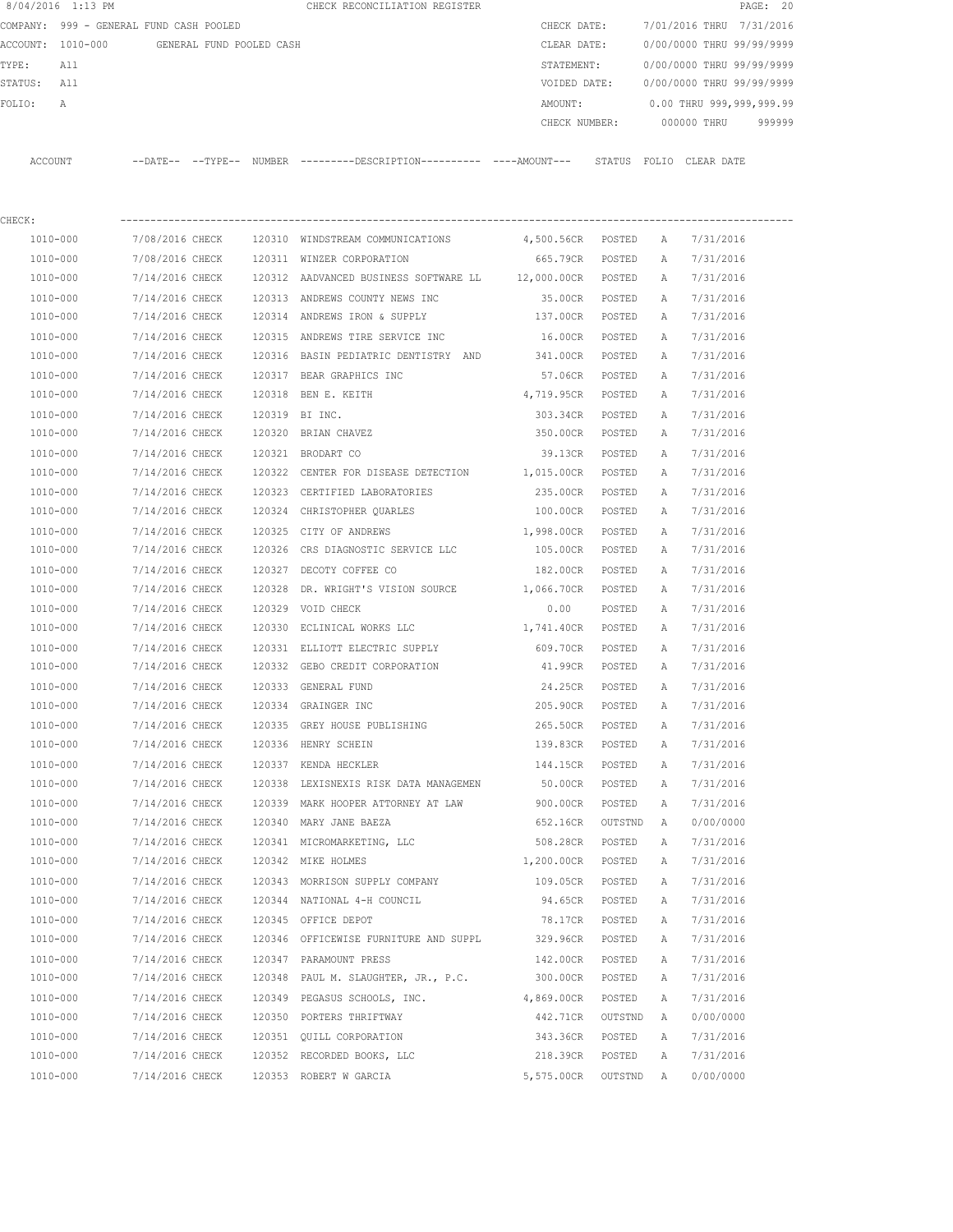|         | 8/04/2016 1:13 PM                       |                            |                          | CHECK RECONCILIATION REGISTER                |               |                           |            | PAGE: 20 |        |
|---------|-----------------------------------------|----------------------------|--------------------------|----------------------------------------------|---------------|---------------------------|------------|----------|--------|
|         | COMPANY: 999 - GENERAL FUND CASH POOLED |                            |                          |                                              | CHECK DATE:   | 7/01/2016 THRU 7/31/2016  |            |          |        |
|         | ACCOUNT: 1010-000                       |                            | GENERAL FUND POOLED CASH |                                              | CLEAR DATE:   | 0/00/0000 THRU 99/99/9999 |            |          |        |
| TYPE:   | All                                     |                            |                          |                                              | STATEMENT:    | 0/00/0000 THRU 99/99/9999 |            |          |        |
| STATUS: | All                                     |                            |                          |                                              | VOIDED DATE:  | 0/00/0000 THRU 99/99/9999 |            |          |        |
| FOLTO:  | $\mathbb{A}$                            |                            |                          |                                              | AMOUNT:       | 0.00 THRU 999,999,999.99  |            |          |        |
|         |                                         |                            |                          |                                              | CHECK NUMBER: | 000000 THRU               |            |          | 999999 |
|         |                                         |                            |                          |                                              |               |                           |            |          |        |
| ACCOUNT |                                         | $--$ DATE $- --$ TYPE $--$ | <b>NUMBER</b>            | ---------DESCRIPTION---------- ----AMOUNT--- | STATUS        | FOLTO                     | CLEAR DATE |          |        |

| CHECK:   |                 |                                                          |                   |         |   |           |
|----------|-----------------|----------------------------------------------------------|-------------------|---------|---|-----------|
| 1010-000 | 7/08/2016 CHECK | 120310 WINDSTREAM COMMUNICATIONS 4,500.56CR POSTED       |                   |         | A | 7/31/2016 |
| 1010-000 | 7/08/2016 CHECK | 120311 WINZER CORPORATION                                | 665.79CR POSTED   |         | Α | 7/31/2016 |
| 1010-000 | 7/14/2016 CHECK | 120312 AADVANCED BUSINESS SOFTWARE LL 12,000.00CR POSTED |                   |         | Α | 7/31/2016 |
| 1010-000 | 7/14/2016 CHECK | 120313 ANDREWS COUNTY NEWS INC                           | 35.00CR POSTED    |         | Α | 7/31/2016 |
| 1010-000 | 7/14/2016 CHECK | 120314 ANDREWS IRON & SUPPLY                             | 137.00CR POSTED   |         | Α | 7/31/2016 |
| 1010-000 | 7/14/2016 CHECK | 120315 ANDREWS TIRE SERVICE INC                          | 16.00CR           | POSTED  | A | 7/31/2016 |
| 1010-000 | 7/14/2016 CHECK | 120316 BASIN PEDIATRIC DENTISTRY AND 341.00CR POSTED     |                   |         | A | 7/31/2016 |
| 1010-000 | 7/14/2016 CHECK | 120317 BEAR GRAPHICS INC                                 | 57.06CR           | POSTED  | А | 7/31/2016 |
| 1010-000 | 7/14/2016 CHECK | 120318 BEN E. KEITH                                      | 4,719.95CR        | POSTED  | А | 7/31/2016 |
| 1010-000 | 7/14/2016 CHECK | 120319 BI INC.                                           | 303.34CR          | POSTED  | Α | 7/31/2016 |
| 1010-000 | 7/14/2016 CHECK | 120320 BRIAN CHAVEZ                                      | 350.00CR          | POSTED  | Α | 7/31/2016 |
| 1010-000 | 7/14/2016 CHECK | 120321 BRODART CO                                        | 39.13CR           | POSTED  | Α | 7/31/2016 |
| 1010-000 | 7/14/2016 CHECK | 120322 CENTER FOR DISEASE DETECTION 1,015.00CR POSTED    |                   |         | Α | 7/31/2016 |
| 1010-000 | 7/14/2016 CHECK | 120323 CERTIFIED LABORATORIES                            | 235.00CR          | POSTED  | Α | 7/31/2016 |
| 1010-000 | 7/14/2016 CHECK | 120324 CHRISTOPHER QUARLES                               | 100.00CR          | POSTED  | Α | 7/31/2016 |
| 1010-000 | 7/14/2016 CHECK | 120325 CITY OF ANDREWS                                   | 1,998.00CR        | POSTED  | Α | 7/31/2016 |
| 1010-000 | 7/14/2016 CHECK | 120326 CRS DIAGNOSTIC SERVICE LLC                        | 105.00CR          | POSTED  | Α | 7/31/2016 |
| 1010-000 | 7/14/2016 CHECK | 120327 DECOTY COFFEE CO                                  | 182.00CR POSTED   |         | A | 7/31/2016 |
| 1010-000 | 7/14/2016 CHECK | 120328 DR. WRIGHT'S VISION SOURCE 1,066.70CR POSTED      |                   |         | A | 7/31/2016 |
| 1010-000 | 7/14/2016 CHECK | 120329 VOID CHECK                                        | 0.00              | POSTED  | А | 7/31/2016 |
| 1010-000 | 7/14/2016 CHECK | 120330 ECLINICAL WORKS LLC                               | 1,741.40CR        | POSTED  | А | 7/31/2016 |
| 1010-000 | 7/14/2016 CHECK | 120331 ELLIOTT ELECTRIC SUPPLY 609.70CR                  |                   | POSTED  | Α | 7/31/2016 |
| 1010-000 | 7/14/2016 CHECK | 120332 GEBO CREDIT CORPORATION 41.99CR                   |                   | POSTED  | А | 7/31/2016 |
| 1010-000 | 7/14/2016 CHECK | 120333 GENERAL FUND                                      | 24.25CR           | POSTED  | Α | 7/31/2016 |
| 1010-000 | 7/14/2016 CHECK | 120334 GRAINGER INC                                      | 205.90CR          | POSTED  | Α | 7/31/2016 |
| 1010-000 | 7/14/2016 CHECK | 120335 GREY HOUSE PUBLISHING                             | 265.50CR          | POSTED  | А | 7/31/2016 |
| 1010-000 | 7/14/2016 CHECK | 120336 HENRY SCHEIN                                      | 139.83CR          | POSTED  | Α | 7/31/2016 |
| 1010-000 | 7/14/2016 CHECK | 120337 KENDA HECKLER                                     | 144.15CR          | POSTED  | Α | 7/31/2016 |
| 1010-000 | 7/14/2016 CHECK | 120338 LEXISNEXIS RISK DATA MANAGEMEN                    | 50.00CR POSTED    |         | Α | 7/31/2016 |
| 1010-000 | 7/14/2016 CHECK | 120339 MARK HOOPER ATTORNEY AT LAW                       | 900.00CR          | POSTED  | Α | 7/31/2016 |
| 1010-000 | 7/14/2016 CHECK | 120340 MARY JANE BAEZA                                   | 652.16CR OUTSTND  |         | A | 0/00/0000 |
| 1010-000 | 7/14/2016 CHECK | 120341 MICROMARKETING, LLC                               | 508.28CR          | POSTED  | Α | 7/31/2016 |
| 1010-000 | 7/14/2016 CHECK | 120342 MIKE HOLMES                                       | 1,200.00CR POSTED |         | A | 7/31/2016 |
| 1010-000 | 7/14/2016 CHECK | 120343 MORRISON SUPPLY COMPANY 109.05CR                  |                   | POSTED  | A | 7/31/2016 |
| 1010-000 | 7/14/2016 CHECK | 120344 NATIONAL 4-H COUNCIL                              | 94.65CR           | POSTED  | Α | 7/31/2016 |
| 1010-000 | 7/14/2016 CHECK | 120345 OFFICE DEPOT                                      | 78.17CR           | POSTED  | Α | 7/31/2016 |
| 1010-000 | 7/14/2016 CHECK | 120346 OFFICEWISE FURNITURE AND SUPPL                    | 329.96CR          | POSTED  | Α | 7/31/2016 |
| 1010-000 | 7/14/2016 CHECK | 120347 PARAMOUNT PRESS                                   | 142.00CR          | POSTED  | Α | 7/31/2016 |
| 1010-000 | 7/14/2016 CHECK | 120348 PAUL M. SLAUGHTER, JR., P.C.                      | 300.00CR          | POSTED  | Α | 7/31/2016 |
| 1010-000 | 7/14/2016 CHECK | 120349 PEGASUS SCHOOLS, INC.                             | 4,869.00CR        | POSTED  | Α | 7/31/2016 |
| 1010-000 | 7/14/2016 CHECK | 120350 PORTERS THRIFTWAY                                 | 442.71CR          | OUTSTND | Α | 0/00/0000 |
| 1010-000 | 7/14/2016 CHECK | 120351 QUILL CORPORATION                                 | 343.36CR          | POSTED  | Α | 7/31/2016 |
| 1010-000 | 7/14/2016 CHECK | 120352 RECORDED BOOKS, LLC                               | 218.39CR          | POSTED  | Α | 7/31/2016 |
| 1010-000 | 7/14/2016 CHECK | 120353 ROBERT W GARCIA                                   | 5,575.00CR        | OUTSTND | A | 0/00/0000 |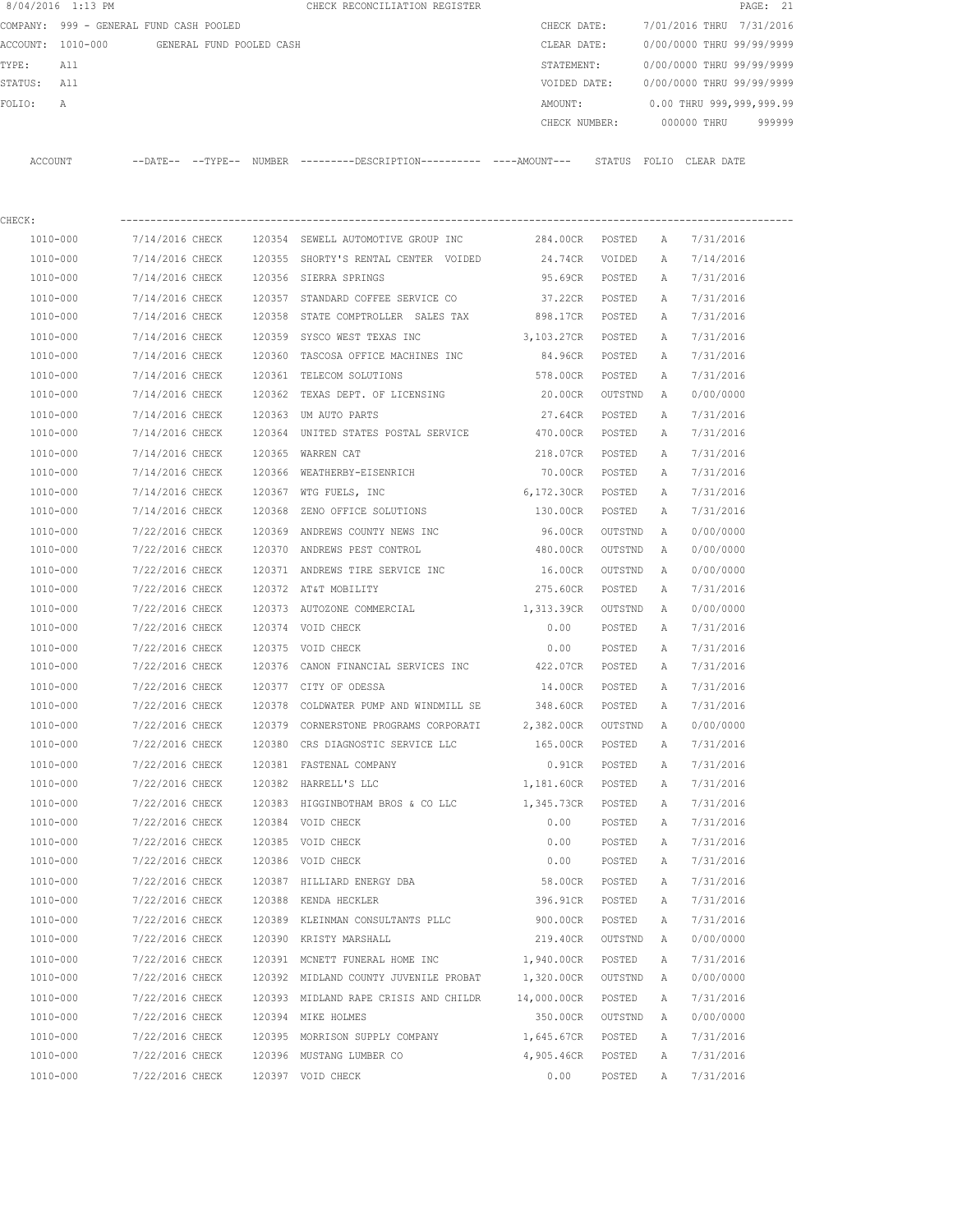|                                               | 8/04/2016 1:13 PM                       |                 |  | CHECK RECONCILIATION REGISTER                                                                |                   |                           |                           |                           | PAGE: 21 |
|-----------------------------------------------|-----------------------------------------|-----------------|--|----------------------------------------------------------------------------------------------|-------------------|---------------------------|---------------------------|---------------------------|----------|
|                                               | COMPANY: 999 - GENERAL FUND CASH POOLED |                 |  |                                                                                              | CHECK DATE:       |                           |                           | 7/01/2016 THRU 7/31/2016  |          |
| ACCOUNT: 1010-000<br>GENERAL FUND POOLED CASH |                                         |                 |  | CLEAR DATE:                                                                                  |                   |                           | 0/00/0000 THRU 99/99/9999 |                           |          |
| TYPE:<br>All                                  |                                         |                 |  | STATEMENT:                                                                                   |                   | 0/00/0000 THRU 99/99/9999 |                           |                           |          |
| STATUS: All                                   |                                         |                 |  |                                                                                              | VOIDED DATE:      |                           |                           | 0/00/0000 THRU 99/99/9999 |          |
| FOLIO:                                        | Α                                       |                 |  |                                                                                              | AMOUNT:           |                           |                           | 0.00 THRU 999,999,999.99  |          |
|                                               |                                         |                 |  |                                                                                              | CHECK NUMBER:     |                           |                           | 000000 THRU               | 999999   |
|                                               | ACCOUNT                                 |                 |  | --DATE-- --TYPE-- NUMBER ---------DESCRIPTION---------- ----AMOUNT--- STATUS FOLIO CLEARDATE |                   |                           |                           |                           |          |
| CHECK:                                        |                                         |                 |  |                                                                                              |                   |                           |                           |                           |          |
|                                               | 1010-000                                | 7/14/2016 CHECK |  | 120354 SEWELL AUTOMOTIVE GROUP INC $284.00CR$ POSTED                                         |                   |                           | A                         | 7/31/2016                 |          |
|                                               | 1010-000                                | 7/14/2016 CHECK |  | 120355 SHORTY'S RENTAL CENTER VOIDED                                                         | 24.74CR           | VOIDED                    | A                         | 7/14/2016                 |          |
|                                               | 1010-000                                | 7/14/2016 CHECK |  | 120356 SIERRA SPRINGS                                                                        | 95.69CR           | POSTED                    | A                         | 7/31/2016                 |          |
|                                               | 1010-000                                | 7/14/2016 CHECK |  | 120357 STANDARD COFFEE SERVICE CO                                                            | 37.22CR POSTED    |                           | Α                         | 7/31/2016                 |          |
|                                               | 1010-000                                | 7/14/2016 CHECK |  | 120358 STATE COMPTROLLER SALES TAX                                                           | 898.17CR POSTED   |                           | Α                         | 7/31/2016                 |          |
|                                               | $1010 - 000$                            | 7/14/2016 CHECK |  | 120359 SYSCO WEST TEXAS INC                                                                  | 3,103.27CR POSTED |                           | A                         | 7/31/2016                 |          |
|                                               | 1010-000                                | 7/14/2016 CHECK |  | 120360 TASCOSA OFFICE MACHINES INC                                                           | 84.96CR POSTED    |                           | Α                         | 7/31/2016                 |          |
|                                               | 1010-000                                | 7/14/2016 CHECK |  | 120361 TELECOM SOLUTIONS                                                                     | 578.00CR          | POSTED                    | A                         | 7/31/2016                 |          |
|                                               | 1010-000                                | 7/14/2016 CHECK |  | 120362 TEXAS DEPT. OF LICENSING                                                              | 20.00CR           | OUTSTND                   | A                         | 0/00/0000                 |          |
|                                               | 1010-000                                | 7/14/2016 CHECK |  | 120363 UM AUTO PARTS                                                                         | 27.64CR           | POSTED                    | A                         | 7/31/2016                 |          |
|                                               | 1010-000                                | 7/14/2016 CHECK |  | 120364 UNITED STATES POSTAL SERVICE 470.00CR                                                 |                   | POSTED                    | A                         | 7/31/2016                 |          |
|                                               | 1010-000                                | 7/14/2016 CHECK |  | 120365 WARREN CAT                                                                            | 218.07CR          | POSTED                    | Α                         | 7/31/2016                 |          |
|                                               | 1010-000                                | 7/14/2016 CHECK |  | 120366 WEATHERBY-EISENRICH                                                                   | 70.00CR           | POSTED                    | Α                         | 7/31/2016                 |          |
|                                               | 1010-000                                | 7/14/2016 CHECK |  | 120367 WTG FUELS, INC                                                                        | 6,172.30CR        | POSTED                    | A                         | 7/31/2016                 |          |
|                                               | 1010-000                                | 7/14/2016 CHECK |  | 120368 ZENO OFFICE SOLUTIONS                                                                 | 130.00CR          | POSTED                    | A                         | 7/31/2016                 |          |
|                                               | 1010-000                                | 7/22/2016 CHECK |  | 120369 ANDREWS COUNTY NEWS INC                                                               | 96.00CR           | OUTSTND                   | A                         | 0/00/0000                 |          |
|                                               | 1010-000                                | 7/22/2016 CHECK |  | 120370 ANDREWS PEST CONTROL                                                                  | 480.00CR          | OUTSTND                   | A                         | 0/00/0000                 |          |
|                                               | 1010-000                                | 7/22/2016 CHECK |  | 120371 ANDREWS TIRE SERVICE INC                                                              | 16.00CR           | OUTSTND                   | Α                         | 0/00/0000                 |          |
|                                               | 1010-000                                | 7/22/2016 CHECK |  | 120372 AT&T MOBILITY                                                                         | 275.60CR          | POSTED                    | A                         | 7/31/2016                 |          |
|                                               | 1010-000                                | 7/22/2016 CHECK |  | 120373 AUTOZONE COMMERCIAL                                                                   | 1,313.39CR        | OUTSTND                   | A                         | 0/00/0000                 |          |
|                                               | 1010-000                                | 7/22/2016 CHECK |  | 120374 VOID CHECK                                                                            | 0.00              | POSTED                    | A                         | 7/31/2016                 |          |
|                                               | 1010-000                                | 7/22/2016 CHECK |  | 120375 VOID CHECK                                                                            | 0.00              | POSTED                    | Α                         | 7/31/2016                 |          |
|                                               | 1010-000                                | 7/22/2016 CHECK |  | 120376 CANON FINANCIAL SERVICES INC 422.07CR                                                 |                   | POSTED                    | A                         | 7/31/2016                 |          |
|                                               | 1010-000                                | 7/22/2016 CHECK |  | 120377 CITY OF ODESSA                                                                        | 14.00CR           | POSTED                    | $\mathbb{A}$              | 7/31/2016                 |          |
|                                               | 1010-000                                | 7/22/2016 CHECK |  | 120378 COLDWATER PUMP AND WINDMILL SE                                                        | 348.60CR          | POSTED                    | А                         | 7/31/2016                 |          |
|                                               | 1010-000                                | 7/22/2016 CHECK |  | 120379 CORNERSTONE PROGRAMS CORPORATI                                                        | 2,382.00CR        | OUTSTND                   | Α                         | 0/00/0000                 |          |
|                                               | 1010-000                                | 7/22/2016 CHECK |  | 120380 CRS DIAGNOSTIC SERVICE LLC                                                            | 165.00CR          | POSTED                    | Α                         | 7/31/2016                 |          |
|                                               | 1010-000                                | 7/22/2016 CHECK |  | 120381 FASTENAL COMPANY                                                                      | 0.91CR            | POSTED                    | Α                         | 7/31/2016                 |          |
|                                               | 1010-000                                | 7/22/2016 CHECK |  | 120382 HARRELL'S LLC                                                                         | 1,181.60CR        | POSTED                    | Α                         | 7/31/2016                 |          |
|                                               | 1010-000                                | 7/22/2016 CHECK |  | 120383 HIGGINBOTHAM BROS & CO LLC                                                            | 1,345.73CR        | POSTED                    | Α                         | 7/31/2016                 |          |
|                                               | 1010-000                                | 7/22/2016 CHECK |  | 120384 VOID CHECK                                                                            | 0.00              | POSTED                    | Α                         | 7/31/2016                 |          |
|                                               | 1010-000                                | 7/22/2016 CHECK |  | 120385 VOID CHECK                                                                            | 0.00              | POSTED                    | Α                         | 7/31/2016                 |          |
|                                               | 1010-000                                | 7/22/2016 CHECK |  | 120386 VOID CHECK                                                                            | 0.00              | POSTED                    | Α                         | 7/31/2016                 |          |
|                                               | 1010-000                                | 7/22/2016 CHECK |  | 120387 HILLIARD ENERGY DBA                                                                   | 58.00CR           | POSTED                    | Α                         | 7/31/2016                 |          |
|                                               | $1010 - 000$                            | 7/22/2016 CHECK |  | 120388 KENDA HECKLER                                                                         | 396.91CR          | POSTED                    | Α                         | 7/31/2016                 |          |
|                                               | 1010-000                                | 7/22/2016 CHECK |  | 120389 KLEINMAN CONSULTANTS PLLC                                                             | 900.00CR          | POSTED                    | Α                         | 7/31/2016                 |          |
|                                               | 1010-000                                | 7/22/2016 CHECK |  | 120390 KRISTY MARSHALL                                                                       | 219.40CR          | OUTSTND                   | Α                         | 0/00/0000                 |          |
|                                               | 1010-000                                | 7/22/2016 CHECK |  | 120391 MCNETT FUNERAL HOME INC 1,940.00CR                                                    |                   | POSTED                    | Α                         | 7/31/2016                 |          |
|                                               | 1010-000                                | 7/22/2016 CHECK |  | 120392 MIDLAND COUNTY JUVENILE PROBAT                                                        | 1,320.00CR        | OUTSTND                   | Α                         | 0/00/0000                 |          |
|                                               | 1010-000                                | 7/22/2016 CHECK |  | 120393 MIDLAND RAPE CRISIS AND CHILDR                                                        | 14,000.00CR       | POSTED                    | Α                         | 7/31/2016                 |          |
|                                               | 1010-000                                | 7/22/2016 CHECK |  | 120394 MIKE HOLMES                                                                           | 350.00CR          | OUTSTND                   | Α                         | 0/00/0000                 |          |
|                                               | 1010-000                                | 7/22/2016 CHECK |  | 120395 MORRISON SUPPLY COMPANY                                                               | 1,645.67CR        | POSTED                    | Α                         | 7/31/2016                 |          |
|                                               | 1010-000                                | 7/22/2016 CHECK |  | 120396 MUSTANG LUMBER CO                                                                     | 4,905.46CR        | POSTED                    | Α                         | 7/31/2016                 |          |
|                                               | 1010-000                                | 7/22/2016 CHECK |  | 120397 VOID CHECK                                                                            | 0.00              | POSTED                    | Α                         | 7/31/2016                 |          |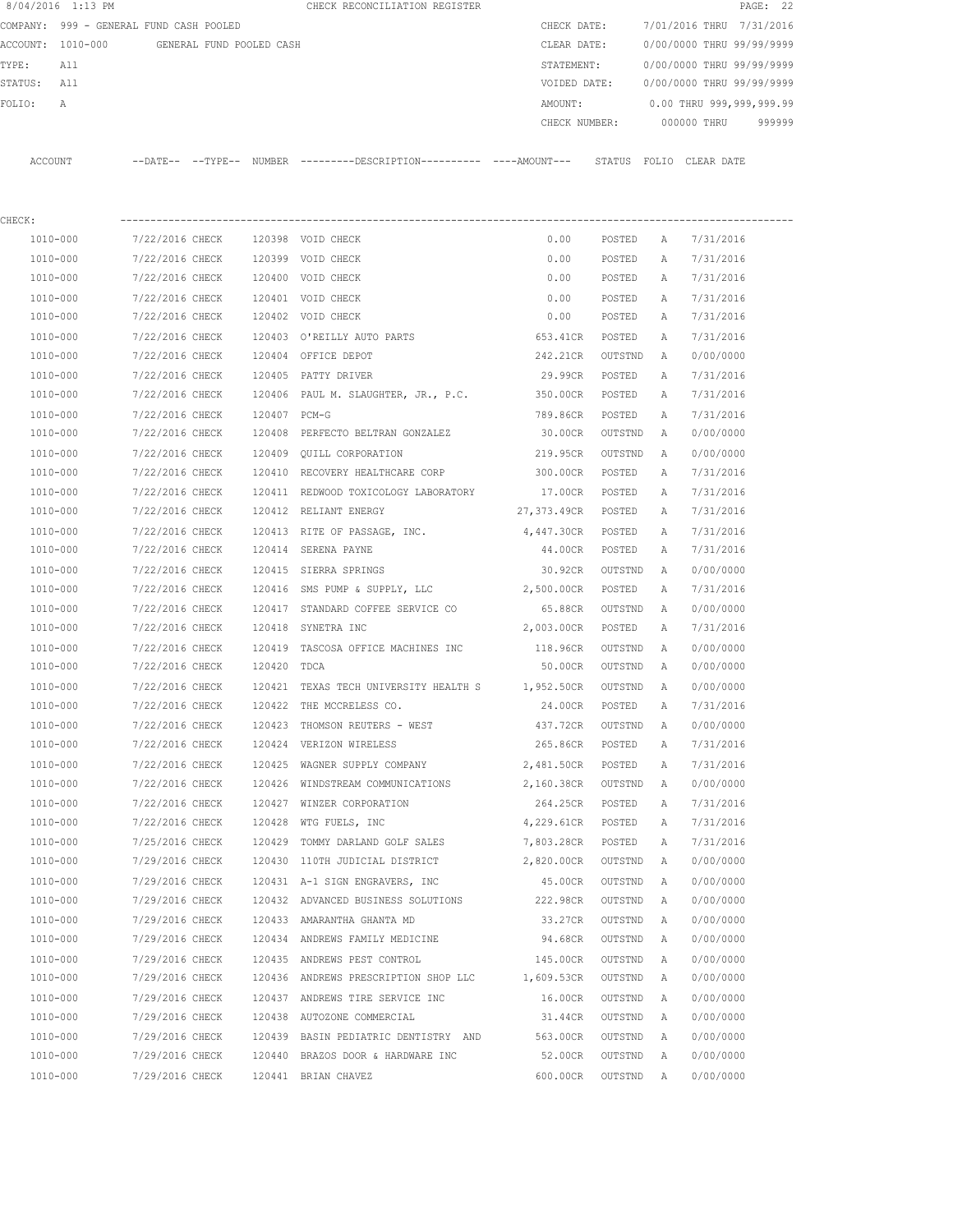| 8/04/2016 1:13 PM  |                                            |        | CHECK RECONCILIATION REGISTER                                                               |                    |          |              | PAGE: 22                             |
|--------------------|--------------------------------------------|--------|---------------------------------------------------------------------------------------------|--------------------|----------|--------------|--------------------------------------|
|                    | COMPANY: 999 - GENERAL FUND CASH POOLED    |        |                                                                                             |                    |          |              | CHECK DATE: 7/01/2016 THRU 7/31/2016 |
|                    | ACCOUNT: 1010-000 GENERAL FUND POOLED CASH |        |                                                                                             | CLEAR DATE:        |          |              | 0/00/0000 THRU 99/99/9999            |
| TYPE:<br>All       |                                            |        |                                                                                             | STATEMENT:         |          |              | 0/00/0000 THRU 99/99/9999            |
| STATUS: All        |                                            |        |                                                                                             | VOIDED DATE:       |          |              | 0/00/0000 THRU 99/99/9999            |
| FOLIO:<br>A        |                                            |        |                                                                                             | AMOUNT:            |          |              | $0.00$ THRU 999,999,999.99           |
|                    |                                            |        |                                                                                             |                    |          |              | CHECK NUMBER: 000000 THRU 999999     |
| ACCOUNT            |                                            |        | --DATE-- --TYPE-- NUMBER --------DESCRIPTION--------- ----AMOUNT--- STATUS FOLIO CLEAR-DATE |                    |          |              |                                      |
|                    |                                            |        |                                                                                             |                    |          |              |                                      |
| CHECK:<br>1010-000 |                                            |        |                                                                                             |                    |          |              |                                      |
|                    | 7/22/2016 CHECK                            |        | 120398 VOID CHECK                                                                           | 0.00               | POSTED A |              | 7/31/2016                            |
| 1010-000           | 7/22/2016 CHECK                            |        | 120399 VOID CHECK                                                                           | 0.00               | POSTED A |              | 7/31/2016<br>7/31/2016               |
| 1010-000           | 7/22/2016 CHECK                            |        | 120400 VOID CHECK                                                                           | 0.00               | POSTED A |              |                                      |
| 1010-000           | 7/22/2016 CHECK                            |        | 120401 VOID CHECK                                                                           | 0.00               | POSTED   | A            | 7/31/2016                            |
| 1010-000           | 7/22/2016 CHECK                            |        | 120402 VOID CHECK                                                                           | 0.00               | POSTED   | A            | 7/31/2016                            |
| 1010-000           | 7/22/2016 CHECK                            |        | 120403 O'REILLY AUTO PARTS                                                                  | 653.41CR           | POSTED   | A            | 7/31/2016                            |
| 1010-000           | 7/22/2016 CHECK 120404 OFFICE DEPOT        |        |                                                                                             | 242.21CR           | OUTSTND  | A            | 0/00/0000                            |
| 1010-000           | 7/22/2016 CHECK                            |        | 120405 PATTY DRIVER                                                                         | 29.99CR            | POSTED   | A            | 7/31/2016                            |
| 1010-000           |                                            |        | 7/22/2016 CHECK 120406 PAUL M. SLAUGHTER, JR., P.C. 350.00CR POSTED                         |                    |          | A            | 7/31/2016                            |
| 1010-000           | 7/22/2016 CHECK 120407 PCM-G               |        |                                                                                             | 789.86CR POSTED    |          | A            | 7/31/2016                            |
| 1010-000           |                                            |        | 7/22/2016 CHECK 120408 PERFECTO BELTRAN GONZALEZ                                            | 30.00CR            | OUTSTND  | A            | 0/00/0000                            |
| 1010-000           |                                            |        | 7/22/2016 CHECK 120409 QUILL CORPORATION                                                    | 219.95CR OUTSTND   |          | A            | 0/00/0000                            |
| 1010-000           | 7/22/2016 CHECK                            |        | 120410 RECOVERY HEALTHCARE CORP                                                             | 300.00CR POSTED    |          | A            | 7/31/2016                            |
| 1010-000           | 7/22/2016 CHECK                            |        | 120411 REDWOOD TOXICOLOGY LABORATORY                                                        | 17.00CR POSTED     |          | $\mathbb{A}$ | 7/31/2016                            |
| 1010-000           | 7/22/2016 CHECK                            |        | 120412 RELIANT ENERGY                                                                       | 27,373.49CR POSTED |          | A            | 7/31/2016                            |
| 1010-000           | 7/22/2016 CHECK                            |        | 120413 RITE OF PASSAGE, INC.                                                                | 4,447.30CR POSTED  |          | A            | 7/31/2016                            |
| 1010-000           | 7/22/2016 CHECK                            |        | 120414 SERENA PAYNE                                                                         | 44.00CR POSTED     |          | A            | 7/31/2016                            |
| 1010-000           | 7/22/2016 CHECK                            |        | 120415 SIERRA SPRINGS                                                                       | 30.92CR            | OUTSTND  | <b>A</b>     | 0/00/0000                            |
| 1010-000           | 7/22/2016 CHECK                            |        | 120416 SMS PUMP & SUPPLY, LLC 2,500.00CR                                                    |                    | POSTED   | Α            | 7/31/2016                            |
| 1010-000           | 7/22/2016 CHECK                            |        | 120417 STANDARD COFFEE SERVICE CO                                                           | 65.88CR            | OUTSTND  | A            | 0/00/0000                            |
| 1010-000           | 7/22/2016 CHECK 120418 SYNETRA INC         |        |                                                                                             | 2,003.00CR         | POSTED   | A            | 7/31/2016                            |
| 1010-000           |                                            |        | 7/22/2016 CHECK 120419 TASCOSA OFFICE MACHINES INC                                          | 118.96CR           | OUTSTND  | A            | 0/00/0000                            |
| 1010-000           | 7/22/2016 CHECK 120420 TDCA                |        |                                                                                             | 50.00CR            | OUTSTND  | A            | 0/00/0000                            |
| 1010-000           |                                            |        | 7/22/2016 CHECK 120421 TEXAS TECH UNIVERSITY HEALTH S 1,952.50CR                            |                    | OUTSTND  | A            | 0/00/0000                            |
| 1010-000           | 7/22/2016 CHECK                            |        | 120422 THE MCCRELESS CO.                                                                    | 24.00CR            | POSTED   | Α            | 7/31/2016                            |
| 1010-000           | 7/22/2016 CHECK                            |        | 120423 THOMSON REUTERS - WEST                                                               | 437.72CR           | OUTSTND  | Α            | 0/00/0000                            |
| 1010-000           | 7/22/2016 CHECK                            |        | 120424 VERIZON WIRELESS                                                                     | 265.86CR           | POSTED   | Α            | 7/31/2016                            |
| $1010 - 000$       | 7/22/2016 CHECK                            |        | 120425 WAGNER SUPPLY COMPANY                                                                | 2,481.50CR         | POSTED   | Α            | 7/31/2016                            |
| $1010 - 000$       | 7/22/2016 CHECK                            |        | 120426 WINDSTREAM COMMUNICATIONS                                                            | 2,160.38CR         | OUTSTND  | Α            | 0/00/0000                            |
| $1010 - 000$       | 7/22/2016 CHECK                            |        | 120427 WINZER CORPORATION                                                                   | 264.25CR           | POSTED   | Α            | 7/31/2016                            |
| 1010-000           | 7/22/2016 CHECK                            | 120428 | WTG FUELS, INC                                                                              | 4,229.61CR         | POSTED   | Α            | 7/31/2016                            |
| 1010-000           | 7/25/2016 CHECK                            | 120429 | TOMMY DARLAND GOLF SALES                                                                    | 7,803.28CR         | POSTED   | Α            | 7/31/2016                            |
| 1010-000           | 7/29/2016 CHECK                            |        | 120430 110TH JUDICIAL DISTRICT                                                              | 2,820.00CR         | OUTSTND  | Α            | 0/00/0000                            |
| 1010-000           | 7/29/2016 CHECK                            |        | 120431 A-1 SIGN ENGRAVERS, INC                                                              | 45.00CR            | OUTSTND  | Α            | 0/00/0000                            |
| 1010-000           | 7/29/2016 CHECK                            |        | 120432 ADVANCED BUSINESS SOLUTIONS                                                          | 222.98CR           | OUTSTND  | Α            | 0/00/0000                            |
| 1010-000           | 7/29/2016 CHECK                            |        | 120433 AMARANTHA GHANTA MD                                                                  | 33.27CR            | OUTSTND  | Α            | 0/00/0000                            |
| 1010-000           | 7/29/2016 CHECK                            |        | 120434 ANDREWS FAMILY MEDICINE                                                              | 94.68CR            | OUTSTND  | Α            | 0/00/0000                            |
| 1010-000           | 7/29/2016 CHECK                            |        | 120435 ANDREWS PEST CONTROL                                                                 | 145.00CR           | OUTSTND  | Α            | 0/00/0000                            |
| 1010-000           | 7/29/2016 CHECK                            |        | 120436 ANDREWS PRESCRIPTION SHOP LLC                                                        | 1,609.53CR         | OUTSTND  | Α            | 0/00/0000                            |
| 1010-000           | 7/29/2016 CHECK                            |        | 120437 ANDREWS TIRE SERVICE INC                                                             | 16.00CR            | OUTSTND  | Α            | 0/00/0000                            |
| 1010-000           | 7/29/2016 CHECK                            |        | 120438 AUTOZONE COMMERCIAL                                                                  | 31.44CR            | OUTSTND  | Α            | 0/00/0000                            |
| 1010-000           | 7/29/2016 CHECK                            |        | 120439 BASIN PEDIATRIC DENTISTRY AND                                                        | 563.00CR           | OUTSTND  | Α            | 0/00/0000                            |
| 1010-000           | 7/29/2016 CHECK                            |        | 120440 BRAZOS DOOR & HARDWARE INC                                                           | 52.00CR            | OUTSTND  | Α            | 0/00/0000                            |
| 1010-000           | 7/29/2016 CHECK                            |        | 120441 BRIAN CHAVEZ                                                                         | 600.00CR           | OUTSTND  | Α            | 0/00/0000                            |
|                    |                                            |        |                                                                                             |                    |          |              |                                      |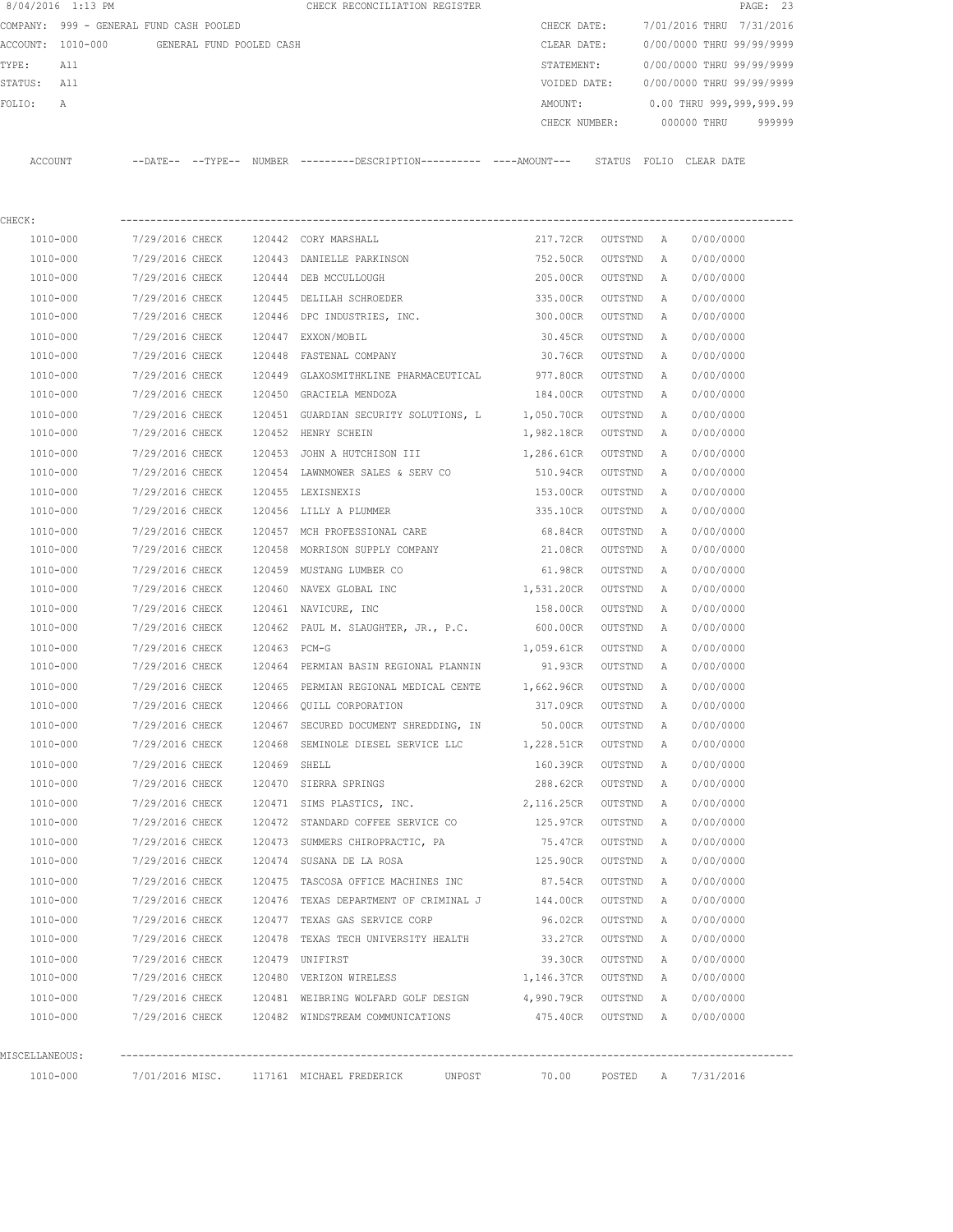|                | 8/04/2016 1:13 PM                          |                 |  |              | CHECK RECONCILIATION REGISTER                                                                 |              |                    |                                     | PAGE: 23                  |  |  |
|----------------|--------------------------------------------|-----------------|--|--------------|-----------------------------------------------------------------------------------------------|--------------|--------------------|-------------------------------------|---------------------------|--|--|
|                | COMPANY: 999 - GENERAL FUND CASH POOLED    |                 |  |              |                                                                                               | CHECK DATE:  |                    |                                     | 7/01/2016 THRU 7/31/2016  |  |  |
|                | ACCOUNT: 1010-000 GENERAL FUND POOLED CASH |                 |  |              |                                                                                               | CLEAR DATE:  |                    |                                     | 0/00/0000 THRU 99/99/9999 |  |  |
| TYPE:          | All                                        |                 |  |              |                                                                                               | STATEMENT:   |                    |                                     | 0/00/0000 THRU 99/99/9999 |  |  |
| STATUS:        | All                                        |                 |  |              |                                                                                               | VOIDED DATE: |                    |                                     | 0/00/0000 THRU 99/99/9999 |  |  |
| FOLIO:         | А                                          |                 |  |              |                                                                                               | AMOUNT:      |                    |                                     | 0.00 THRU 999,999,999.99  |  |  |
|                |                                            |                 |  |              |                                                                                               |              |                    | CHECK NUMBER: 000000 THRU<br>999999 |                           |  |  |
|                |                                            |                 |  |              |                                                                                               |              |                    |                                     |                           |  |  |
|                | ACCOUNT                                    |                 |  |              | --DATE-- --TYPE-- NUMBER ---------DESCRIPTION---------- ----AMOUNT--- STATUS FOLIO CLEAR-DATE |              |                    |                                     |                           |  |  |
|                |                                            |                 |  |              |                                                                                               |              |                    |                                     |                           |  |  |
| CHECK:         |                                            |                 |  |              |                                                                                               |              |                    |                                     |                           |  |  |
|                | 1010-000                                   | 7/29/2016 CHECK |  |              | 120442 CORY MARSHALL                                                                          |              | 217.72CR OUTSTND A |                                     | 0/00/0000                 |  |  |
|                | 1010-000                                   | 7/29/2016 CHECK |  |              | 120443 DANIELLE PARKINSON                                                                     | 752.50CR     | OUTSTND            | A                                   | 0/00/0000                 |  |  |
|                | 1010-000                                   | 7/29/2016 CHECK |  |              | 120444 DEB MCCULLOUGH                                                                         | 205.00CR     | OUTSTND            | A                                   | 0/00/0000                 |  |  |
|                | 1010-000                                   | 7/29/2016 CHECK |  |              | 120445 DELILAH SCHROEDER                                                                      | 335.00CR     | OUTSTND            | A                                   | 0/00/0000                 |  |  |
|                | 1010-000                                   | 7/29/2016 CHECK |  |              | 120446 DPC INDUSTRIES, INC.                                                                   | 300.00CR     | OUTSTND            | A                                   | 0/00/0000                 |  |  |
|                | 1010-000                                   | 7/29/2016 CHECK |  |              | 120447 EXXON/MOBIL                                                                            | 30.45CR      | OUTSTND            | Α                                   | 0/00/0000                 |  |  |
|                | 1010-000                                   | 7/29/2016 CHECK |  |              | 120448 FASTENAL COMPANY                                                                       | 30.76CR      | OUTSTND            | A                                   | 0/00/0000                 |  |  |
|                | 1010-000                                   | 7/29/2016 CHECK |  |              | 120449 GLAXOSMITHKLINE PHARMACEUTICAL 977.80CR                                                |              | OUTSTND            | Α                                   | 0/00/0000                 |  |  |
|                | 1010-000                                   | 7/29/2016 CHECK |  |              | 120450 GRACIELA MENDOZA                                                                       | 184.00CR     | OUTSTND            | Α                                   | 0/00/0000                 |  |  |
|                | 1010-000                                   | 7/29/2016 CHECK |  |              | 120451 GUARDIAN SECURITY SOLUTIONS, L 1,050.70CR                                              |              | OUTSTND            | Α                                   | 0/00/0000                 |  |  |
|                | 1010-000                                   | 7/29/2016 CHECK |  |              | 120452 HENRY SCHEIN                                                                           | 1,982.18CR   | OUTSTND            | Α                                   | 0/00/0000                 |  |  |
|                | 1010-000                                   | 7/29/2016 CHECK |  |              | 120453 JOHN A HUTCHISON III                                                                   | 1,286.61CR   | OUTSTND            | Α                                   | 0/00/0000                 |  |  |
|                | 1010-000                                   | 7/29/2016 CHECK |  |              | 120454 LAWNMOWER SALES & SERV CO                                                              | 510.94CR     | OUTSTND            | A                                   | 0/00/0000                 |  |  |
|                | 1010-000                                   | 7/29/2016 CHECK |  |              | 120455 LEXISNEXIS                                                                             | 153.00CR     | OUTSTND            | Α                                   | 0/00/0000                 |  |  |
|                | 1010-000                                   | 7/29/2016 CHECK |  |              | 120456 LILLY A PLUMMER                                                                        | 335.10CR     | OUTSTND            | A                                   | 0/00/0000                 |  |  |
|                | 1010-000                                   | 7/29/2016 CHECK |  |              | 120457 MCH PROFESSIONAL CARE                                                                  | 68.84CR      | OUTSTND            | A                                   | 0/00/0000                 |  |  |
|                | 1010-000                                   | 7/29/2016 CHECK |  | 120458       | MORRISON SUPPLY COMPANY                                                                       | 21.08CR      | OUTSTND            | A                                   | 0/00/0000                 |  |  |
|                | 1010-000                                   | 7/29/2016 CHECK |  |              | 120459 MUSTANG LUMBER CO                                                                      | 61.98CR      | OUTSTND            | Α                                   | 0/00/0000                 |  |  |
|                | 1010-000                                   | 7/29/2016 CHECK |  |              | 120460 NAVEX GLOBAL INC                                                                       | 1,531.20CR   | OUTSTND            | A                                   | 0/00/0000                 |  |  |
|                | 1010-000                                   | 7/29/2016 CHECK |  |              | 120461 NAVICURE, INC                                                                          | 158.00CR     | OUTSTND            | A                                   | 0/00/0000                 |  |  |
|                | 1010-000                                   | 7/29/2016 CHECK |  |              | 120462 PAUL M. SLAUGHTER, JR., P.C. 600.00CR                                                  |              | OUTSTND            | A                                   | 0/00/0000                 |  |  |
|                | 1010-000                                   | 7/29/2016 CHECK |  | 120463 PCM-G |                                                                                               | 1,059.61CR   | OUTSTND            | Α                                   | 0/00/0000                 |  |  |
|                | 1010-000                                   |                 |  |              | 7/29/2016 CHECK 120464 PERMIAN BASIN REGIONAL PLANNIN                                         | 91.93CR      | OUTSTND            | Α                                   | 0/00/0000                 |  |  |
|                | 1010-000                                   |                 |  |              | 7/29/2016 CHECK 120465 PERMIAN REGIONAL MEDICAL CENTE 1,662.96CR                              |              | OUTSTND            | A                                   | 0/00/0000                 |  |  |
|                | 1010-000                                   | 7/29/2016 CHECK |  |              | 120466 QUILL CORPORATION                                                                      | 317.09CR     | OUTSTND A          |                                     | 0/00/0000                 |  |  |
|                | 1010-000                                   | 7/29/2016 CHECK |  |              | 120467 SECURED DOCUMENT SHREDDING, IN                                                         | 50.00CR      | OUTSTND            | A                                   | 0/00/0000                 |  |  |
|                | 1010-000                                   | 7/29/2016 CHECK |  |              | 120468 SEMINOLE DIESEL SERVICE LLC 1,228.51CR                                                 |              | OUTSTND            | A                                   | 0/00/0000                 |  |  |
|                | 1010-000                                   | 7/29/2016 CHECK |  | 120469 SHELL |                                                                                               | 160.39CR     | OUTSTND            | Α                                   | 0/00/0000                 |  |  |
|                | 1010-000                                   | 7/29/2016 CHECK |  |              | 120470 SIERRA SPRINGS                                                                         | 288.62CR     | OUTSTND            | А                                   | 0/00/0000                 |  |  |
|                | 1010-000                                   | 7/29/2016 CHECK |  |              | 120471 SIMS PLASTICS, INC.                                                                    | 2, 116.25CR  | OUTSTND            | Α                                   | 0/00/0000                 |  |  |
|                | 1010-000                                   | 7/29/2016 CHECK |  |              | 120472 STANDARD COFFEE SERVICE CO 125.97CR                                                    |              | OUTSTND            | Α                                   | 0/00/0000                 |  |  |
|                | 1010-000                                   | 7/29/2016 CHECK |  |              | 120473 SUMMERS CHIROPRACTIC, PA 75.47CR                                                       |              | OUTSTND            | Α                                   | 0/00/0000                 |  |  |
|                | 1010-000                                   | 7/29/2016 CHECK |  |              | 120474 SUSANA DE LA ROSA                                                                      | 125.90CR     | OUTSTND            | Α                                   | 0/00/0000                 |  |  |
|                | 1010-000                                   | 7/29/2016 CHECK |  |              | 120475 TASCOSA OFFICE MACHINES INC 87.54CR                                                    |              | OUTSTND            | Α                                   | 0/00/0000                 |  |  |
|                | 1010-000                                   | 7/29/2016 CHECK |  |              | 120476 TEXAS DEPARTMENT OF CRIMINAL J 144.00CR                                                |              | OUTSTND            | Α                                   | 0/00/0000                 |  |  |
|                | 1010-000                                   | 7/29/2016 CHECK |  |              | 120477 TEXAS GAS SERVICE CORP                                                                 | 96.02CR      | OUTSTND            | Α                                   | 0/00/0000                 |  |  |
|                | $1010 - 000$                               | 7/29/2016 CHECK |  |              | 120478 TEXAS TECH UNIVERSITY HEALTH                                                           | 33.27CR      | OUTSTND            | Α                                   | 0/00/0000                 |  |  |
|                | 1010-000                                   | 7/29/2016 CHECK |  |              | 120479 UNIFIRST                                                                               | 39.30CR      | OUTSTND            | Α                                   | 0/00/0000                 |  |  |
|                | 1010-000                                   | 7/29/2016 CHECK |  |              | 120480 VERIZON WIRELESS                                                                       | 1,146.37CR   | OUTSTND            | A                                   | 0/00/0000                 |  |  |
|                | 1010-000                                   | 7/29/2016 CHECK |  |              | 120481 WEIBRING WOLFARD GOLF DESIGN                                                           | 4,990.79CR   | OUTSTND            | Α                                   | 0/00/0000                 |  |  |
|                | 1010-000                                   |                 |  |              | 7/29/2016 CHECK 120482 WINDSTREAM COMMUNICATIONS                                              | 475.40CR     | OUTSTND A          |                                     | 0/00/0000                 |  |  |
|                |                                            |                 |  |              |                                                                                               |              |                    |                                     |                           |  |  |
| MISCELLANEOUS: |                                            |                 |  |              |                                                                                               |              |                    |                                     |                           |  |  |
|                | 1010-000                                   |                 |  |              | 7/01/2016 MISC.       117161   MICHAEL FREDERICK           UNPOST               70.00         |              |                    |                                     | POSTED A 7/31/2016        |  |  |